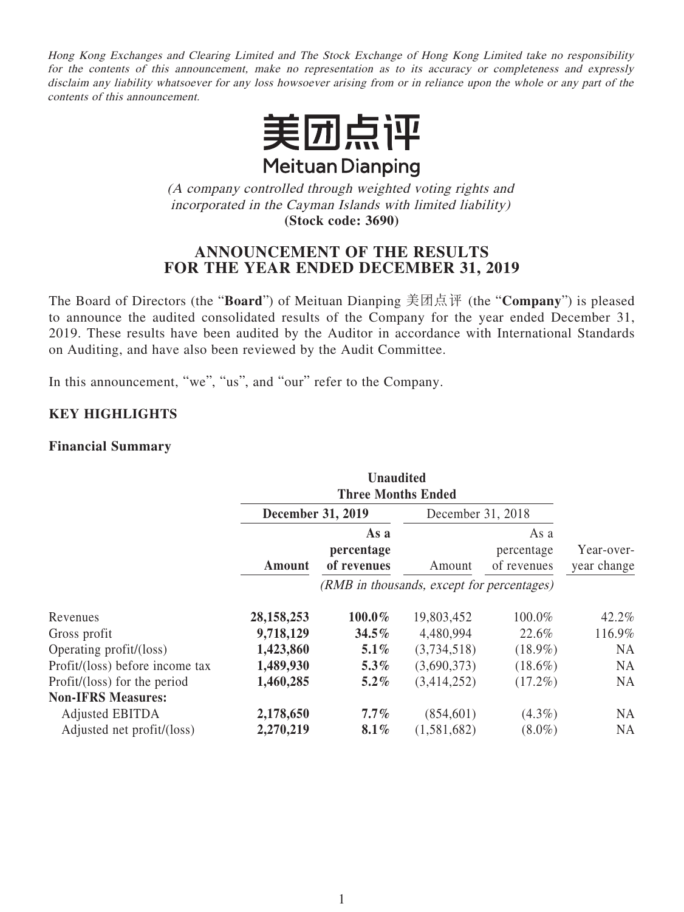Hong Kong Exchanges and Clearing Limited and The Stock Exchange of Hong Kong Limited take no responsibility for the contents of this announcement, make no representation as to its accuracy or completeness and expressly disclaim any liability whatsoever for any loss howsoever arising from or in reliance upon the whole or any part of the contents of this announcement.



(A company controlled through weighted voting rights and incorporated in the Cayman Islands with limited liability) **(Stock code: 3690)**

# **ANNOUNCEMENT OF THE RESULTS FOR THE YEAR ENDED DECEMBER 31, 2019**

The Board of Directors (the "**Board**") of Meituan Dianping 美团点評 (the "**Company**") is pleased to announce the audited consolidated results of the Company for the year ended December 31, 2019. These results have been audited by the Auditor in accordance with International Standards on Auditing, and have also been reviewed by the Audit Committee.

In this announcement, "we", "us", and "our" refer to the Company.

### **KEY HIGHLIGHTS**

#### **Financial Summary**

|                                 |              | <b>Unaudited</b>                           |             |                                   |                           |  |
|---------------------------------|--------------|--------------------------------------------|-------------|-----------------------------------|---------------------------|--|
|                                 |              | <b>Three Months Ended</b>                  |             |                                   |                           |  |
|                                 |              | <b>December 31, 2019</b>                   |             | December 31, 2018                 |                           |  |
|                                 | Amount       | As a<br>percentage<br>of revenues          | Amount      | As a<br>percentage<br>of revenues | Year-over-<br>year change |  |
|                                 |              | (RMB in thousands, except for percentages) |             |                                   |                           |  |
| Revenues                        | 28, 158, 253 | 100.0%                                     | 19,803,452  | 100.0%                            | 42.2%                     |  |
| Gross profit                    | 9,718,129    | $34.5\%$                                   | 4,480,994   | 22.6%                             | 116.9%                    |  |
| Operating profit/(loss)         | 1,423,860    | 5.1%                                       | (3,734,518) | $(18.9\%)$                        | <b>NA</b>                 |  |
| Profit/(loss) before income tax | 1,489,930    | $5.3\%$                                    | (3,690,373) | $(18.6\%)$                        | <b>NA</b>                 |  |
| Profit/(loss) for the period    | 1,460,285    | $5.2\%$                                    | (3,414,252) | $(17.2\%)$                        | <b>NA</b>                 |  |
| <b>Non-IFRS Measures:</b>       |              |                                            |             |                                   |                           |  |
| Adjusted EBITDA                 | 2,178,650    | $7.7\%$                                    | (854, 601)  | $(4.3\%)$                         | <b>NA</b>                 |  |
| Adjusted net profit/(loss)      | 2,270,219    | $8.1\%$                                    | (1,581,682) | $(8.0\%)$                         | <b>NA</b>                 |  |
|                                 |              |                                            |             |                                   |                           |  |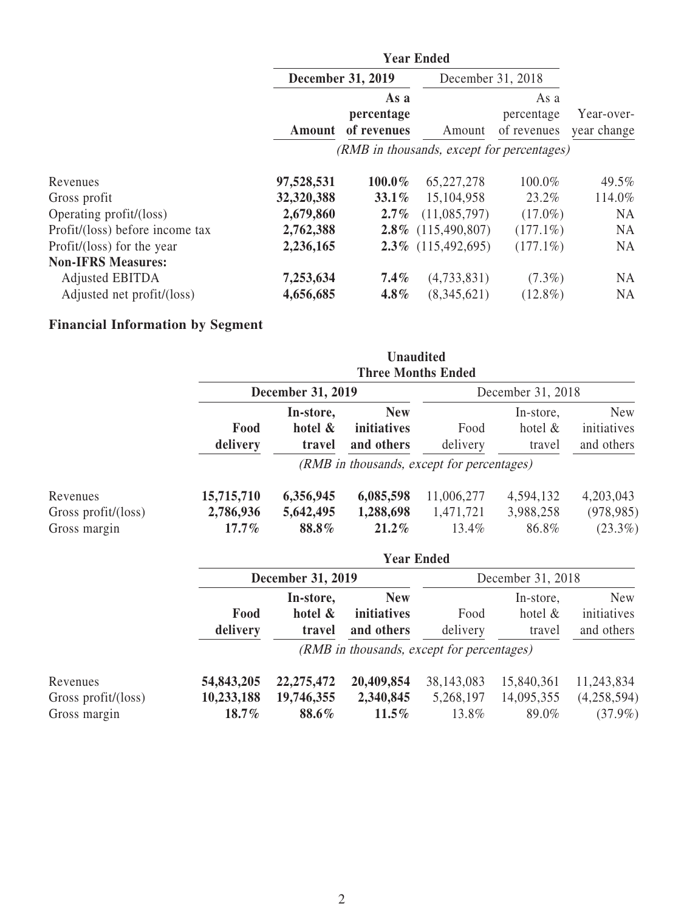|                                 | <b>Year Ended</b>        |                                   |                                            |                                   |                           |
|---------------------------------|--------------------------|-----------------------------------|--------------------------------------------|-----------------------------------|---------------------------|
|                                 | <b>December 31, 2019</b> |                                   | December 31, 2018                          |                                   |                           |
|                                 | Amount                   | As a<br>percentage<br>of revenues | Amount                                     | As a<br>percentage<br>of revenues | Year-over-<br>year change |
|                                 |                          |                                   | (RMB in thousands, except for percentages) |                                   |                           |
| Revenues                        | 97,528,531               | $100.0\%$                         | 65,227,278                                 | 100.0%                            | 49.5%                     |
| Gross profit                    | 32,320,388               | 33.1%                             | 15,104,958                                 | 23.2%                             | 114.0%                    |
| Operating profit/(loss)         | 2,679,860                | $2.7\%$                           | (11,085,797)                               | $(17.0\%)$                        | <b>NA</b>                 |
| Profit/(loss) before income tax | 2,762,388                | $2.8\%$                           | (115, 490, 807)                            | $(177.1\%)$                       | <b>NA</b>                 |
| Profit/(loss) for the year      | 2,236,165                |                                   | $2.3\%$ (115,492,695)                      | $(177.1\%)$                       | <b>NA</b>                 |
| <b>Non-IFRS Measures:</b>       |                          |                                   |                                            |                                   |                           |
| Adjusted EBITDA                 | 7,253,634                | $7.4\%$                           | (4,733,831)                                | $(7.3\%)$                         | <b>NA</b>                 |
| Adjusted net profit/(loss)      | 4,656,685                | $4.8\%$                           | (8,345,621)                                | $(12.8\%)$                        | <b>NA</b>                 |

# **Financial Information by Segment**

|                                                           |                                     |                                 | <b>Unaudited</b><br><b>Three Months Ended</b> |                                                                |                                   |                                         |  |
|-----------------------------------------------------------|-------------------------------------|---------------------------------|-----------------------------------------------|----------------------------------------------------------------|-----------------------------------|-----------------------------------------|--|
|                                                           |                                     | <b>December 31, 2019</b>        |                                               |                                                                | December 31, 2018                 |                                         |  |
|                                                           | Food<br>delivery                    | In-store,<br>hotel &<br>travel  | <b>New</b><br>initiatives<br>and others       | Food<br>delivery<br>(RMB in thousands, except for percentages) | In-store,<br>hotel $\&$<br>travel | <b>New</b><br>initiatives<br>and others |  |
| Revenues<br>Gross profit/ $(\text{loss})$<br>Gross margin | 15,715,710<br>2,786,936<br>$17.7\%$ | 6,356,945<br>5,642,495<br>88.8% | 6,085,598<br>1,288,698<br>$21.2\%$            | 11,006,277<br>1,471,721<br>13.4%                               | 4,594,132<br>3,988,258<br>86.8%   | 4,203,043<br>(978, 985)<br>$(23.3\%)$   |  |

|                                                           |                                   |                                            | <b>Year Ended</b>                       |                                    |                                   |                                         |  |  |
|-----------------------------------------------------------|-----------------------------------|--------------------------------------------|-----------------------------------------|------------------------------------|-----------------------------------|-----------------------------------------|--|--|
|                                                           |                                   | <b>December 31, 2019</b>                   |                                         |                                    | December 31, 2018                 |                                         |  |  |
|                                                           | Food<br>delivery                  | In-store,<br>hotel &<br>travel             | <b>New</b><br>initiatives<br>and others | Food<br>delivery                   | In-store,<br>hotel $\&$<br>travel | <b>New</b><br>initiatives<br>and others |  |  |
|                                                           |                                   | (RMB in thousands, except for percentages) |                                         |                                    |                                   |                                         |  |  |
| Revenues<br>Gross profit/ $(\text{loss})$<br>Gross margin | 54,843,205<br>10,233,188<br>18.7% | 22, 275, 472<br>19,746,355<br>88.6%        | 20,409,854<br>2,340,845<br>$11.5\%$     | 38, 143, 083<br>5,268,197<br>13.8% | 15,840,361<br>14,095,355<br>89.0% | 11,243,834<br>(4,258,594)<br>$(37.9\%)$ |  |  |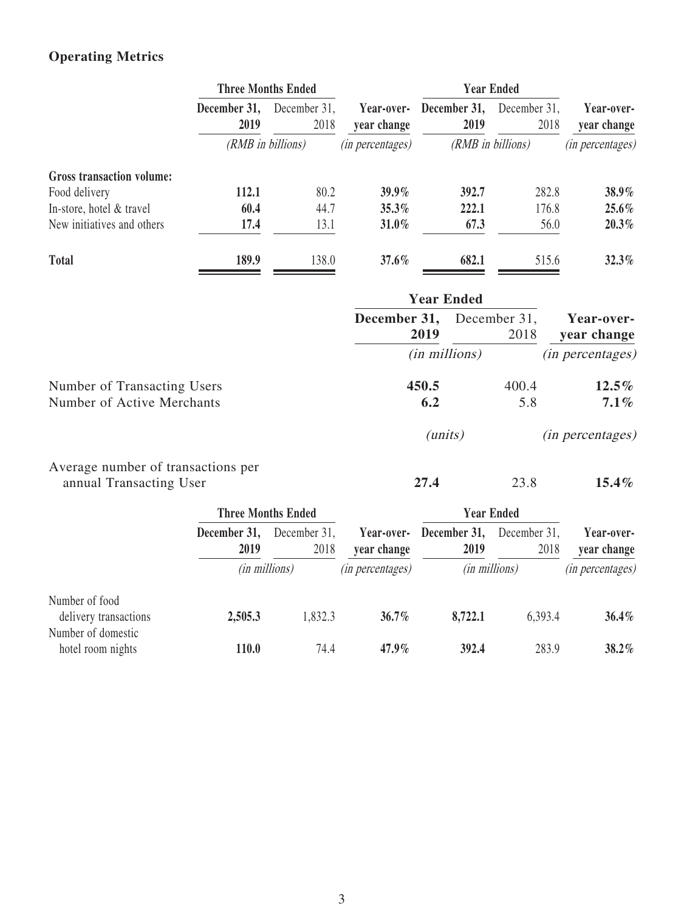# **Operating Metrics**

|                                  | <b>Three Months Ended</b> |                      |                           | <b>Year Ended</b>    |                      |                           |
|----------------------------------|---------------------------|----------------------|---------------------------|----------------------|----------------------|---------------------------|
|                                  | December 31,<br>2019      | December 31,<br>2018 | Year-over-<br>year change | December 31,<br>2019 | December 31,<br>2018 | Year-over-<br>year change |
|                                  |                           | (RMB in billions)    | <i>(in percentages)</i>   |                      | (RMB in billions)    | <i>(in percentages)</i>   |
| <b>Gross transaction volume:</b> |                           |                      |                           |                      |                      |                           |
| Food delivery                    | 112.1                     | 80.2                 | $39.9\%$                  | 392.7                | 282.8                | 38.9%                     |
| In-store, hotel & travel         | 60.4                      | 44.7                 | 35.3%                     | 222.1                | 176.8                | $25.6\%$                  |
| New initiatives and others       | 17.4                      | 13.1                 | $31.0\%$                  | 67.3                 | 56.0                 | 20.3%                     |
| <b>Total</b>                     | 189.9                     | 138.0                | 37.6%                     | 682.1                | 515.6                | $32.3\%$                  |

|                                    | <b>Year Ended</b>    |                      |                           |
|------------------------------------|----------------------|----------------------|---------------------------|
|                                    | December 31,<br>2019 | December 31,<br>2018 | Year-over-<br>year change |
|                                    | $(in$ millions $)$   |                      | <i>(in percentages)</i>   |
| Number of Transacting Users        | 450.5                | 400.4                | $12.5\%$                  |
| Number of Active Merchants         | 6.2                  | 5.8                  | $7.1\%$                   |
|                                    | ( <i>units</i> )     |                      | <i>(in percentages)</i>   |
| Average number of transactions per |                      |                      |                           |
| annual Transacting User            | 27.4                 | 23.8                 | $15.4\%$                  |

|                                                               | <b>Three Months Ended</b> |                      |                           | <b>Year Ended</b>    |                      |                           |
|---------------------------------------------------------------|---------------------------|----------------------|---------------------------|----------------------|----------------------|---------------------------|
|                                                               | December 31,<br>2019      | December 31,<br>2018 | Year-over-<br>year change | December 31,<br>2019 | December 31,<br>2018 | Year-over-<br>year change |
|                                                               | <i>(in millions)</i>      |                      | <i>(in percentages)</i>   | (in millions)        |                      | <i>(in percentages)</i>   |
| Number of food<br>delivery transactions<br>Number of domestic | 2,505.3                   | 1,832.3              | $36.7\%$                  | 8,722.1              | 6,393.4              | $36.4\%$                  |
| hotel room nights                                             | 110.0                     | 74.4                 | $47.9\%$                  | 392.4                | 283.9                | 38.2%                     |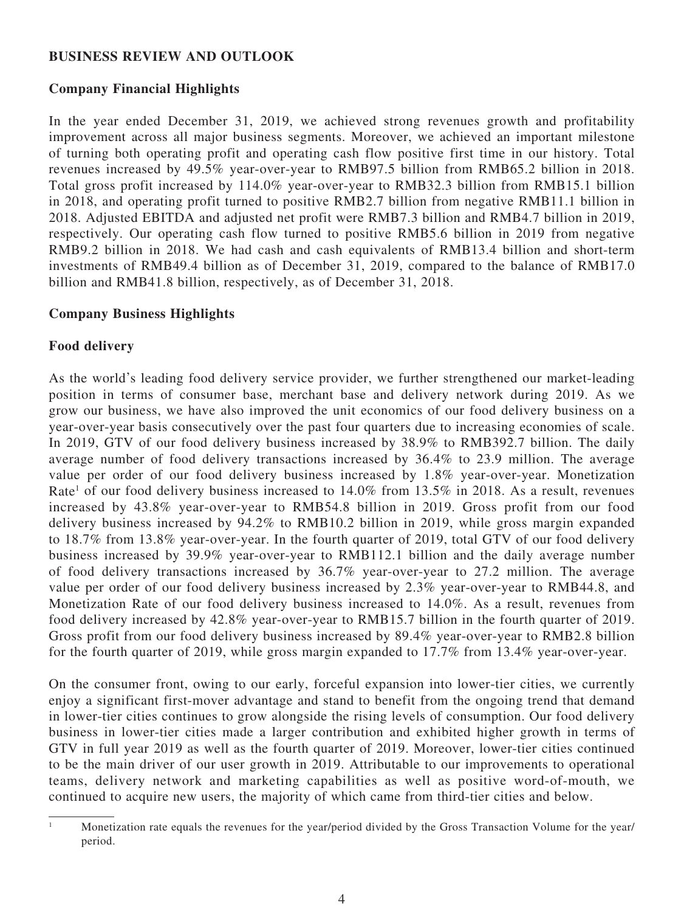### **BUSINESS REVIEW AND OUTLOOK**

### **Company Financial Highlights**

In the year ended December 31, 2019, we achieved strong revenues growth and profitability improvement across all major business segments. Moreover, we achieved an important milestone of turning both operating profit and operating cash flow positive first time in our history. Total revenues increased by 49.5% year-over-year to RMB97.5 billion from RMB65.2 billion in 2018. Total gross profit increased by 114.0% year-over-year to RMB32.3 billion from RMB15.1 billion in 2018, and operating profit turned to positive RMB2.7 billion from negative RMB11.1 billion in 2018. Adjusted EBITDA and adjusted net profit were RMB7.3 billion and RMB4.7 billion in 2019, respectively. Our operating cash flow turned to positive RMB5.6 billion in 2019 from negative RMB9.2 billion in 2018. We had cash and cash equivalents of RMB13.4 billion and short-term investments of RMB49.4 billion as of December 31, 2019, compared to the balance of RMB17.0 billion and RMB41.8 billion, respectively, as of December 31, 2018.

### **Company Business Highlights**

#### **Food delivery**

As the world's leading food delivery service provider, we further strengthened our market-leading position in terms of consumer base, merchant base and delivery network during 2019. As we grow our business, we have also improved the unit economics of our food delivery business on a year-over-year basis consecutively over the past four quarters due to increasing economies of scale. In 2019, GTV of our food delivery business increased by 38.9% to RMB392.7 billion. The daily average number of food delivery transactions increased by 36.4% to 23.9 million. The average value per order of our food delivery business increased by 1.8% year-over-year. Monetization Rate<sup>1</sup> of our food delivery business increased to 14.0% from 13.5% in 2018. As a result, revenues increased by 43.8% year-over-year to RMB54.8 billion in 2019. Gross profit from our food delivery business increased by 94.2% to RMB10.2 billion in 2019, while gross margin expanded to 18.7% from 13.8% year-over-year. In the fourth quarter of 2019, total GTV of our food delivery business increased by 39.9% year-over-year to RMB112.1 billion and the daily average number of food delivery transactions increased by 36.7% year-over-year to 27.2 million. The average value per order of our food delivery business increased by 2.3% year-over-year to RMB44.8, and Monetization Rate of our food delivery business increased to 14.0%. As a result, revenues from food delivery increased by 42.8% year-over-year to RMB15.7 billion in the fourth quarter of 2019. Gross profit from our food delivery business increased by 89.4% year-over-year to RMB2.8 billion for the fourth quarter of 2019, while gross margin expanded to 17.7% from 13.4% year-over-year.

On the consumer front, owing to our early, forceful expansion into lower-tier cities, we currently enjoy a significant first-mover advantage and stand to benefit from the ongoing trend that demand in lower-tier cities continues to grow alongside the rising levels of consumption. Our food delivery business in lower-tier cities made a larger contribution and exhibited higher growth in terms of GTV in full year 2019 as well as the fourth quarter of 2019. Moreover, lower-tier cities continued to be the main driver of our user growth in 2019. Attributable to our improvements to operational teams, delivery network and marketing capabilities as well as positive word-of-mouth, we continued to acquire new users, the majority of which came from third-tier cities and below.

<sup>1</sup> Monetization rate equals the revenues for the year/period divided by the Gross Transaction Volume for the year/ period.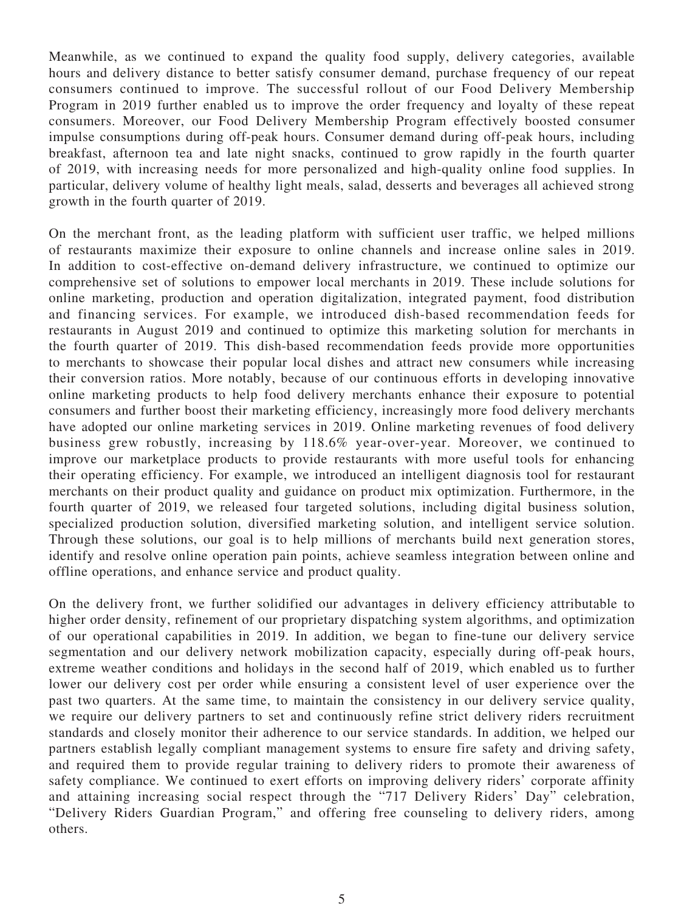Meanwhile, as we continued to expand the quality food supply, delivery categories, available hours and delivery distance to better satisfy consumer demand, purchase frequency of our repeat consumers continued to improve. The successful rollout of our Food Delivery Membership Program in 2019 further enabled us to improve the order frequency and loyalty of these repeat consumers. Moreover, our Food Delivery Membership Program effectively boosted consumer impulse consumptions during off-peak hours. Consumer demand during off-peak hours, including breakfast, afternoon tea and late night snacks, continued to grow rapidly in the fourth quarter of 2019, with increasing needs for more personalized and high-quality online food supplies. In particular, delivery volume of healthy light meals, salad, desserts and beverages all achieved strong growth in the fourth quarter of 2019.

On the merchant front, as the leading platform with sufficient user traffic, we helped millions of restaurants maximize their exposure to online channels and increase online sales in 2019. In addition to cost-effective on-demand delivery infrastructure, we continued to optimize our comprehensive set of solutions to empower local merchants in 2019. These include solutions for online marketing, production and operation digitalization, integrated payment, food distribution and financing services. For example, we introduced dish-based recommendation feeds for restaurants in August 2019 and continued to optimize this marketing solution for merchants in the fourth quarter of 2019. This dish-based recommendation feeds provide more opportunities to merchants to showcase their popular local dishes and attract new consumers while increasing their conversion ratios. More notably, because of our continuous efforts in developing innovative online marketing products to help food delivery merchants enhance their exposure to potential consumers and further boost their marketing efficiency, increasingly more food delivery merchants have adopted our online marketing services in 2019. Online marketing revenues of food delivery business grew robustly, increasing by 118.6% year-over-year. Moreover, we continued to improve our marketplace products to provide restaurants with more useful tools for enhancing their operating efficiency. For example, we introduced an intelligent diagnosis tool for restaurant merchants on their product quality and guidance on product mix optimization. Furthermore, in the fourth quarter of 2019, we released four targeted solutions, including digital business solution, specialized production solution, diversified marketing solution, and intelligent service solution. Through these solutions, our goal is to help millions of merchants build next generation stores, identify and resolve online operation pain points, achieve seamless integration between online and offline operations, and enhance service and product quality.

On the delivery front, we further solidified our advantages in delivery efficiency attributable to higher order density, refinement of our proprietary dispatching system algorithms, and optimization of our operational capabilities in 2019. In addition, we began to fine-tune our delivery service segmentation and our delivery network mobilization capacity, especially during off-peak hours, extreme weather conditions and holidays in the second half of 2019, which enabled us to further lower our delivery cost per order while ensuring a consistent level of user experience over the past two quarters. At the same time, to maintain the consistency in our delivery service quality, we require our delivery partners to set and continuously refine strict delivery riders recruitment standards and closely monitor their adherence to our service standards. In addition, we helped our partners establish legally compliant management systems to ensure fire safety and driving safety, and required them to provide regular training to delivery riders to promote their awareness of safety compliance. We continued to exert efforts on improving delivery riders' corporate affinity and attaining increasing social respect through the "717 Delivery Riders' Day" celebration, "Delivery Riders Guardian Program," and offering free counseling to delivery riders, among others.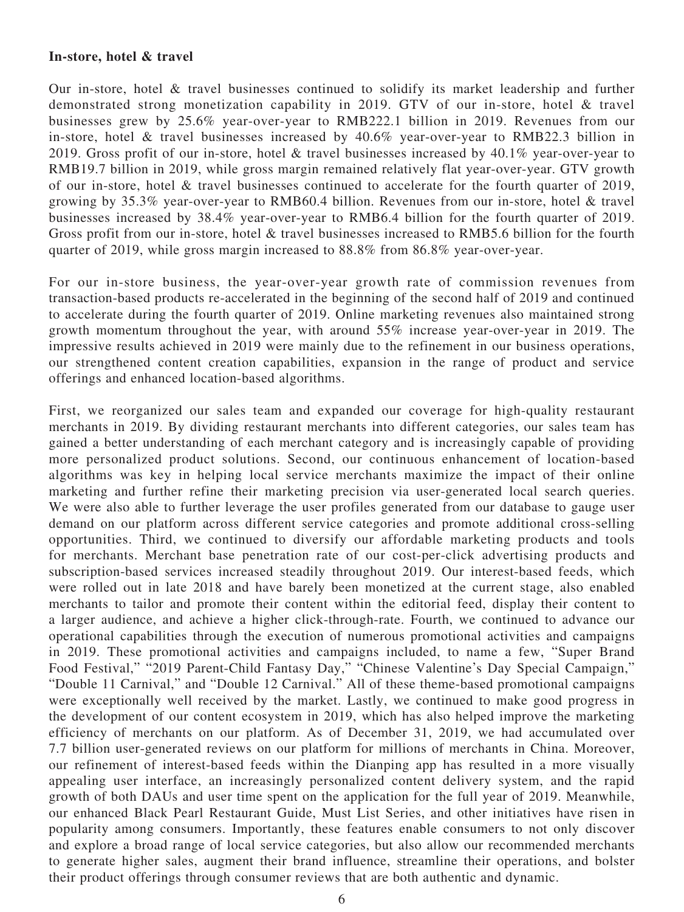#### **In-store, hotel & travel**

Our in-store, hotel & travel businesses continued to solidify its market leadership and further demonstrated strong monetization capability in 2019. GTV of our in-store, hotel & travel businesses grew by 25.6% year-over-year to RMB222.1 billion in 2019. Revenues from our in-store, hotel & travel businesses increased by 40.6% year-over-year to RMB22.3 billion in 2019. Gross profit of our in-store, hotel & travel businesses increased by 40.1% year-over-year to RMB19.7 billion in 2019, while gross margin remained relatively flat year-over-year. GTV growth of our in-store, hotel & travel businesses continued to accelerate for the fourth quarter of 2019, growing by 35.3% year-over-year to RMB60.4 billion. Revenues from our in-store, hotel & travel businesses increased by 38.4% year-over-year to RMB6.4 billion for the fourth quarter of 2019. Gross profit from our in-store, hotel & travel businesses increased to RMB5.6 billion for the fourth quarter of 2019, while gross margin increased to 88.8% from 86.8% year-over-year.

For our in-store business, the year-over-year growth rate of commission revenues from transaction-based products re-accelerated in the beginning of the second half of 2019 and continued to accelerate during the fourth quarter of 2019. Online marketing revenues also maintained strong growth momentum throughout the year, with around 55% increase year-over-year in 2019. The impressive results achieved in 2019 were mainly due to the refinement in our business operations, our strengthened content creation capabilities, expansion in the range of product and service offerings and enhanced location-based algorithms.

First, we reorganized our sales team and expanded our coverage for high-quality restaurant merchants in 2019. By dividing restaurant merchants into different categories, our sales team has gained a better understanding of each merchant category and is increasingly capable of providing more personalized product solutions. Second, our continuous enhancement of location-based algorithms was key in helping local service merchants maximize the impact of their online marketing and further refine their marketing precision via user-generated local search queries. We were also able to further leverage the user profiles generated from our database to gauge user demand on our platform across different service categories and promote additional cross-selling opportunities. Third, we continued to diversify our affordable marketing products and tools for merchants. Merchant base penetration rate of our cost-per-click advertising products and subscription-based services increased steadily throughout 2019. Our interest-based feeds, which were rolled out in late 2018 and have barely been monetized at the current stage, also enabled merchants to tailor and promote their content within the editorial feed, display their content to a larger audience, and achieve a higher click-through-rate. Fourth, we continued to advance our operational capabilities through the execution of numerous promotional activities and campaigns in 2019. These promotional activities and campaigns included, to name a few, "Super Brand Food Festival," "2019 Parent-Child Fantasy Day," "Chinese Valentine's Day Special Campaign," "Double 11 Carnival," and "Double 12 Carnival." All of these theme-based promotional campaigns were exceptionally well received by the market. Lastly, we continued to make good progress in the development of our content ecosystem in 2019, which has also helped improve the marketing efficiency of merchants on our platform. As of December 31, 2019, we had accumulated over 7.7 billion user-generated reviews on our platform for millions of merchants in China. Moreover, our refinement of interest-based feeds within the Dianping app has resulted in a more visually appealing user interface, an increasingly personalized content delivery system, and the rapid growth of both DAUs and user time spent on the application for the full year of 2019. Meanwhile, our enhanced Black Pearl Restaurant Guide, Must List Series, and other initiatives have risen in popularity among consumers. Importantly, these features enable consumers to not only discover and explore a broad range of local service categories, but also allow our recommended merchants to generate higher sales, augment their brand influence, streamline their operations, and bolster their product offerings through consumer reviews that are both authentic and dynamic.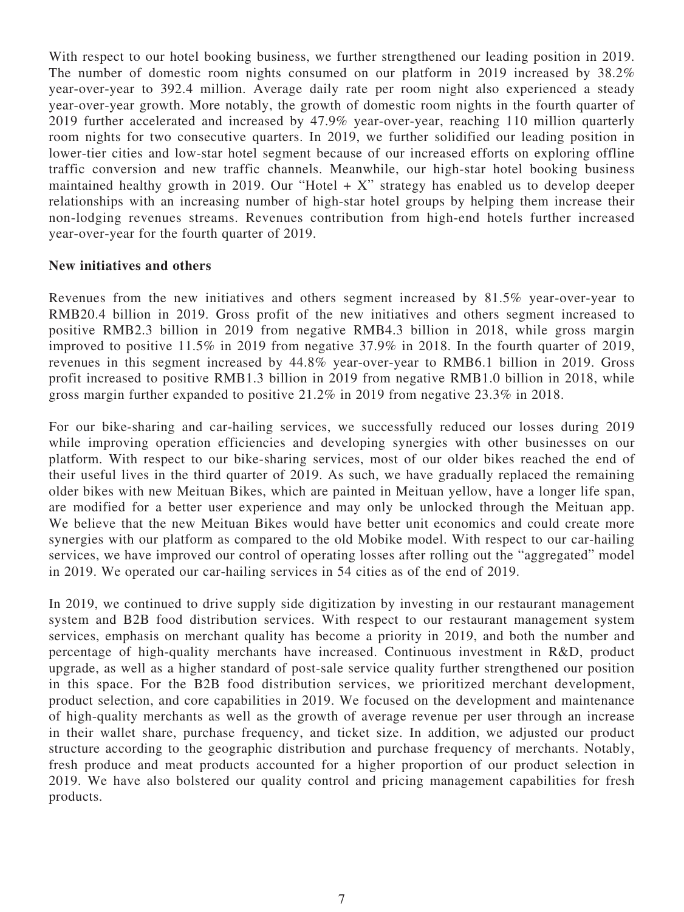With respect to our hotel booking business, we further strengthened our leading position in 2019. The number of domestic room nights consumed on our platform in 2019 increased by 38.2% year-over-year to 392.4 million. Average daily rate per room night also experienced a steady year-over-year growth. More notably, the growth of domestic room nights in the fourth quarter of 2019 further accelerated and increased by 47.9% year-over-year, reaching 110 million quarterly room nights for two consecutive quarters. In 2019, we further solidified our leading position in lower-tier cities and low-star hotel segment because of our increased efforts on exploring offline traffic conversion and new traffic channels. Meanwhile, our high-star hotel booking business maintained healthy growth in 2019. Our "Hotel  $+ X$ " strategy has enabled us to develop deeper relationships with an increasing number of high-star hotel groups by helping them increase their non-lodging revenues streams. Revenues contribution from high-end hotels further increased year-over-year for the fourth quarter of 2019.

#### **New initiatives and others**

Revenues from the new initiatives and others segment increased by 81.5% year-over-year to RMB20.4 billion in 2019. Gross profit of the new initiatives and others segment increased to positive RMB2.3 billion in 2019 from negative RMB4.3 billion in 2018, while gross margin improved to positive 11.5% in 2019 from negative 37.9% in 2018. In the fourth quarter of 2019, revenues in this segment increased by 44.8% year-over-year to RMB6.1 billion in 2019. Gross profit increased to positive RMB1.3 billion in 2019 from negative RMB1.0 billion in 2018, while gross margin further expanded to positive 21.2% in 2019 from negative 23.3% in 2018.

For our bike-sharing and car-hailing services, we successfully reduced our losses during 2019 while improving operation efficiencies and developing synergies with other businesses on our platform. With respect to our bike-sharing services, most of our older bikes reached the end of their useful lives in the third quarter of 2019. As such, we have gradually replaced the remaining older bikes with new Meituan Bikes, which are painted in Meituan yellow, have a longer life span, are modified for a better user experience and may only be unlocked through the Meituan app. We believe that the new Meituan Bikes would have better unit economics and could create more synergies with our platform as compared to the old Mobike model. With respect to our car-hailing services, we have improved our control of operating losses after rolling out the "aggregated" model in 2019. We operated our car-hailing services in 54 cities as of the end of 2019.

In 2019, we continued to drive supply side digitization by investing in our restaurant management system and B2B food distribution services. With respect to our restaurant management system services, emphasis on merchant quality has become a priority in 2019, and both the number and percentage of high-quality merchants have increased. Continuous investment in R&D, product upgrade, as well as a higher standard of post-sale service quality further strengthened our position in this space. For the B2B food distribution services, we prioritized merchant development, product selection, and core capabilities in 2019. We focused on the development and maintenance of high-quality merchants as well as the growth of average revenue per user through an increase in their wallet share, purchase frequency, and ticket size. In addition, we adjusted our product structure according to the geographic distribution and purchase frequency of merchants. Notably, fresh produce and meat products accounted for a higher proportion of our product selection in 2019. We have also bolstered our quality control and pricing management capabilities for fresh products.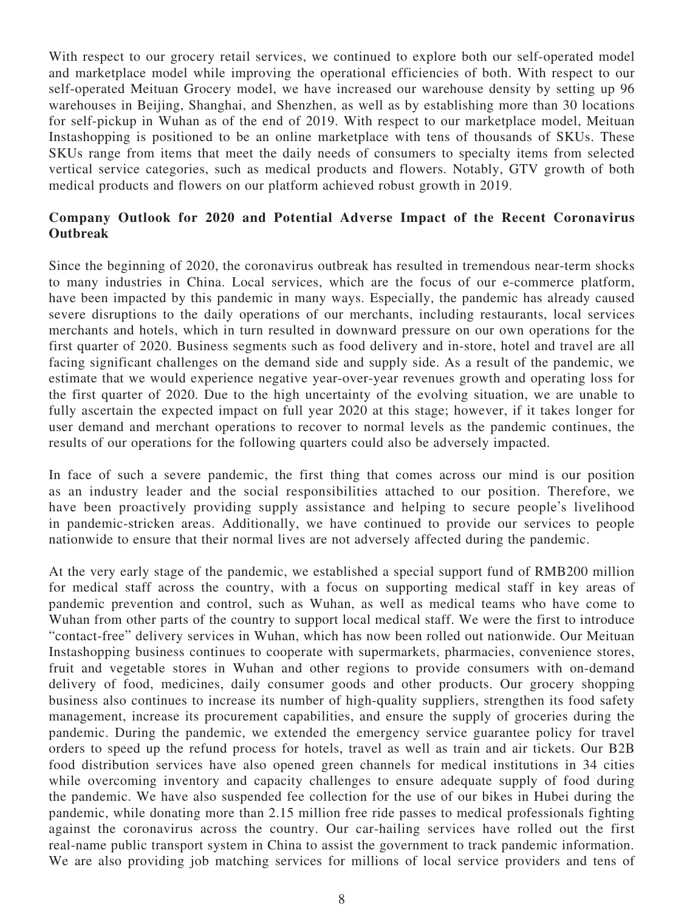With respect to our grocery retail services, we continued to explore both our self-operated model and marketplace model while improving the operational efficiencies of both. With respect to our self-operated Meituan Grocery model, we have increased our warehouse density by setting up 96 warehouses in Beijing, Shanghai, and Shenzhen, as well as by establishing more than 30 locations for self-pickup in Wuhan as of the end of 2019. With respect to our marketplace model, Meituan Instashopping is positioned to be an online marketplace with tens of thousands of SKUs. These SKUs range from items that meet the daily needs of consumers to specialty items from selected vertical service categories, such as medical products and flowers. Notably, GTV growth of both medical products and flowers on our platform achieved robust growth in 2019.

# **Company Outlook for 2020 and Potential Adverse Impact of the Recent Coronavirus Outbreak**

Since the beginning of 2020, the coronavirus outbreak has resulted in tremendous near-term shocks to many industries in China. Local services, which are the focus of our e-commerce platform, have been impacted by this pandemic in many ways. Especially, the pandemic has already caused severe disruptions to the daily operations of our merchants, including restaurants, local services merchants and hotels, which in turn resulted in downward pressure on our own operations for the first quarter of 2020. Business segments such as food delivery and in-store, hotel and travel are all facing significant challenges on the demand side and supply side. As a result of the pandemic, we estimate that we would experience negative year-over-year revenues growth and operating loss for the first quarter of 2020. Due to the high uncertainty of the evolving situation, we are unable to fully ascertain the expected impact on full year 2020 at this stage; however, if it takes longer for user demand and merchant operations to recover to normal levels as the pandemic continues, the results of our operations for the following quarters could also be adversely impacted.

In face of such a severe pandemic, the first thing that comes across our mind is our position as an industry leader and the social responsibilities attached to our position. Therefore, we have been proactively providing supply assistance and helping to secure people's livelihood in pandemic-stricken areas. Additionally, we have continued to provide our services to people nationwide to ensure that their normal lives are not adversely affected during the pandemic.

At the very early stage of the pandemic, we established a special support fund of RMB200 million for medical staff across the country, with a focus on supporting medical staff in key areas of pandemic prevention and control, such as Wuhan, as well as medical teams who have come to Wuhan from other parts of the country to support local medical staff. We were the first to introduce "contact-free" delivery services in Wuhan, which has now been rolled out nationwide. Our Meituan Instashopping business continues to cooperate with supermarkets, pharmacies, convenience stores, fruit and vegetable stores in Wuhan and other regions to provide consumers with on-demand delivery of food, medicines, daily consumer goods and other products. Our grocery shopping business also continues to increase its number of high-quality suppliers, strengthen its food safety management, increase its procurement capabilities, and ensure the supply of groceries during the pandemic. During the pandemic, we extended the emergency service guarantee policy for travel orders to speed up the refund process for hotels, travel as well as train and air tickets. Our B2B food distribution services have also opened green channels for medical institutions in 34 cities while overcoming inventory and capacity challenges to ensure adequate supply of food during the pandemic. We have also suspended fee collection for the use of our bikes in Hubei during the pandemic, while donating more than 2.15 million free ride passes to medical professionals fighting against the coronavirus across the country. Our car-hailing services have rolled out the first real-name public transport system in China to assist the government to track pandemic information. We are also providing job matching services for millions of local service providers and tens of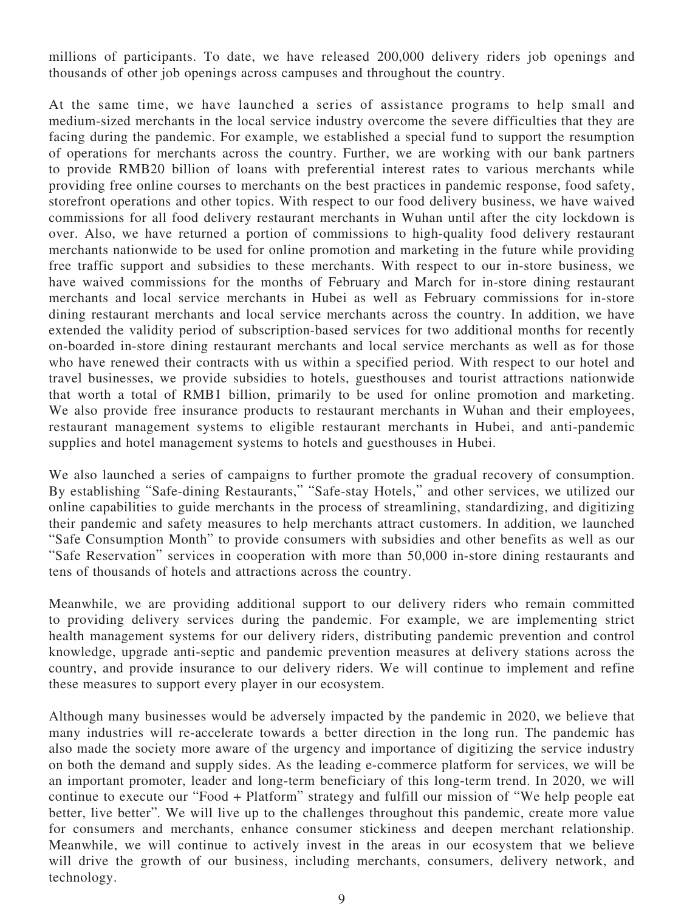millions of participants. To date, we have released 200,000 delivery riders job openings and thousands of other job openings across campuses and throughout the country.

At the same time, we have launched a series of assistance programs to help small and medium-sized merchants in the local service industry overcome the severe difficulties that they are facing during the pandemic. For example, we established a special fund to support the resumption of operations for merchants across the country. Further, we are working with our bank partners to provide RMB20 billion of loans with preferential interest rates to various merchants while providing free online courses to merchants on the best practices in pandemic response, food safety, storefront operations and other topics. With respect to our food delivery business, we have waived commissions for all food delivery restaurant merchants in Wuhan until after the city lockdown is over. Also, we have returned a portion of commissions to high-quality food delivery restaurant merchants nationwide to be used for online promotion and marketing in the future while providing free traffic support and subsidies to these merchants. With respect to our in-store business, we have waived commissions for the months of February and March for in-store dining restaurant merchants and local service merchants in Hubei as well as February commissions for in-store dining restaurant merchants and local service merchants across the country. In addition, we have extended the validity period of subscription-based services for two additional months for recently on-boarded in-store dining restaurant merchants and local service merchants as well as for those who have renewed their contracts with us within a specified period. With respect to our hotel and travel businesses, we provide subsidies to hotels, guesthouses and tourist attractions nationwide that worth a total of RMB1 billion, primarily to be used for online promotion and marketing. We also provide free insurance products to restaurant merchants in Wuhan and their employees, restaurant management systems to eligible restaurant merchants in Hubei, and anti-pandemic supplies and hotel management systems to hotels and guesthouses in Hubei.

We also launched a series of campaigns to further promote the gradual recovery of consumption. By establishing "Safe-dining Restaurants," "Safe-stay Hotels," and other services, we utilized our online capabilities to guide merchants in the process of streamlining, standardizing, and digitizing their pandemic and safety measures to help merchants attract customers. In addition, we launched "Safe Consumption Month" to provide consumers with subsidies and other benefits as well as our "Safe Reservation" services in cooperation with more than 50,000 in-store dining restaurants and tens of thousands of hotels and attractions across the country.

Meanwhile, we are providing additional support to our delivery riders who remain committed to providing delivery services during the pandemic. For example, we are implementing strict health management systems for our delivery riders, distributing pandemic prevention and control knowledge, upgrade anti-septic and pandemic prevention measures at delivery stations across the country, and provide insurance to our delivery riders. We will continue to implement and refine these measures to support every player in our ecosystem.

Although many businesses would be adversely impacted by the pandemic in 2020, we believe that many industries will re-accelerate towards a better direction in the long run. The pandemic has also made the society more aware of the urgency and importance of digitizing the service industry on both the demand and supply sides. As the leading e-commerce platform for services, we will be an important promoter, leader and long-term beneficiary of this long-term trend. In 2020, we will continue to execute our "Food + Platform" strategy and fulfill our mission of "We help people eat better, live better". We will live up to the challenges throughout this pandemic, create more value for consumers and merchants, enhance consumer stickiness and deepen merchant relationship. Meanwhile, we will continue to actively invest in the areas in our ecosystem that we believe will drive the growth of our business, including merchants, consumers, delivery network, and technology.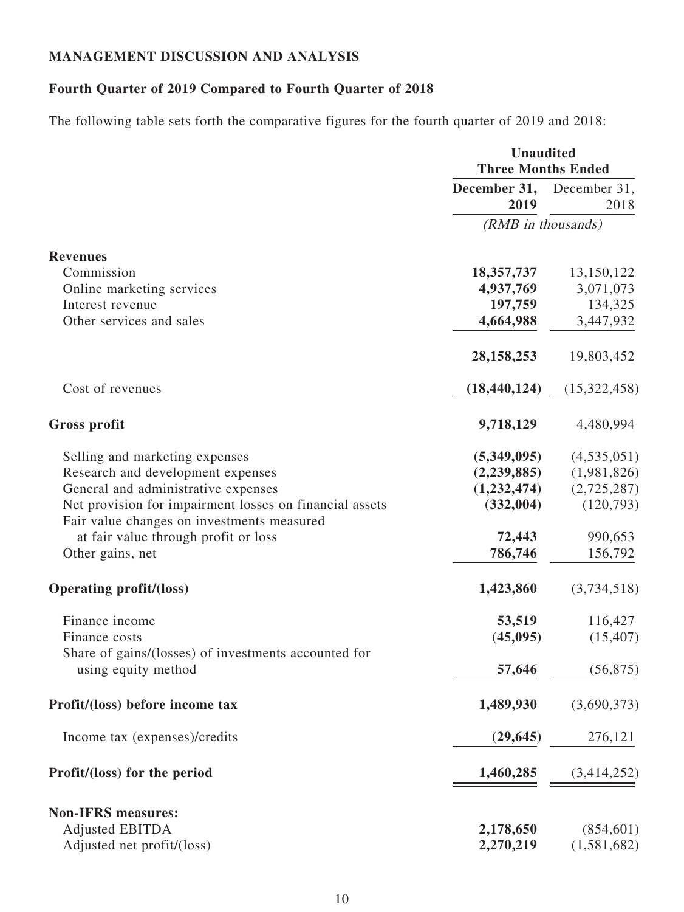# **MANAGEMENT DISCUSSION AND ANALYSIS**

# **Fourth Quarter of 2019 Compared to Fourth Quarter of 2018**

The following table sets forth the comparative figures for the fourth quarter of 2019 and 2018:

|                                                                                                       | <b>Unaudited</b><br><b>Three Months Ended</b> |                      |  |
|-------------------------------------------------------------------------------------------------------|-----------------------------------------------|----------------------|--|
|                                                                                                       | December 31,<br>2019                          | December 31,<br>2018 |  |
|                                                                                                       | (RMB in thousands)                            |                      |  |
| <b>Revenues</b>                                                                                       |                                               |                      |  |
| Commission                                                                                            | 18,357,737                                    | 13,150,122           |  |
| Online marketing services                                                                             | 4,937,769                                     | 3,071,073            |  |
| Interest revenue                                                                                      | 197,759                                       | 134,325              |  |
| Other services and sales                                                                              | 4,664,988                                     | 3,447,932            |  |
|                                                                                                       | 28, 158, 253                                  | 19,803,452           |  |
| Cost of revenues                                                                                      | (18, 440, 124)                                | (15,322,458)         |  |
| <b>Gross profit</b>                                                                                   | 9,718,129                                     | 4,480,994            |  |
| Selling and marketing expenses                                                                        | (5,349,095)                                   | (4,535,051)          |  |
| Research and development expenses                                                                     | (2, 239, 885)                                 | (1,981,826)          |  |
| General and administrative expenses                                                                   | (1,232,474)                                   | (2,725,287)          |  |
| Net provision for impairment losses on financial assets<br>Fair value changes on investments measured | (332,004)                                     | (120,793)            |  |
| at fair value through profit or loss                                                                  | 72,443                                        | 990,653              |  |
| Other gains, net                                                                                      | 786,746                                       | 156,792              |  |
| <b>Operating profit/(loss)</b>                                                                        | 1,423,860                                     | (3,734,518)          |  |
| Finance income                                                                                        | 53,519                                        | 116,427              |  |
| Finance costs<br>Share of gains/(losses) of investments accounted for                                 | (45,095)                                      | (15, 407)            |  |
| using equity method                                                                                   | 57,646                                        | (56, 875)            |  |
| Profit/(loss) before income tax                                                                       | 1,489,930                                     | (3,690,373)          |  |
| Income tax (expenses)/credits                                                                         | (29, 645)                                     | 276,121              |  |
| Profit/(loss) for the period                                                                          | 1,460,285                                     | (3,414,252)          |  |
| <b>Non-IFRS measures:</b>                                                                             |                                               |                      |  |
| <b>Adjusted EBITDA</b>                                                                                | 2,178,650                                     | (854, 601)           |  |
| Adjusted net profit/(loss)                                                                            | 2,270,219                                     | (1,581,682)          |  |
|                                                                                                       |                                               |                      |  |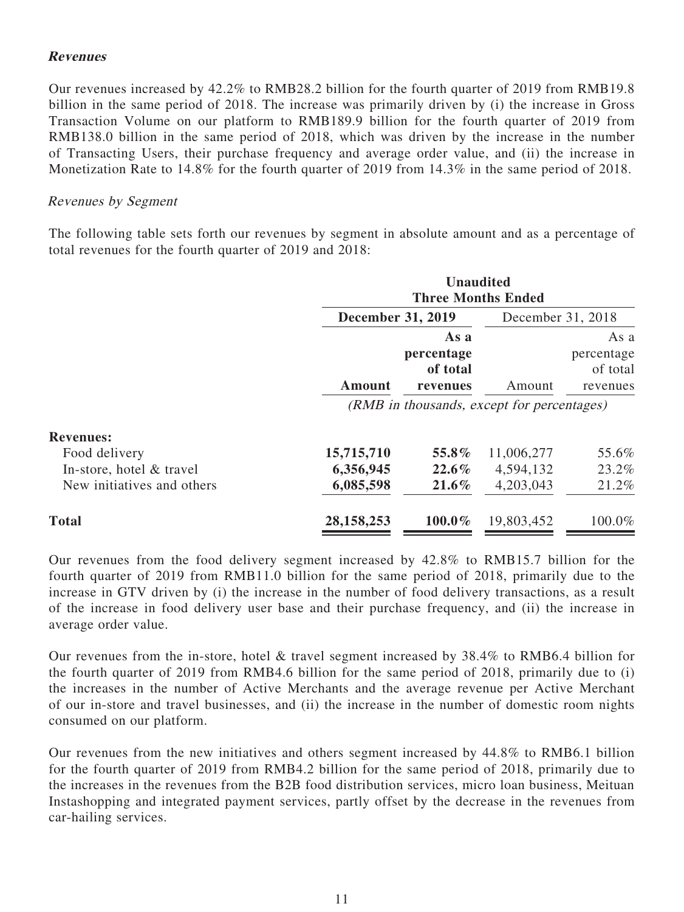### **Revenues**

Our revenues increased by 42.2% to RMB28.2 billion for the fourth quarter of 2019 from RMB19.8 billion in the same period of 2018. The increase was primarily driven by (i) the increase in Gross Transaction Volume on our platform to RMB189.9 billion for the fourth quarter of 2019 from RMB138.0 billion in the same period of 2018, which was driven by the increase in the number of Transacting Users, their purchase frequency and average order value, and (ii) the increase in Monetization Rate to 14.8% for the fourth quarter of 2019 from 14.3% in the same period of 2018.

#### Revenues by Segment

The following table sets forth our revenues by segment in absolute amount and as a percentage of total revenues for the fourth quarter of 2019 and 2018:

|                            | <b>Unaudited</b><br><b>Three Months Ended</b> |                                            |            |                                            |  |
|----------------------------|-----------------------------------------------|--------------------------------------------|------------|--------------------------------------------|--|
|                            | <b>December 31, 2019</b>                      | December 31, 2018                          |            |                                            |  |
|                            | Amount                                        | As a<br>percentage<br>of total<br>revenues | Amount     | As a<br>percentage<br>of total<br>revenues |  |
|                            | (RMB in thousands, except for percentages)    |                                            |            |                                            |  |
| <b>Revenues:</b>           |                                               |                                            |            |                                            |  |
| Food delivery              | 15,715,710                                    | 55.8%                                      | 11,006,277 | 55.6%                                      |  |
| In-store, hotel & travel   | 6,356,945                                     | $22.6\%$                                   | 4,594,132  | 23.2%                                      |  |
| New initiatives and others | 6,085,598                                     | $21.6\%$                                   | 4,203,043  | 21.2%                                      |  |
| <b>Total</b>               | 28, 158, 253                                  | 100.0%                                     | 19,803,452 | 100.0%                                     |  |

Our revenues from the food delivery segment increased by 42.8% to RMB15.7 billion for the fourth quarter of 2019 from RMB11.0 billion for the same period of 2018, primarily due to the increase in GTV driven by (i) the increase in the number of food delivery transactions, as a result of the increase in food delivery user base and their purchase frequency, and (ii) the increase in average order value.

Our revenues from the in-store, hotel & travel segment increased by 38.4% to RMB6.4 billion for the fourth quarter of 2019 from RMB4.6 billion for the same period of 2018, primarily due to (i) the increases in the number of Active Merchants and the average revenue per Active Merchant of our in-store and travel businesses, and (ii) the increase in the number of domestic room nights consumed on our platform.

Our revenues from the new initiatives and others segment increased by 44.8% to RMB6.1 billion for the fourth quarter of 2019 from RMB4.2 billion for the same period of 2018, primarily due to the increases in the revenues from the B2B food distribution services, micro loan business, Meituan Instashopping and integrated payment services, partly offset by the decrease in the revenues from car-hailing services.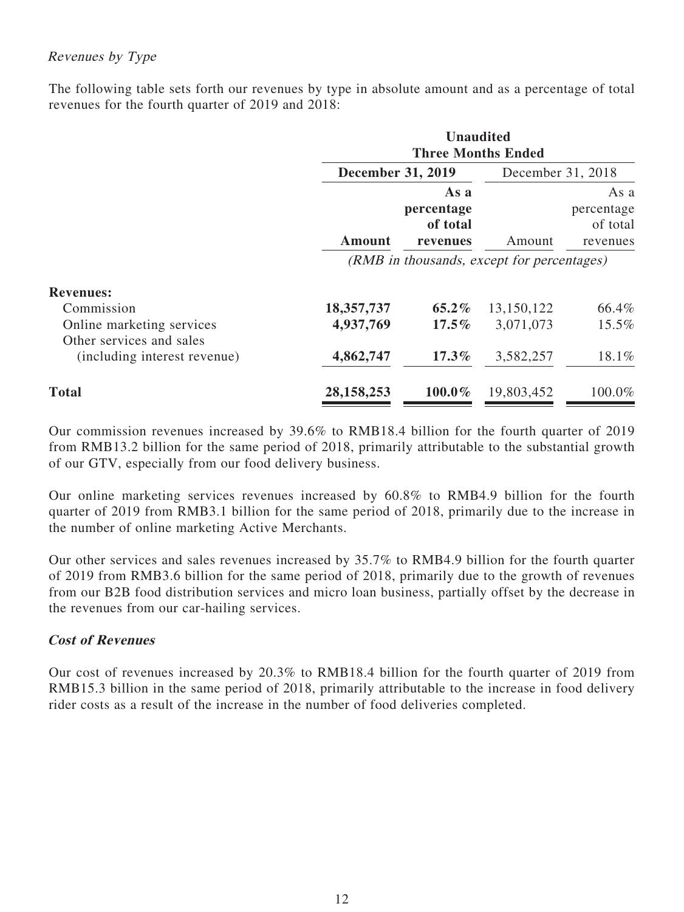# Revenues by Type

The following table sets forth our revenues by type in absolute amount and as a percentage of total revenues for the fourth quarter of 2019 and 2018:

|                                                       | <b>Unaudited</b><br><b>Three Months Ended</b> |                                            |                   |                                            |  |
|-------------------------------------------------------|-----------------------------------------------|--------------------------------------------|-------------------|--------------------------------------------|--|
|                                                       | <b>December 31, 2019</b>                      |                                            | December 31, 2018 |                                            |  |
|                                                       | Amount                                        | As a<br>percentage<br>of total<br>revenues | Amount            | As a<br>percentage<br>of total<br>revenues |  |
|                                                       | (RMB in thousands, except for percentages)    |                                            |                   |                                            |  |
| <b>Revenues:</b>                                      |                                               |                                            |                   |                                            |  |
| Commission                                            | 18,357,737                                    | $65.2\%$                                   | 13,150,122        | 66.4%                                      |  |
| Online marketing services<br>Other services and sales | 4,937,769                                     | $17.5\%$                                   | 3,071,073         | 15.5%                                      |  |
| (including interest revenue)                          | 4,862,747                                     | $17.3\%$                                   | 3,582,257         | 18.1%                                      |  |
| <b>Total</b>                                          | 28, 158, 253                                  | 100.0%                                     | 19,803,452        | 100.0%                                     |  |

Our commission revenues increased by 39.6% to RMB18.4 billion for the fourth quarter of 2019 from RMB13.2 billion for the same period of 2018, primarily attributable to the substantial growth of our GTV, especially from our food delivery business.

Our online marketing services revenues increased by 60.8% to RMB4.9 billion for the fourth quarter of 2019 from RMB3.1 billion for the same period of 2018, primarily due to the increase in the number of online marketing Active Merchants.

Our other services and sales revenues increased by 35.7% to RMB4.9 billion for the fourth quarter of 2019 from RMB3.6 billion for the same period of 2018, primarily due to the growth of revenues from our B2B food distribution services and micro loan business, partially offset by the decrease in the revenues from our car-hailing services.

# **Cost of Revenues**

Our cost of revenues increased by 20.3% to RMB18.4 billion for the fourth quarter of 2019 from RMB15.3 billion in the same period of 2018, primarily attributable to the increase in food delivery rider costs as a result of the increase in the number of food deliveries completed.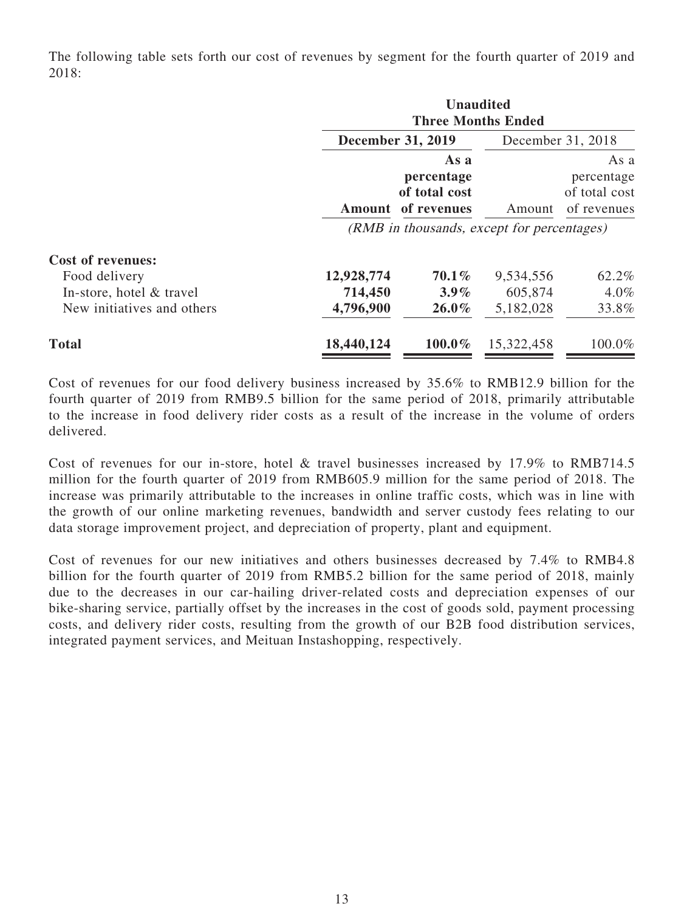The following table sets forth our cost of revenues by segment for the fourth quarter of 2019 and 2018:

|                                                                       |                          | <b>Unaudited</b><br><b>Three Months Ended</b>                                                           |                      |                                                    |  |  |
|-----------------------------------------------------------------------|--------------------------|---------------------------------------------------------------------------------------------------------|----------------------|----------------------------------------------------|--|--|
|                                                                       | <b>December 31, 2019</b> |                                                                                                         |                      | December 31, 2018                                  |  |  |
|                                                                       |                          | As a<br>percentage<br>of total cost<br>Amount of revenues<br>(RMB in thousands, except for percentages) |                      | As a<br>percentage<br>of total cost<br>of revenues |  |  |
| <b>Cost of revenues:</b><br>Food delivery<br>In-store, hotel & travel | 12,928,774<br>714,450    | $70.1\%$<br>$3.9\%$                                                                                     | 9,534,556<br>605,874 | 62.2%<br>$4.0\%$                                   |  |  |
| New initiatives and others                                            | 4,796,900                | $26.0\%$                                                                                                | 5,182,028            | 33.8%                                              |  |  |

**Total 18,440,124 100.0%** 15,322,458 100.0%

Cost of revenues for our food delivery business increased by 35.6% to RMB12.9 billion for the fourth quarter of 2019 from RMB9.5 billion for the same period of 2018, primarily attributable to the increase in food delivery rider costs as a result of the increase in the volume of orders delivered.

Cost of revenues for our in-store, hotel & travel businesses increased by 17.9% to RMB714.5 million for the fourth quarter of 2019 from RMB605.9 million for the same period of 2018. The increase was primarily attributable to the increases in online traffic costs, which was in line with the growth of our online marketing revenues, bandwidth and server custody fees relating to our data storage improvement project, and depreciation of property, plant and equipment.

Cost of revenues for our new initiatives and others businesses decreased by 7.4% to RMB4.8 billion for the fourth quarter of 2019 from RMB5.2 billion for the same period of 2018, mainly due to the decreases in our car-hailing driver-related costs and depreciation expenses of our bike-sharing service, partially offset by the increases in the cost of goods sold, payment processing costs, and delivery rider costs, resulting from the growth of our B2B food distribution services, integrated payment services, and Meituan Instashopping, respectively.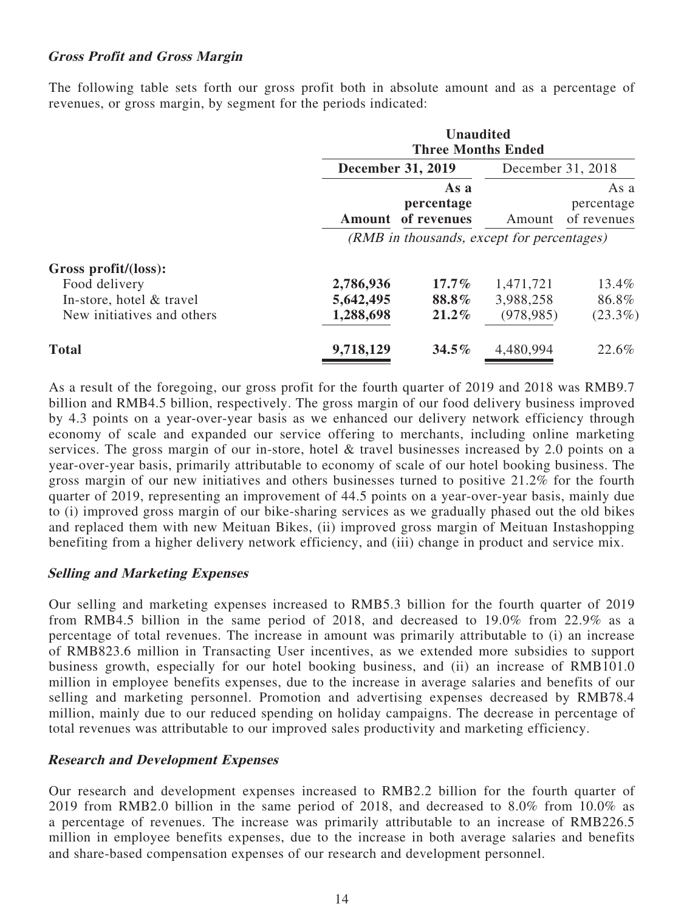### **Gross Profit and Gross Margin**

The following table sets forth our gross profit both in absolute amount and as a percentage of revenues, or gross margin, by segment for the periods indicated:

|                            | <b>Unaudited</b><br><b>Three Months Ended</b> |                                   |            |                                   |  |  |
|----------------------------|-----------------------------------------------|-----------------------------------|------------|-----------------------------------|--|--|
|                            |                                               | <b>December 31, 2019</b>          |            |                                   |  |  |
|                            | Amount                                        | As a<br>percentage<br>of revenues | Amount     | As a<br>percentage<br>of revenues |  |  |
|                            | (RMB in thousands, except for percentages)    |                                   |            |                                   |  |  |
| Gross profit/(loss):       |                                               |                                   |            |                                   |  |  |
| Food delivery              | 2,786,936                                     | $17.7\%$                          | 1,471,721  | 13.4%                             |  |  |
| In-store, hotel & travel   | 5,642,495                                     | 88.8%                             | 3,988,258  | 86.8%                             |  |  |
| New initiatives and others | 1,288,698                                     | 21.2%                             | (978, 985) | $(23.3\%)$                        |  |  |
| <b>Total</b>               | 9,718,129                                     | 34.5%                             | 4,480,994  | 22.6%                             |  |  |

As a result of the foregoing, our gross profit for the fourth quarter of 2019 and 2018 was RMB9.7 billion and RMB4.5 billion, respectively. The gross margin of our food delivery business improved by 4.3 points on a year-over-year basis as we enhanced our delivery network efficiency through economy of scale and expanded our service offering to merchants, including online marketing services. The gross margin of our in-store, hotel & travel businesses increased by 2.0 points on a year-over-year basis, primarily attributable to economy of scale of our hotel booking business. The gross margin of our new initiatives and others businesses turned to positive 21.2% for the fourth quarter of 2019, representing an improvement of 44.5 points on a year-over-year basis, mainly due to (i) improved gross margin of our bike-sharing services as we gradually phased out the old bikes and replaced them with new Meituan Bikes, (ii) improved gross margin of Meituan Instashopping benefiting from a higher delivery network efficiency, and (iii) change in product and service mix.

#### **Selling and Marketing Expenses**

Our selling and marketing expenses increased to RMB5.3 billion for the fourth quarter of 2019 from RMB4.5 billion in the same period of 2018, and decreased to 19.0% from 22.9% as a percentage of total revenues. The increase in amount was primarily attributable to (i) an increase of RMB823.6 million in Transacting User incentives, as we extended more subsidies to support business growth, especially for our hotel booking business, and (ii) an increase of RMB101.0 million in employee benefits expenses, due to the increase in average salaries and benefits of our selling and marketing personnel. Promotion and advertising expenses decreased by RMB78.4 million, mainly due to our reduced spending on holiday campaigns. The decrease in percentage of total revenues was attributable to our improved sales productivity and marketing efficiency.

#### **Research and Development Expenses**

Our research and development expenses increased to RMB2.2 billion for the fourth quarter of 2019 from RMB2.0 billion in the same period of 2018, and decreased to 8.0% from 10.0% as a percentage of revenues. The increase was primarily attributable to an increase of RMB226.5 million in employee benefits expenses, due to the increase in both average salaries and benefits and share-based compensation expenses of our research and development personnel.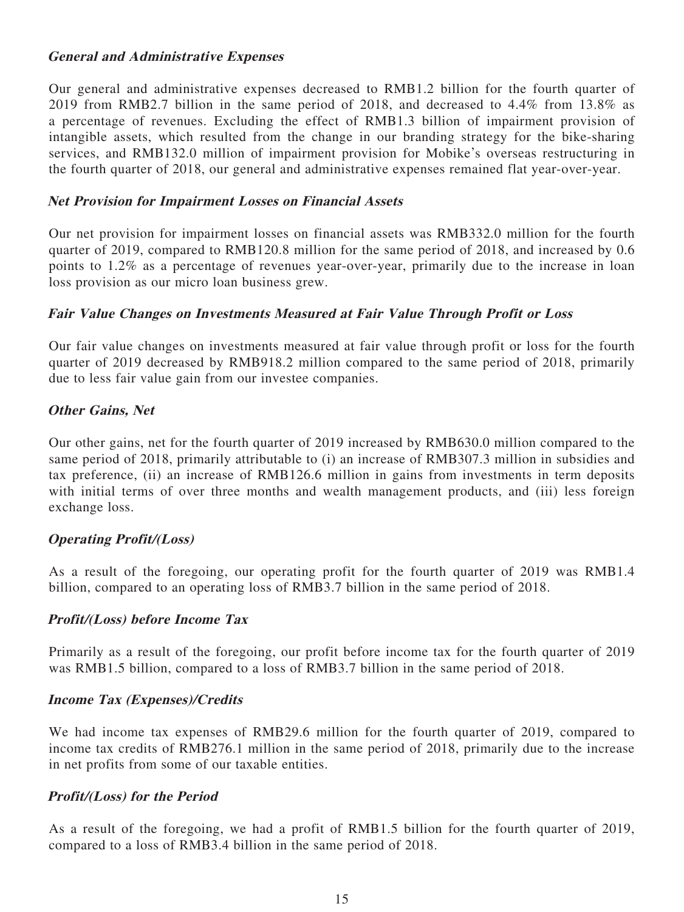### **General and Administrative Expenses**

Our general and administrative expenses decreased to RMB1.2 billion for the fourth quarter of 2019 from RMB2.7 billion in the same period of 2018, and decreased to 4.4% from 13.8% as a percentage of revenues. Excluding the effect of RMB1.3 billion of impairment provision of intangible assets, which resulted from the change in our branding strategy for the bike-sharing services, and RMB132.0 million of impairment provision for Mobike's overseas restructuring in the fourth quarter of 2018, our general and administrative expenses remained flat year-over-year.

#### **Net Provision for Impairment Losses on Financial Assets**

Our net provision for impairment losses on financial assets was RMB332.0 million for the fourth quarter of 2019, compared to RMB120.8 million for the same period of 2018, and increased by 0.6 points to 1.2% as a percentage of revenues year-over-year, primarily due to the increase in loan loss provision as our micro loan business grew.

### **Fair Value Changes on Investments Measured at Fair Value Through Profit or Loss**

Our fair value changes on investments measured at fair value through profit or loss for the fourth quarter of 2019 decreased by RMB918.2 million compared to the same period of 2018, primarily due to less fair value gain from our investee companies.

### **Other Gains, Net**

Our other gains, net for the fourth quarter of 2019 increased by RMB630.0 million compared to the same period of 2018, primarily attributable to (i) an increase of RMB307.3 million in subsidies and tax preference, (ii) an increase of RMB126.6 million in gains from investments in term deposits with initial terms of over three months and wealth management products, and (iii) less foreign exchange loss.

#### **Operating Profit/(Loss)**

As a result of the foregoing, our operating profit for the fourth quarter of 2019 was RMB1.4 billion, compared to an operating loss of RMB3.7 billion in the same period of 2018.

#### **Profit/(Loss) before Income Tax**

Primarily as a result of the foregoing, our profit before income tax for the fourth quarter of 2019 was RMB1.5 billion, compared to a loss of RMB3.7 billion in the same period of 2018.

#### **Income Tax (Expenses)/Credits**

We had income tax expenses of RMB29.6 million for the fourth quarter of 2019, compared to income tax credits of RMB276.1 million in the same period of 2018, primarily due to the increase in net profits from some of our taxable entities.

#### **Profit/(Loss) for the Period**

As a result of the foregoing, we had a profit of RMB1.5 billion for the fourth quarter of 2019, compared to a loss of RMB3.4 billion in the same period of 2018.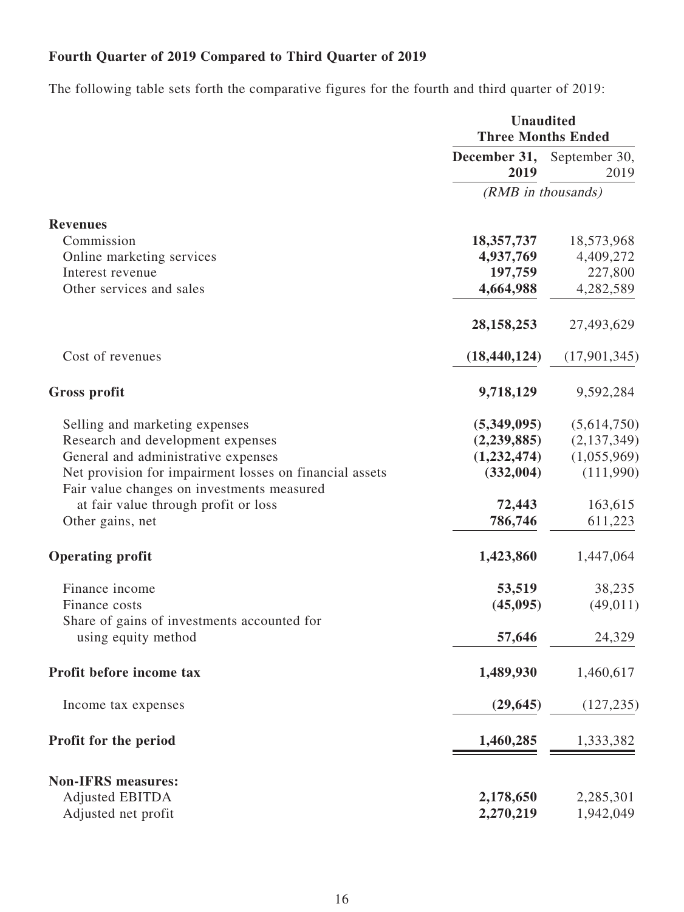# **Fourth Quarter of 2019 Compared to Third Quarter of 2019**

The following table sets forth the comparative figures for the fourth and third quarter of 2019:

|                                                                                                       | <b>Unaudited</b><br><b>Three Months Ended</b> |              |  |
|-------------------------------------------------------------------------------------------------------|-----------------------------------------------|--------------|--|
|                                                                                                       | December 31, September 30,<br>2019            | 2019         |  |
|                                                                                                       | (RMB in thousands)                            |              |  |
| <b>Revenues</b>                                                                                       |                                               |              |  |
| Commission                                                                                            | 18,357,737                                    | 18,573,968   |  |
| Online marketing services                                                                             | 4,937,769                                     | 4,409,272    |  |
| Interest revenue                                                                                      | 197,759                                       | 227,800      |  |
| Other services and sales                                                                              | 4,664,988                                     | 4,282,589    |  |
|                                                                                                       | 28, 158, 253                                  | 27,493,629   |  |
| Cost of revenues                                                                                      | (18, 440, 124)                                | (17,901,345) |  |
| <b>Gross profit</b>                                                                                   | 9,718,129                                     | 9,592,284    |  |
| Selling and marketing expenses                                                                        | (5,349,095)                                   | (5,614,750)  |  |
| Research and development expenses                                                                     | (2,239,885)                                   | (2,137,349)  |  |
| General and administrative expenses                                                                   | (1,232,474)                                   | (1,055,969)  |  |
| Net provision for impairment losses on financial assets<br>Fair value changes on investments measured | (332,004)                                     | (111,990)    |  |
| at fair value through profit or loss                                                                  | 72,443                                        | 163,615      |  |
| Other gains, net                                                                                      | 786,746                                       | 611,223      |  |
| <b>Operating profit</b>                                                                               | 1,423,860                                     | 1,447,064    |  |
| Finance income                                                                                        | 53,519                                        | 38,235       |  |
| Finance costs                                                                                         | (45,095)                                      | (49, 011)    |  |
| Share of gains of investments accounted for<br>using equity method                                    | 57,646                                        | 24,329       |  |
| Profit before income tax                                                                              | 1,489,930                                     | 1,460,617    |  |
| Income tax expenses                                                                                   | (29, 645)                                     | (127, 235)   |  |
| Profit for the period                                                                                 | 1,460,285                                     | 1,333,382    |  |
|                                                                                                       |                                               |              |  |
| <b>Non-IFRS measures:</b>                                                                             |                                               |              |  |
| <b>Adjusted EBITDA</b>                                                                                | 2,178,650                                     | 2,285,301    |  |
| Adjusted net profit                                                                                   | 2,270,219                                     | 1,942,049    |  |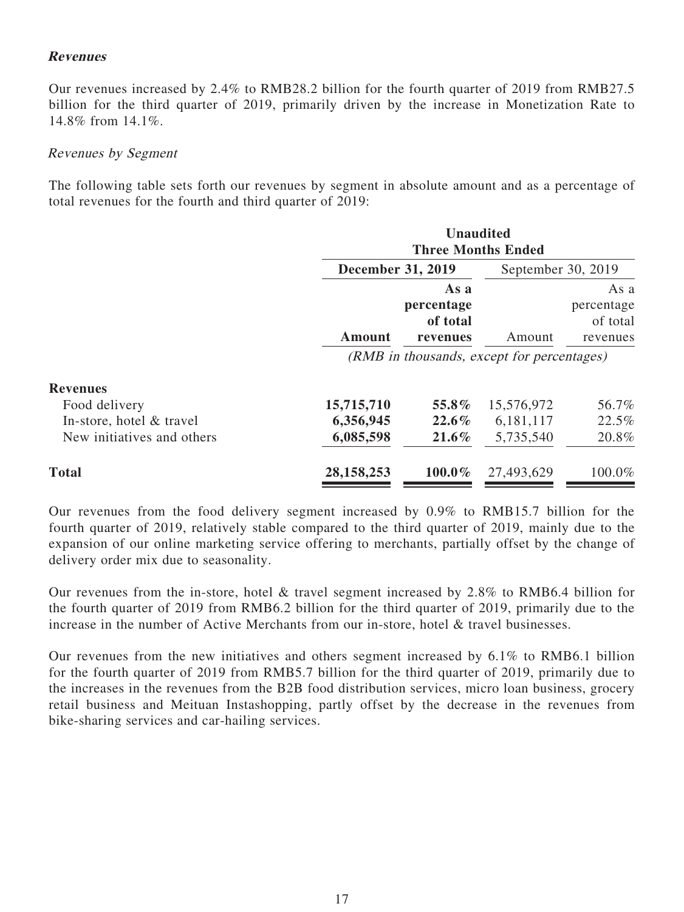### **Revenues**

Our revenues increased by 2.4% to RMB28.2 billion for the fourth quarter of 2019 from RMB27.5 billion for the third quarter of 2019, primarily driven by the increase in Monetization Rate to 14.8% from 14.1%.

#### Revenues by Segment

The following table sets forth our revenues by segment in absolute amount and as a percentage of total revenues for the fourth and third quarter of 2019:

|                            | <b>Unaudited</b><br><b>Three Months Ended</b> |                                            |                    |                                            |
|----------------------------|-----------------------------------------------|--------------------------------------------|--------------------|--------------------------------------------|
|                            | <b>December 31, 2019</b>                      |                                            | September 30, 2019 |                                            |
|                            | <b>Amount</b>                                 | As a<br>percentage<br>of total<br>revenues | Amount             | As a<br>percentage<br>of total<br>revenues |
|                            | (RMB in thousands, except for percentages)    |                                            |                    |                                            |
| <b>Revenues</b>            |                                               |                                            |                    |                                            |
| Food delivery              | 15,715,710                                    | 55.8%                                      | 15,576,972         | 56.7%                                      |
| In-store, hotel & travel   | 6,356,945                                     | $22.6\%$                                   | 6,181,117          | 22.5%                                      |
| New initiatives and others | 6,085,598                                     | $21.6\%$                                   | 5,735,540          | 20.8%                                      |
| <b>Total</b>               | 28, 158, 253                                  | 100.0%                                     | 27,493,629         | 100.0%                                     |

Our revenues from the food delivery segment increased by 0.9% to RMB15.7 billion for the fourth quarter of 2019, relatively stable compared to the third quarter of 2019, mainly due to the expansion of our online marketing service offering to merchants, partially offset by the change of delivery order mix due to seasonality.

Our revenues from the in-store, hotel & travel segment increased by 2.8% to RMB6.4 billion for the fourth quarter of 2019 from RMB6.2 billion for the third quarter of 2019, primarily due to the increase in the number of Active Merchants from our in-store, hotel & travel businesses.

Our revenues from the new initiatives and others segment increased by 6.1% to RMB6.1 billion for the fourth quarter of 2019 from RMB5.7 billion for the third quarter of 2019, primarily due to the increases in the revenues from the B2B food distribution services, micro loan business, grocery retail business and Meituan Instashopping, partly offset by the decrease in the revenues from bike-sharing services and car-hailing services.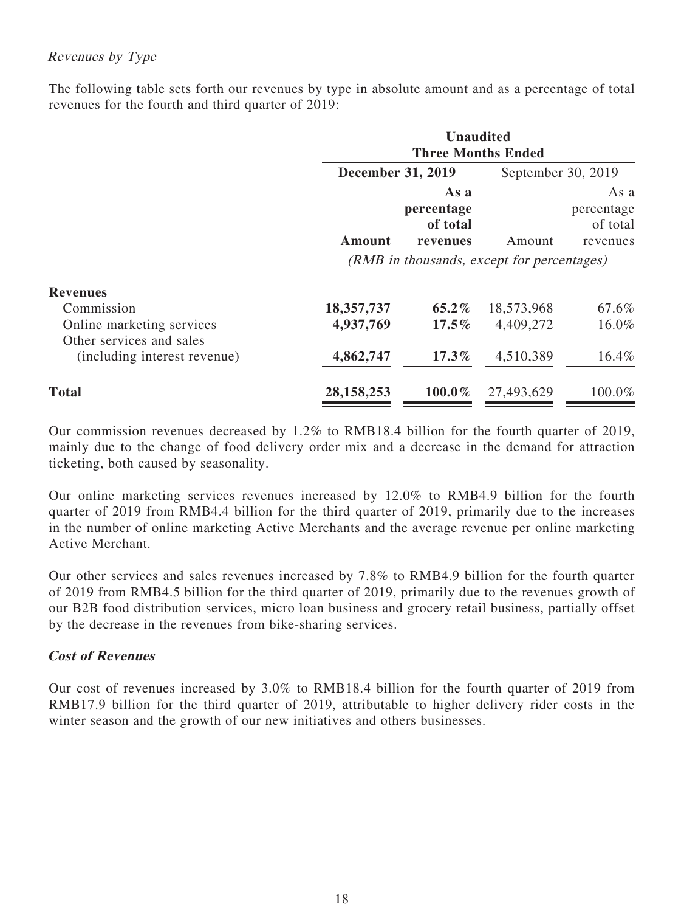# Revenues by Type

The following table sets forth our revenues by type in absolute amount and as a percentage of total revenues for the fourth and third quarter of 2019:

|                                                       | <b>Unaudited</b><br><b>Three Months Ended</b> |                                            |                                            |                                            |
|-------------------------------------------------------|-----------------------------------------------|--------------------------------------------|--------------------------------------------|--------------------------------------------|
|                                                       | <b>December 31, 2019</b>                      |                                            | September 30, 2019                         |                                            |
|                                                       | Amount                                        | As a<br>percentage<br>of total<br>revenues | Amount                                     | As a<br>percentage<br>of total<br>revenues |
|                                                       |                                               |                                            | (RMB in thousands, except for percentages) |                                            |
| <b>Revenues</b>                                       |                                               |                                            |                                            |                                            |
| Commission                                            | 18,357,737                                    | $65.2\%$                                   | 18,573,968                                 | 67.6%                                      |
| Online marketing services<br>Other services and sales | 4,937,769                                     | $17.5\%$                                   | 4,409,272                                  | 16.0%                                      |
| (including interest revenue)                          | 4,862,747                                     | $17.3\%$                                   | 4,510,389                                  | $16.4\%$                                   |
| <b>Total</b>                                          | 28, 158, 253                                  | $100.0\%$                                  | 27,493,629                                 | 100.0%                                     |

Our commission revenues decreased by 1.2% to RMB18.4 billion for the fourth quarter of 2019, mainly due to the change of food delivery order mix and a decrease in the demand for attraction ticketing, both caused by seasonality.

Our online marketing services revenues increased by 12.0% to RMB4.9 billion for the fourth quarter of 2019 from RMB4.4 billion for the third quarter of 2019, primarily due to the increases in the number of online marketing Active Merchants and the average revenue per online marketing Active Merchant.

Our other services and sales revenues increased by 7.8% to RMB4.9 billion for the fourth quarter of 2019 from RMB4.5 billion for the third quarter of 2019, primarily due to the revenues growth of our B2B food distribution services, micro loan business and grocery retail business, partially offset by the decrease in the revenues from bike-sharing services.

# **Cost of Revenues**

Our cost of revenues increased by 3.0% to RMB18.4 billion for the fourth quarter of 2019 from RMB17.9 billion for the third quarter of 2019, attributable to higher delivery rider costs in the winter season and the growth of our new initiatives and others businesses.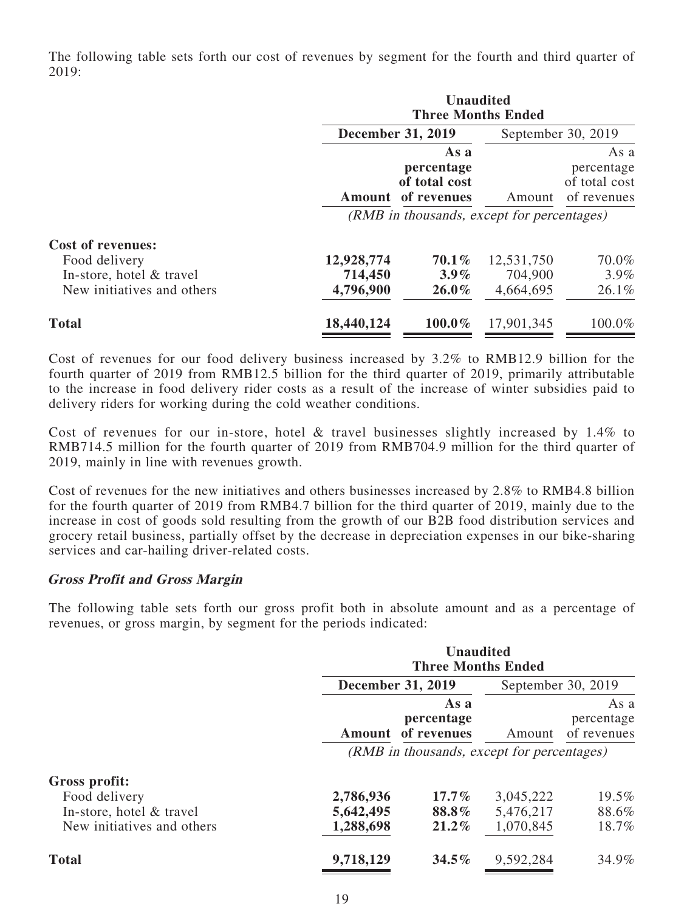The following table sets forth our cost of revenues by segment for the fourth and third quarter of 2019:

|                                                                                                     | <b>Unaudited</b><br><b>Three Months Ended</b> |                                                    |                                    |                                                    |
|-----------------------------------------------------------------------------------------------------|-----------------------------------------------|----------------------------------------------------|------------------------------------|----------------------------------------------------|
|                                                                                                     | <b>December 31, 2019</b>                      |                                                    |                                    | September 30, 2019                                 |
|                                                                                                     | Amount                                        | As a<br>percentage<br>of total cost<br>of revenues | Amount                             | As a<br>percentage<br>of total cost<br>of revenues |
|                                                                                                     | (RMB in thousands, except for percentages)    |                                                    |                                    |                                                    |
| <b>Cost of revenues:</b><br>Food delivery<br>In-store, hotel & travel<br>New initiatives and others | 12,928,774<br>714,450<br>4,796,900            | $70.1\%$<br>$3.9\%$<br>$26.0\%$                    | 12,531,750<br>704,900<br>4,664,695 | 70.0%<br>$3.9\%$<br>$26.1\%$                       |
| <b>Total</b>                                                                                        | 18,440,124                                    | 100.0%                                             | 17,901,345                         | 100.0%                                             |

Cost of revenues for our food delivery business increased by 3.2% to RMB12.9 billion for the fourth quarter of 2019 from RMB12.5 billion for the third quarter of 2019, primarily attributable to the increase in food delivery rider costs as a result of the increase of winter subsidies paid to delivery riders for working during the cold weather conditions.

Cost of revenues for our in-store, hotel & travel businesses slightly increased by 1.4% to RMB714.5 million for the fourth quarter of 2019 from RMB704.9 million for the third quarter of 2019, mainly in line with revenues growth.

Cost of revenues for the new initiatives and others businesses increased by 2.8% to RMB4.8 billion for the fourth quarter of 2019 from RMB4.7 billion for the third quarter of 2019, mainly due to the increase in cost of goods sold resulting from the growth of our B2B food distribution services and grocery retail business, partially offset by the decrease in depreciation expenses in our bike-sharing services and car-hailing driver-related costs.

#### **Gross Profit and Gross Margin**

The following table sets forth our gross profit both in absolute amount and as a percentage of revenues, or gross margin, by segment for the periods indicated:

|                                           | <b>Unaudited</b><br><b>Three Months Ended</b> |                    |                        |                                   |
|-------------------------------------------|-----------------------------------------------|--------------------|------------------------|-----------------------------------|
|                                           | <b>December 31, 2019</b>                      |                    | September 30, 2019     |                                   |
|                                           | <b>Amount</b> of revenues                     | As a<br>percentage | Amount                 | As a<br>percentage<br>of revenues |
|                                           | (RMB in thousands, except for percentages)    |                    |                        |                                   |
| Gross profit:                             |                                               |                    |                        |                                   |
| Food delivery<br>In-store, hotel & travel | 2,786,936<br>5,642,495                        | $17.7\%$<br>88.8%  | 3,045,222<br>5,476,217 | 19.5%<br>88.6%                    |
| New initiatives and others                | 1,288,698                                     | 21.2%              | 1,070,845              | 18.7%                             |
| <b>Total</b>                              | 9,718,129                                     | $34.5\%$           | 9,592,284              | 34.9%                             |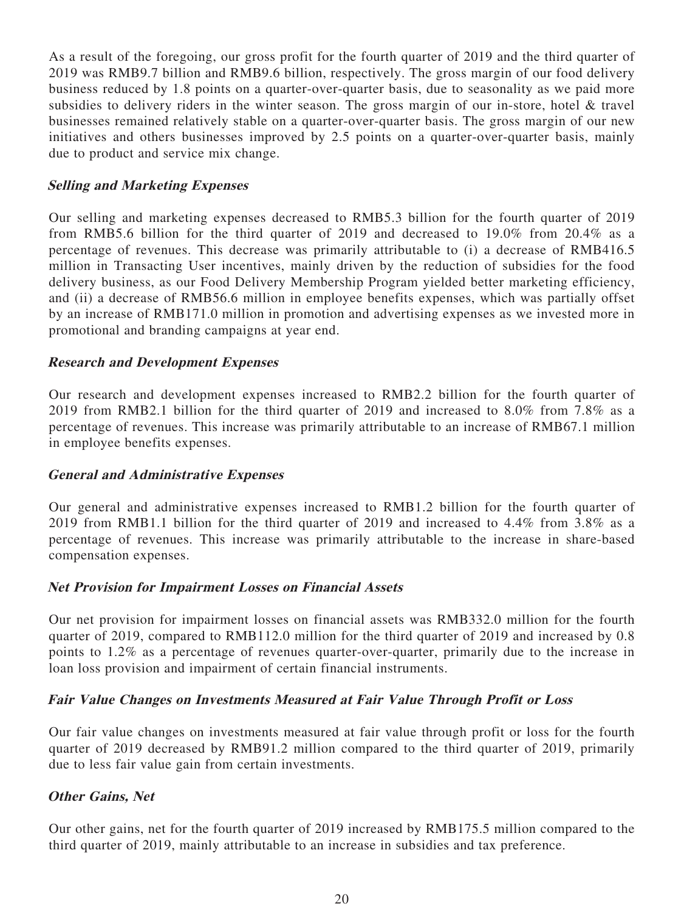As a result of the foregoing, our gross profit for the fourth quarter of 2019 and the third quarter of 2019 was RMB9.7 billion and RMB9.6 billion, respectively. The gross margin of our food delivery business reduced by 1.8 points on a quarter-over-quarter basis, due to seasonality as we paid more subsidies to delivery riders in the winter season. The gross margin of our in-store, hotel & travel businesses remained relatively stable on a quarter-over-quarter basis. The gross margin of our new initiatives and others businesses improved by 2.5 points on a quarter-over-quarter basis, mainly due to product and service mix change.

### **Selling and Marketing Expenses**

Our selling and marketing expenses decreased to RMB5.3 billion for the fourth quarter of 2019 from RMB5.6 billion for the third quarter of 2019 and decreased to 19.0% from 20.4% as a percentage of revenues. This decrease was primarily attributable to (i) a decrease of RMB416.5 million in Transacting User incentives, mainly driven by the reduction of subsidies for the food delivery business, as our Food Delivery Membership Program yielded better marketing efficiency, and (ii) a decrease of RMB56.6 million in employee benefits expenses, which was partially offset by an increase of RMB171.0 million in promotion and advertising expenses as we invested more in promotional and branding campaigns at year end.

### **Research and Development Expenses**

Our research and development expenses increased to RMB2.2 billion for the fourth quarter of 2019 from RMB2.1 billion for the third quarter of 2019 and increased to 8.0% from 7.8% as a percentage of revenues. This increase was primarily attributable to an increase of RMB67.1 million in employee benefits expenses.

#### **General and Administrative Expenses**

Our general and administrative expenses increased to RMB1.2 billion for the fourth quarter of 2019 from RMB1.1 billion for the third quarter of 2019 and increased to 4.4% from 3.8% as a percentage of revenues. This increase was primarily attributable to the increase in share-based compensation expenses.

#### **Net Provision for Impairment Losses on Financial Assets**

Our net provision for impairment losses on financial assets was RMB332.0 million for the fourth quarter of 2019, compared to RMB112.0 million for the third quarter of 2019 and increased by 0.8 points to 1.2% as a percentage of revenues quarter-over-quarter, primarily due to the increase in loan loss provision and impairment of certain financial instruments.

#### **Fair Value Changes on Investments Measured at Fair Value Through Profit or Loss**

Our fair value changes on investments measured at fair value through profit or loss for the fourth quarter of 2019 decreased by RMB91.2 million compared to the third quarter of 2019, primarily due to less fair value gain from certain investments.

# **Other Gains, Net**

Our other gains, net for the fourth quarter of 2019 increased by RMB175.5 million compared to the third quarter of 2019, mainly attributable to an increase in subsidies and tax preference.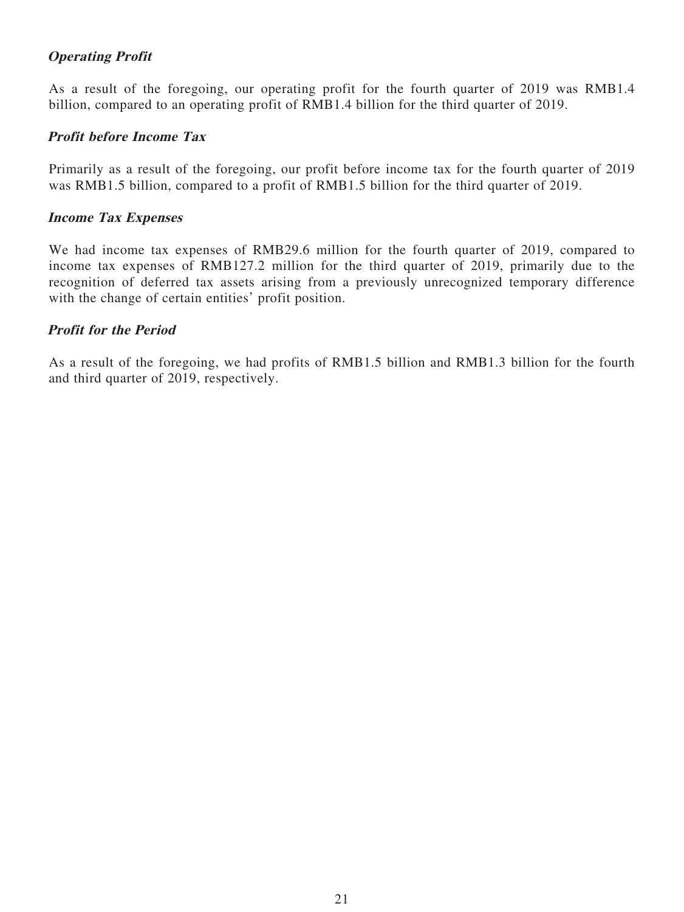# **Operating Profit**

As a result of the foregoing, our operating profit for the fourth quarter of 2019 was RMB1.4 billion, compared to an operating profit of RMB1.4 billion for the third quarter of 2019.

### **Profit before Income Tax**

Primarily as a result of the foregoing, our profit before income tax for the fourth quarter of 2019 was RMB1.5 billion, compared to a profit of RMB1.5 billion for the third quarter of 2019.

#### **Income Tax Expenses**

We had income tax expenses of RMB29.6 million for the fourth quarter of 2019, compared to income tax expenses of RMB127.2 million for the third quarter of 2019, primarily due to the recognition of deferred tax assets arising from a previously unrecognized temporary difference with the change of certain entities' profit position.

### **Profit for the Period**

As a result of the foregoing, we had profits of RMB1.5 billion and RMB1.3 billion for the fourth and third quarter of 2019, respectively.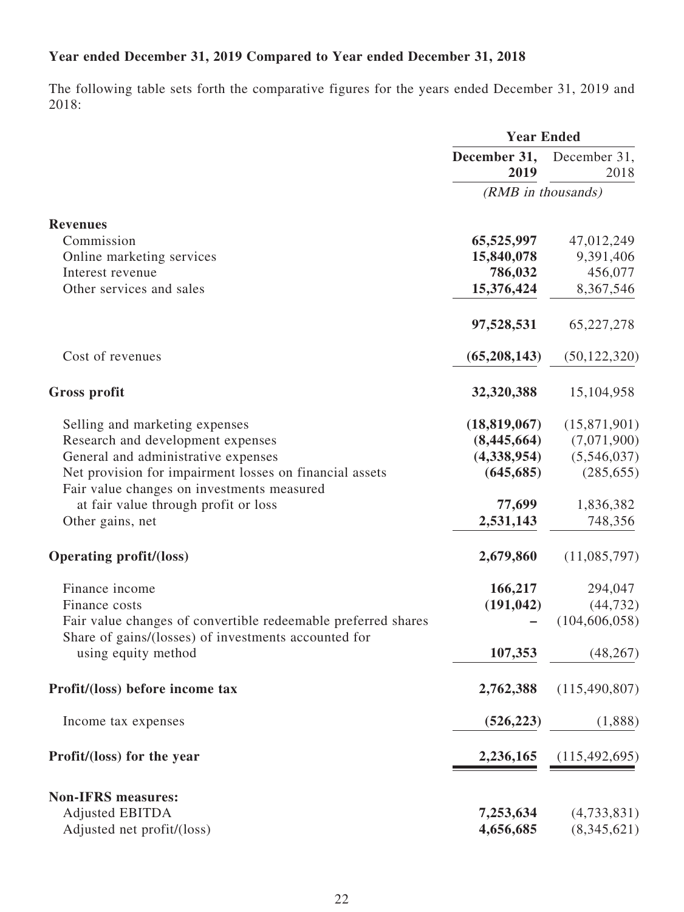# **Year ended December 31, 2019 Compared to Year ended December 31, 2018**

The following table sets forth the comparative figures for the years ended December 31, 2019 and 2018:

|                                                                                                                       | <b>Year Ended</b>    |                      |  |
|-----------------------------------------------------------------------------------------------------------------------|----------------------|----------------------|--|
|                                                                                                                       | December 31,<br>2019 | December 31,<br>2018 |  |
|                                                                                                                       | (RMB in thousands)   |                      |  |
| <b>Revenues</b>                                                                                                       |                      |                      |  |
| Commission                                                                                                            | 65,525,997           | 47,012,249           |  |
| Online marketing services                                                                                             | 15,840,078           | 9,391,406            |  |
| Interest revenue                                                                                                      | 786,032              | 456,077              |  |
| Other services and sales                                                                                              | 15,376,424           | 8,367,546            |  |
|                                                                                                                       | 97,528,531           | 65,227,278           |  |
| Cost of revenues                                                                                                      | (65,208,143)         | (50, 122, 320)       |  |
| <b>Gross profit</b>                                                                                                   | 32,320,388           | 15,104,958           |  |
| Selling and marketing expenses                                                                                        | (18, 819, 067)       | (15,871,901)         |  |
| Research and development expenses                                                                                     | (8,445,664)          | (7,071,900)          |  |
| General and administrative expenses                                                                                   | (4,338,954)          | (5,546,037)          |  |
| Net provision for impairment losses on financial assets<br>Fair value changes on investments measured                 | (645, 685)           | (285, 655)           |  |
| at fair value through profit or loss                                                                                  | 77,699               | 1,836,382            |  |
| Other gains, net                                                                                                      | 2,531,143            | 748,356              |  |
| <b>Operating profit/(loss)</b>                                                                                        | 2,679,860            | (11,085,797)         |  |
| Finance income                                                                                                        | 166,217              | 294,047              |  |
| Finance costs                                                                                                         | (191, 042)           | (44, 732)            |  |
| Fair value changes of convertible redeemable preferred shares<br>Share of gains/(losses) of investments accounted for |                      | (104, 606, 058)      |  |
| using equity method                                                                                                   | 107,353              | (48, 267)            |  |
| Profit/(loss) before income tax                                                                                       | 2,762,388            | (115, 490, 807)      |  |
| Income tax expenses                                                                                                   | (526, 223)           | (1,888)              |  |
| Profit/(loss) for the year                                                                                            | 2,236,165            | (115, 492, 695)      |  |
| <b>Non-IFRS measures:</b>                                                                                             |                      |                      |  |
| <b>Adjusted EBITDA</b>                                                                                                | 7,253,634            | (4,733,831)          |  |
| Adjusted net profit/(loss)                                                                                            | 4,656,685            | (8,345,621)          |  |
|                                                                                                                       |                      |                      |  |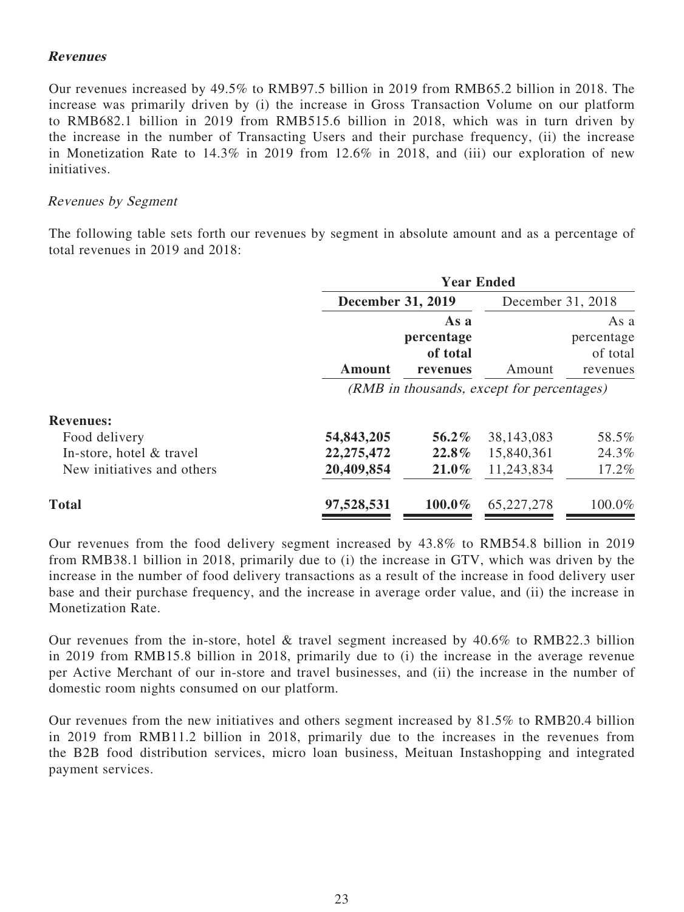### **Revenues**

Our revenues increased by 49.5% to RMB97.5 billion in 2019 from RMB65.2 billion in 2018. The increase was primarily driven by (i) the increase in Gross Transaction Volume on our platform to RMB682.1 billion in 2019 from RMB515.6 billion in 2018, which was in turn driven by the increase in the number of Transacting Users and their purchase frequency, (ii) the increase in Monetization Rate to 14.3% in 2019 from 12.6% in 2018, and (iii) our exploration of new initiatives.

#### Revenues by Segment

The following table sets forth our revenues by segment in absolute amount and as a percentage of total revenues in 2019 and 2018:

|                            | <b>Year Ended</b>        |                                            |                                            |                                            |
|----------------------------|--------------------------|--------------------------------------------|--------------------------------------------|--------------------------------------------|
|                            | <b>December 31, 2019</b> |                                            | December 31, 2018                          |                                            |
|                            | <b>Amount</b>            | As a<br>percentage<br>of total<br>revenues | Amount                                     | As a<br>percentage<br>of total<br>revenues |
|                            |                          |                                            | (RMB in thousands, except for percentages) |                                            |
| <b>Revenues:</b>           |                          |                                            |                                            |                                            |
| Food delivery              | 54,843,205               | 56.2%                                      | 38, 143, 083                               | 58.5%                                      |
| In-store, hotel & travel   | 22, 275, 472             | 22.8%                                      | 15,840,361                                 | 24.3%                                      |
| New initiatives and others | 20,409,854               | $21.0\%$                                   | 11,243,834                                 | 17.2%                                      |
| <b>Total</b>               | 97,528,531               | 100.0%                                     | 65, 227, 278                               | 100.0%                                     |

Our revenues from the food delivery segment increased by 43.8% to RMB54.8 billion in 2019 from RMB38.1 billion in 2018, primarily due to (i) the increase in GTV, which was driven by the increase in the number of food delivery transactions as a result of the increase in food delivery user base and their purchase frequency, and the increase in average order value, and (ii) the increase in Monetization Rate.

Our revenues from the in-store, hotel & travel segment increased by 40.6% to RMB22.3 billion in 2019 from RMB15.8 billion in 2018, primarily due to (i) the increase in the average revenue per Active Merchant of our in-store and travel businesses, and (ii) the increase in the number of domestic room nights consumed on our platform.

Our revenues from the new initiatives and others segment increased by 81.5% to RMB20.4 billion in 2019 from RMB11.2 billion in 2018, primarily due to the increases in the revenues from the B2B food distribution services, micro loan business, Meituan Instashopping and integrated payment services.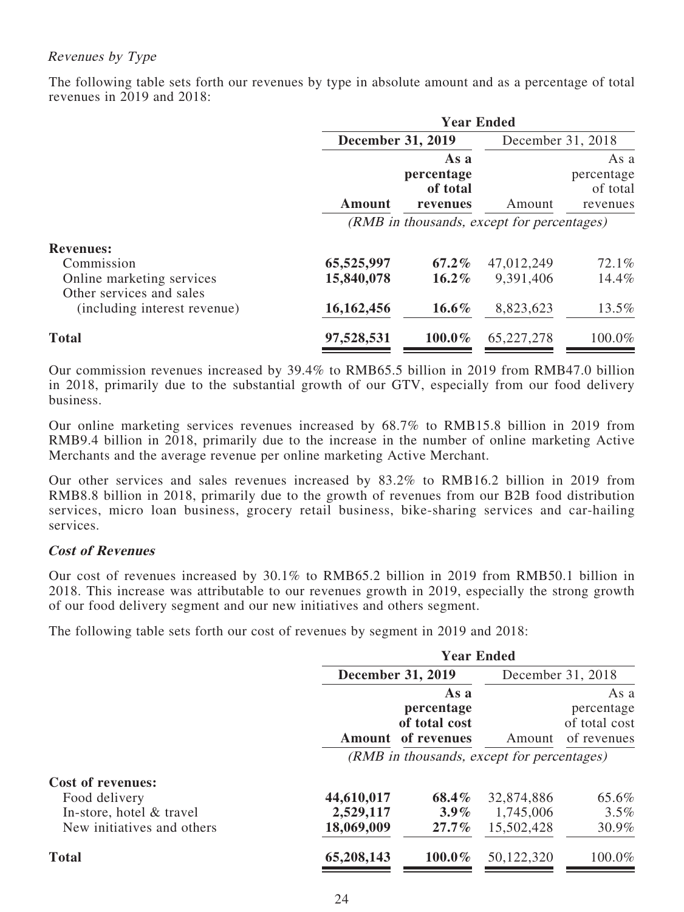# Revenues by Type

The following table sets forth our revenues by type in absolute amount and as a percentage of total revenues in 2019 and 2018:

|                                                          | <b>Year Ended</b>                          |                                |                   |                                |
|----------------------------------------------------------|--------------------------------------------|--------------------------------|-------------------|--------------------------------|
|                                                          | <b>December 31, 2019</b>                   |                                | December 31, 2018 |                                |
|                                                          |                                            | As a<br>percentage<br>of total |                   | As a<br>percentage<br>of total |
|                                                          | Amount                                     | revenues                       | Amount            | revenues                       |
|                                                          | (RMB in thousands, except for percentages) |                                |                   |                                |
| <b>Revenues:</b>                                         |                                            |                                |                   |                                |
| Commission                                               | 65,525,997                                 | $67.2\%$                       | 47,012,249        | 72.1%                          |
| Online marketing services                                | 15,840,078                                 | $16.2\%$                       | 9,391,406         | 14.4%                          |
| Other services and sales<br>(including interest revenue) | 16,162,456                                 | $16.6\%$                       | 8,823,623         | 13.5%                          |
|                                                          |                                            |                                |                   |                                |
| <b>Total</b>                                             | 97,528,531                                 | $100.0\%$                      | 65,227,278        | 100.0%                         |

Our commission revenues increased by 39.4% to RMB65.5 billion in 2019 from RMB47.0 billion in 2018, primarily due to the substantial growth of our GTV, especially from our food delivery business.

Our online marketing services revenues increased by 68.7% to RMB15.8 billion in 2019 from RMB9.4 billion in 2018, primarily due to the increase in the number of online marketing Active Merchants and the average revenue per online marketing Active Merchant.

Our other services and sales revenues increased by 83.2% to RMB16.2 billion in 2019 from RMB8.8 billion in 2018, primarily due to the growth of revenues from our B2B food distribution services, micro loan business, grocery retail business, bike-sharing services and car-hailing services.

#### **Cost of Revenues**

Our cost of revenues increased by 30.1% to RMB65.2 billion in 2019 from RMB50.1 billion in 2018. This increase was attributable to our revenues growth in 2019, especially the strong growth of our food delivery segment and our new initiatives and others segment.

The following table sets forth our cost of revenues by segment in 2019 and 2018:

|                                                                                                     | <b>Year Ended</b>                     |                                                    |                                       |                                                    |
|-----------------------------------------------------------------------------------------------------|---------------------------------------|----------------------------------------------------|---------------------------------------|----------------------------------------------------|
|                                                                                                     | <b>December 31, 2019</b>              |                                                    |                                       | December 31, 2018                                  |
|                                                                                                     | Amount                                | As a<br>percentage<br>of total cost<br>of revenues | Amount                                | As a<br>percentage<br>of total cost<br>of revenues |
|                                                                                                     |                                       | (RMB in thousands, except for percentages)         |                                       |                                                    |
| <b>Cost of revenues:</b><br>Food delivery<br>In-store, hotel & travel<br>New initiatives and others | 44,610,017<br>2,529,117<br>18,069,009 | 68.4%<br>$3.9\%$<br>$27.7\%$                       | 32,874,886<br>1,745,006<br>15,502,428 | 65.6%<br>$3.5\%$<br>30.9%                          |
| <b>Total</b>                                                                                        | 65,208,143                            | $100.0\%$                                          | 50,122,320                            | 100.0%                                             |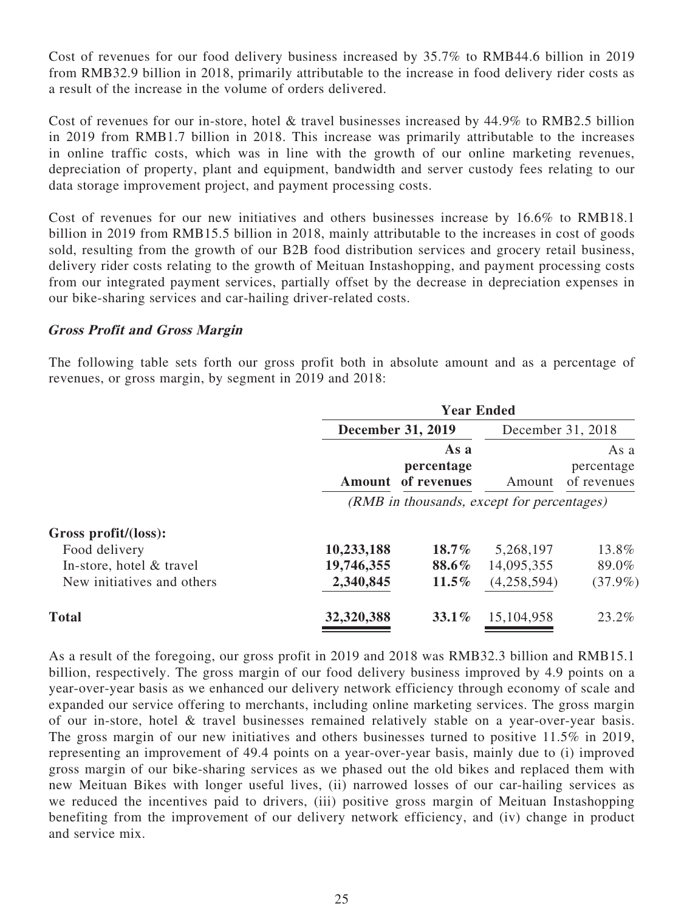Cost of revenues for our food delivery business increased by 35.7% to RMB44.6 billion in 2019 from RMB32.9 billion in 2018, primarily attributable to the increase in food delivery rider costs as a result of the increase in the volume of orders delivered.

Cost of revenues for our in-store, hotel & travel businesses increased by 44.9% to RMB2.5 billion in 2019 from RMB1.7 billion in 2018. This increase was primarily attributable to the increases in online traffic costs, which was in line with the growth of our online marketing revenues, depreciation of property, plant and equipment, bandwidth and server custody fees relating to our data storage improvement project, and payment processing costs.

Cost of revenues for our new initiatives and others businesses increase by 16.6% to RMB18.1 billion in 2019 from RMB15.5 billion in 2018, mainly attributable to the increases in cost of goods sold, resulting from the growth of our B2B food distribution services and grocery retail business, delivery rider costs relating to the growth of Meituan Instashopping, and payment processing costs from our integrated payment services, partially offset by the decrease in depreciation expenses in our bike-sharing services and car-hailing driver-related costs.

### **Gross Profit and Gross Margin**

The following table sets forth our gross profit both in absolute amount and as a percentage of revenues, or gross margin, by segment in 2019 and 2018:

|                            | <b>Year Ended</b>                          |                                   |                   |                                   |
|----------------------------|--------------------------------------------|-----------------------------------|-------------------|-----------------------------------|
|                            | <b>December 31, 2019</b>                   |                                   | December 31, 2018 |                                   |
|                            | Amount                                     | As a<br>percentage<br>of revenues | Amount            | As a<br>percentage<br>of revenues |
|                            | (RMB in thousands, except for percentages) |                                   |                   |                                   |
| Gross profit/(loss):       |                                            |                                   |                   |                                   |
| Food delivery              | 10,233,188                                 | $18.7\%$                          | 5,268,197         | 13.8%                             |
| In-store, hotel & travel   | 19,746,355                                 | 88.6%                             | 14,095,355        | 89.0%                             |
| New initiatives and others | 2,340,845                                  | $11.5\%$                          | (4,258,594)       | $(37.9\%)$                        |
| <b>Total</b>               | 32,320,388                                 | $33.1\%$                          | 15,104,958        | 23.2%                             |

As a result of the foregoing, our gross profit in 2019 and 2018 was RMB32.3 billion and RMB15.1 billion, respectively. The gross margin of our food delivery business improved by 4.9 points on a year-over-year basis as we enhanced our delivery network efficiency through economy of scale and expanded our service offering to merchants, including online marketing services. The gross margin of our in-store, hotel & travel businesses remained relatively stable on a year-over-year basis. The gross margin of our new initiatives and others businesses turned to positive 11.5% in 2019, representing an improvement of 49.4 points on a year-over-year basis, mainly due to (i) improved gross margin of our bike-sharing services as we phased out the old bikes and replaced them with new Meituan Bikes with longer useful lives, (ii) narrowed losses of our car-hailing services as we reduced the incentives paid to drivers, (iii) positive gross margin of Meituan Instashopping benefiting from the improvement of our delivery network efficiency, and (iv) change in product and service mix.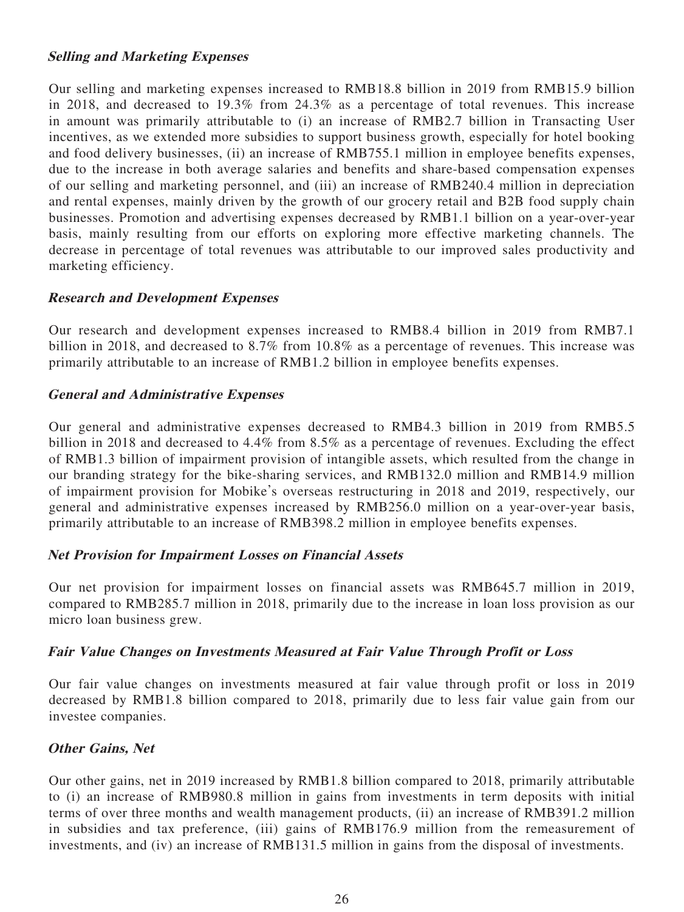### **Selling and Marketing Expenses**

Our selling and marketing expenses increased to RMB18.8 billion in 2019 from RMB15.9 billion in 2018, and decreased to 19.3% from 24.3% as a percentage of total revenues. This increase in amount was primarily attributable to (i) an increase of RMB2.7 billion in Transacting User incentives, as we extended more subsidies to support business growth, especially for hotel booking and food delivery businesses, (ii) an increase of RMB755.1 million in employee benefits expenses, due to the increase in both average salaries and benefits and share-based compensation expenses of our selling and marketing personnel, and (iii) an increase of RMB240.4 million in depreciation and rental expenses, mainly driven by the growth of our grocery retail and B2B food supply chain businesses. Promotion and advertising expenses decreased by RMB1.1 billion on a year-over-year basis, mainly resulting from our efforts on exploring more effective marketing channels. The decrease in percentage of total revenues was attributable to our improved sales productivity and marketing efficiency.

### **Research and Development Expenses**

Our research and development expenses increased to RMB8.4 billion in 2019 from RMB7.1 billion in 2018, and decreased to 8.7% from 10.8% as a percentage of revenues. This increase was primarily attributable to an increase of RMB1.2 billion in employee benefits expenses.

#### **General and Administrative Expenses**

Our general and administrative expenses decreased to RMB4.3 billion in 2019 from RMB5.5 billion in 2018 and decreased to 4.4% from 8.5% as a percentage of revenues. Excluding the effect of RMB1.3 billion of impairment provision of intangible assets, which resulted from the change in our branding strategy for the bike-sharing services, and RMB132.0 million and RMB14.9 million of impairment provision for Mobike's overseas restructuring in 2018 and 2019, respectively, our general and administrative expenses increased by RMB256.0 million on a year-over-year basis, primarily attributable to an increase of RMB398.2 million in employee benefits expenses.

# **Net Provision for Impairment Losses on Financial Assets**

Our net provision for impairment losses on financial assets was RMB645.7 million in 2019, compared to RMB285.7 million in 2018, primarily due to the increase in loan loss provision as our micro loan business grew.

# **Fair Value Changes on Investments Measured at Fair Value Through Profit or Loss**

Our fair value changes on investments measured at fair value through profit or loss in 2019 decreased by RMB1.8 billion compared to 2018, primarily due to less fair value gain from our investee companies.

# **Other Gains, Net**

Our other gains, net in 2019 increased by RMB1.8 billion compared to 2018, primarily attributable to (i) an increase of RMB980.8 million in gains from investments in term deposits with initial terms of over three months and wealth management products, (ii) an increase of RMB391.2 million in subsidies and tax preference, (iii) gains of RMB176.9 million from the remeasurement of investments, and (iv) an increase of RMB131.5 million in gains from the disposal of investments.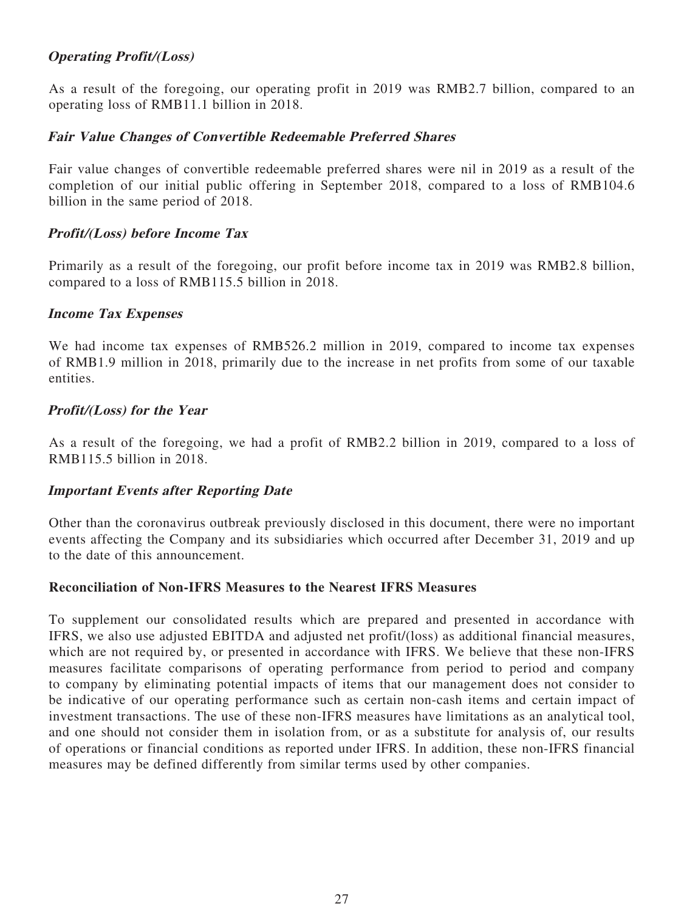# **Operating Profit/(Loss)**

As a result of the foregoing, our operating profit in 2019 was RMB2.7 billion, compared to an operating loss of RMB11.1 billion in 2018.

### **Fair Value Changes of Convertible Redeemable Preferred Shares**

Fair value changes of convertible redeemable preferred shares were nil in 2019 as a result of the completion of our initial public offering in September 2018, compared to a loss of RMB104.6 billion in the same period of 2018.

### **Profit/(Loss) before Income Tax**

Primarily as a result of the foregoing, our profit before income tax in 2019 was RMB2.8 billion, compared to a loss of RMB115.5 billion in 2018.

#### **Income Tax Expenses**

We had income tax expenses of RMB526.2 million in 2019, compared to income tax expenses of RMB1.9 million in 2018, primarily due to the increase in net profits from some of our taxable entities.

### **Profit/(Loss) for the Year**

As a result of the foregoing, we had a profit of RMB2.2 billion in 2019, compared to a loss of RMB115.5 billion in 2018.

#### **Important Events after Reporting Date**

Other than the coronavirus outbreak previously disclosed in this document, there were no important events affecting the Company and its subsidiaries which occurred after December 31, 2019 and up to the date of this announcement.

#### **Reconciliation of Non-IFRS Measures to the Nearest IFRS Measures**

To supplement our consolidated results which are prepared and presented in accordance with IFRS, we also use adjusted EBITDA and adjusted net profit/(loss) as additional financial measures, which are not required by, or presented in accordance with IFRS. We believe that these non-IFRS measures facilitate comparisons of operating performance from period to period and company to company by eliminating potential impacts of items that our management does not consider to be indicative of our operating performance such as certain non-cash items and certain impact of investment transactions. The use of these non-IFRS measures have limitations as an analytical tool, and one should not consider them in isolation from, or as a substitute for analysis of, our results of operations or financial conditions as reported under IFRS. In addition, these non-IFRS financial measures may be defined differently from similar terms used by other companies.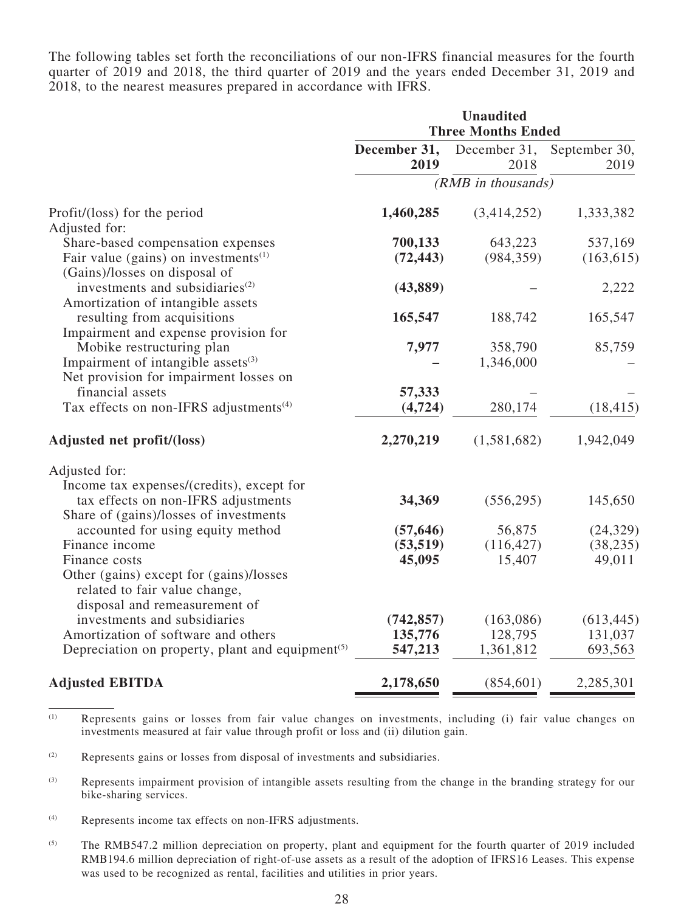The following tables set forth the reconciliations of our non-IFRS financial measures for the fourth quarter of 2019 and 2018, the third quarter of 2019 and the years ended December 31, 2019 and 2018, to the nearest measures prepared in accordance with IFRS.

|                                                                           | <b>Unaudited</b><br><b>Three Months Ended</b> |                      |                       |  |
|---------------------------------------------------------------------------|-----------------------------------------------|----------------------|-----------------------|--|
|                                                                           | December 31,<br>2019                          | December 31,<br>2018 | September 30,<br>2019 |  |
|                                                                           |                                               | (RMB in thousands)   |                       |  |
| Profit/(loss) for the period                                              | 1,460,285                                     | (3,414,252)          | 1,333,382             |  |
| Adjusted for:                                                             |                                               |                      |                       |  |
| Share-based compensation expenses                                         | 700,133                                       | 643,223              | 537,169               |  |
| Fair value (gains) on investments $(1)$                                   | (72, 443)                                     | (984, 359)           | (163, 615)            |  |
| (Gains)/losses on disposal of                                             |                                               |                      |                       |  |
| investments and subsidiaries <sup>(2)</sup>                               | (43, 889)                                     |                      | 2,222                 |  |
| Amortization of intangible assets                                         |                                               |                      |                       |  |
| resulting from acquisitions                                               | 165,547                                       | 188,742              | 165,547               |  |
| Impairment and expense provision for                                      |                                               |                      |                       |  |
| Mobike restructuring plan                                                 | 7,977                                         | 358,790              | 85,759                |  |
| Impairment of intangible assets <sup>(3)</sup>                            |                                               | 1,346,000            |                       |  |
| Net provision for impairment losses on                                    |                                               |                      |                       |  |
| financial assets                                                          | 57,333                                        |                      |                       |  |
| Tax effects on non-IFRS adjustments <sup>(4)</sup>                        | (4, 724)                                      | 280,174              | (18, 415)             |  |
| Adjusted net profit/(loss)                                                | 2,270,219                                     | (1,581,682)          | 1,942,049             |  |
| Adjusted for:                                                             |                                               |                      |                       |  |
| Income tax expenses/(credits), except for                                 |                                               |                      |                       |  |
| tax effects on non-IFRS adjustments                                       | 34,369                                        | (556, 295)           | 145,650               |  |
| Share of (gains)/losses of investments                                    |                                               |                      |                       |  |
| accounted for using equity method                                         | (57, 646)                                     | 56,875               | (24, 329)             |  |
| Finance income                                                            | (53, 519)                                     | (116, 427)           | (38, 235)             |  |
| Finance costs                                                             | 45,095                                        | 15,407               | 49,011                |  |
| Other (gains) except for (gains)/losses                                   |                                               |                      |                       |  |
| related to fair value change,                                             |                                               |                      |                       |  |
| disposal and remeasurement of                                             |                                               |                      |                       |  |
| investments and subsidiaries                                              | (742, 857)                                    | (163,086)            | (613, 445)            |  |
| Amortization of software and others                                       | 135,776                                       | 128,795              | 131,037               |  |
| Depreciation on property, plant and equipment <sup><math>(5)</math></sup> | 547,213                                       | 1,361,812            | 693,563               |  |
| <b>Adjusted EBITDA</b>                                                    | 2,178,650                                     | (854, 601)           | 2,285,301             |  |

(1) Represents gains or losses from fair value changes on investments, including (i) fair value changes on investments measured at fair value through profit or loss and (ii) dilution gain.

(2) Represents gains or losses from disposal of investments and subsidiaries.

(3) Represents impairment provision of intangible assets resulting from the change in the branding strategy for our bike-sharing services.

(4) Represents income tax effects on non-IFRS adjustments.

(5) The RMB547.2 million depreciation on property, plant and equipment for the fourth quarter of 2019 included RMB194.6 million depreciation of right-of-use assets as a result of the adoption of IFRS16 Leases. This expense was used to be recognized as rental, facilities and utilities in prior years.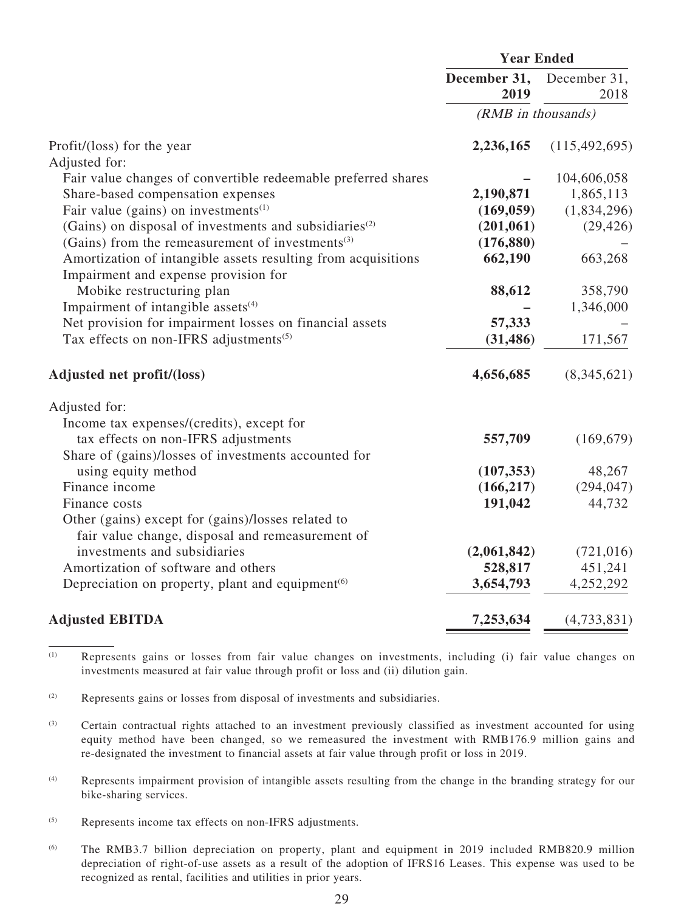|                                                                           | <b>Year Ended</b>    |                      |
|---------------------------------------------------------------------------|----------------------|----------------------|
|                                                                           | December 31,<br>2019 | December 31,<br>2018 |
|                                                                           | (RMB in thousands)   |                      |
| Profit/(loss) for the year                                                | 2,236,165            | (115, 492, 695)      |
| Adjusted for:                                                             |                      |                      |
| Fair value changes of convertible redeemable preferred shares             |                      | 104,606,058          |
| Share-based compensation expenses                                         | 2,190,871            | 1,865,113            |
| Fair value (gains) on investments $(1)$                                   | (169, 059)           | (1,834,296)          |
| (Gains) on disposal of investments and subsidiaries <sup>(2)</sup>        | (201, 061)           | (29, 426)            |
| (Gains) from the remeasurement of investments <sup>(3)</sup>              | (176, 880)           |                      |
| Amortization of intangible assets resulting from acquisitions             | 662,190              | 663,268              |
| Impairment and expense provision for                                      |                      |                      |
| Mobike restructuring plan                                                 | 88,612               | 358,790              |
| Impairment of intangible assets <sup>(4)</sup>                            |                      | 1,346,000            |
| Net provision for impairment losses on financial assets                   | 57,333               |                      |
| Tax effects on non-IFRS adjustments <sup>(5)</sup>                        | (31, 486)            | 171,567              |
| Adjusted net profit/(loss)                                                | 4,656,685            | (8,345,621)          |
| Adjusted for:                                                             |                      |                      |
| Income tax expenses/(credits), except for                                 |                      |                      |
| tax effects on non-IFRS adjustments                                       | 557,709              | (169, 679)           |
| Share of (gains)/losses of investments accounted for                      |                      |                      |
| using equity method                                                       | (107, 353)           | 48,267               |
| Finance income                                                            | (166, 217)           | (294, 047)           |
| Finance costs                                                             | 191,042              | 44,732               |
| Other (gains) except for (gains)/losses related to                        |                      |                      |
| fair value change, disposal and remeasurement of                          |                      |                      |
| investments and subsidiaries                                              | (2,061,842)          | (721, 016)           |
| Amortization of software and others                                       | 528,817              | 451,241              |
| Depreciation on property, plant and equipment <sup><math>(6)</math></sup> | 3,654,793            | 4,252,292            |
| <b>Adjusted EBITDA</b>                                                    | 7,253,634            | (4,733,831)          |

(1) Represents gains or losses from fair value changes on investments, including (i) fair value changes on investments measured at fair value through profit or loss and (ii) dilution gain.

(2) Represents gains or losses from disposal of investments and subsidiaries.

(3) Certain contractual rights attached to an investment previously classified as investment accounted for using equity method have been changed, so we remeasured the investment with RMB176.9 million gains and re-designated the investment to financial assets at fair value through profit or loss in 2019.

(4) Represents impairment provision of intangible assets resulting from the change in the branding strategy for our bike-sharing services.

- (5) Represents income tax effects on non-IFRS adjustments.
- (6) The RMB3.7 billion depreciation on property, plant and equipment in 2019 included RMB820.9 million depreciation of right-of-use assets as a result of the adoption of IFRS16 Leases. This expense was used to be recognized as rental, facilities and utilities in prior years.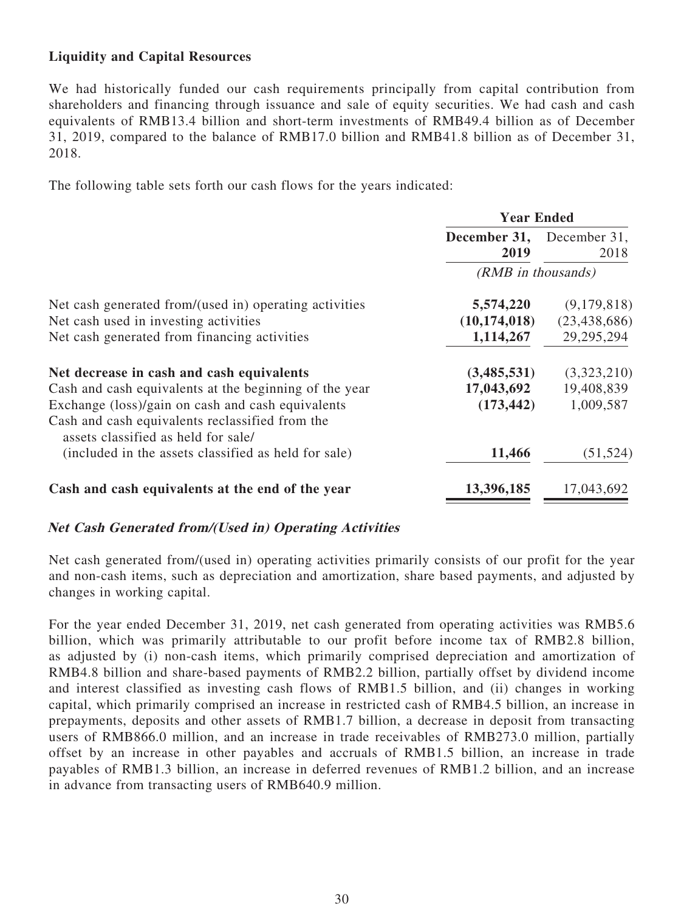# **Liquidity and Capital Resources**

We had historically funded our cash requirements principally from capital contribution from shareholders and financing through issuance and sale of equity securities. We had cash and cash equivalents of RMB13.4 billion and short-term investments of RMB49.4 billion as of December 31, 2019, compared to the balance of RMB17.0 billion and RMB41.8 billion as of December 31, 2018.

The following table sets forth our cash flows for the years indicated:

|                                                                                                      | <b>Year Ended</b>    |                      |
|------------------------------------------------------------------------------------------------------|----------------------|----------------------|
|                                                                                                      | December 31,<br>2019 | December 31,<br>2018 |
|                                                                                                      | (RMB in thousands)   |                      |
| Net cash generated from/(used in) operating activities                                               | 5,574,220            | (9,179,818)          |
| Net cash used in investing activities                                                                | (10, 174, 018)       | (23, 438, 686)       |
| Net cash generated from financing activities                                                         | 1,114,267            | 29, 295, 294         |
| Net decrease in cash and cash equivalents                                                            | (3,485,531)          | (3,323,210)          |
| Cash and cash equivalents at the beginning of the year                                               | 17,043,692           | 19,408,839           |
| Exchange (loss)/gain on cash and cash equivalents<br>Cash and cash equivalents reclassified from the | (173, 442)           | 1,009,587            |
| assets classified as held for sale/<br>(included in the assets classified as held for sale)          | 11,466               | (51, 524)            |
| Cash and cash equivalents at the end of the year                                                     | 13,396,185           | 17,043,692           |

# **Net Cash Generated from/(Used in) Operating Activities**

Net cash generated from/(used in) operating activities primarily consists of our profit for the year and non-cash items, such as depreciation and amortization, share based payments, and adjusted by changes in working capital.

For the year ended December 31, 2019, net cash generated from operating activities was RMB5.6 billion, which was primarily attributable to our profit before income tax of RMB2.8 billion, as adjusted by (i) non-cash items, which primarily comprised depreciation and amortization of RMB4.8 billion and share-based payments of RMB2.2 billion, partially offset by dividend income and interest classified as investing cash flows of RMB1.5 billion, and (ii) changes in working capital, which primarily comprised an increase in restricted cash of RMB4.5 billion, an increase in prepayments, deposits and other assets of RMB1.7 billion, a decrease in deposit from transacting users of RMB866.0 million, and an increase in trade receivables of RMB273.0 million, partially offset by an increase in other payables and accruals of RMB1.5 billion, an increase in trade payables of RMB1.3 billion, an increase in deferred revenues of RMB1.2 billion, and an increase in advance from transacting users of RMB640.9 million.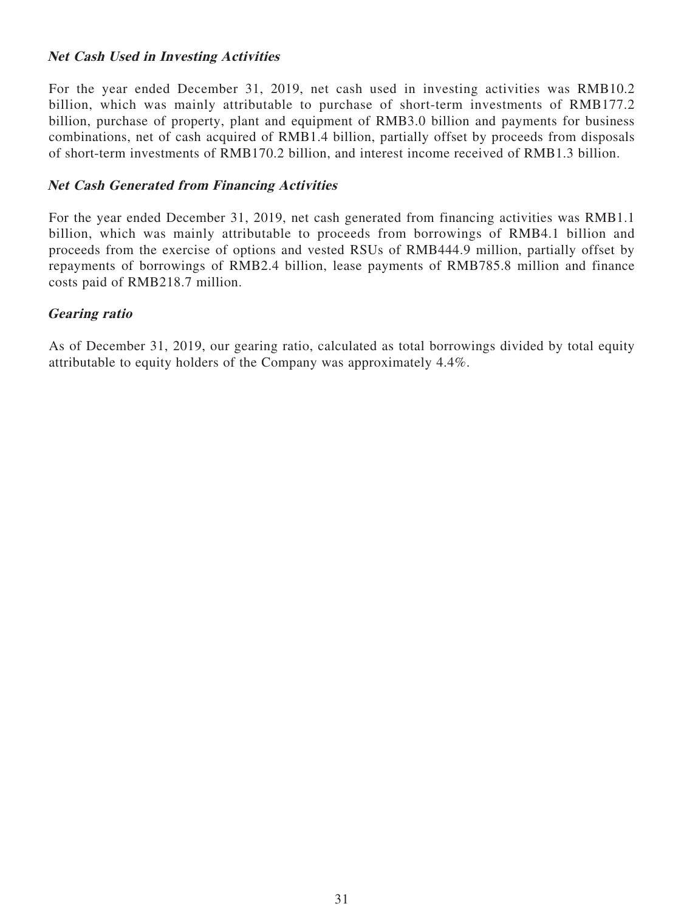### **Net Cash Used in Investing Activities**

For the year ended December 31, 2019, net cash used in investing activities was RMB10.2 billion, which was mainly attributable to purchase of short-term investments of RMB177.2 billion, purchase of property, plant and equipment of RMB3.0 billion and payments for business combinations, net of cash acquired of RMB1.4 billion, partially offset by proceeds from disposals of short-term investments of RMB170.2 billion, and interest income received of RMB1.3 billion.

#### **Net Cash Generated from Financing Activities**

For the year ended December 31, 2019, net cash generated from financing activities was RMB1.1 billion, which was mainly attributable to proceeds from borrowings of RMB4.1 billion and proceeds from the exercise of options and vested RSUs of RMB444.9 million, partially offset by repayments of borrowings of RMB2.4 billion, lease payments of RMB785.8 million and finance costs paid of RMB218.7 million.

### **Gearing ratio**

As of December 31, 2019, our gearing ratio, calculated as total borrowings divided by total equity attributable to equity holders of the Company was approximately 4.4%.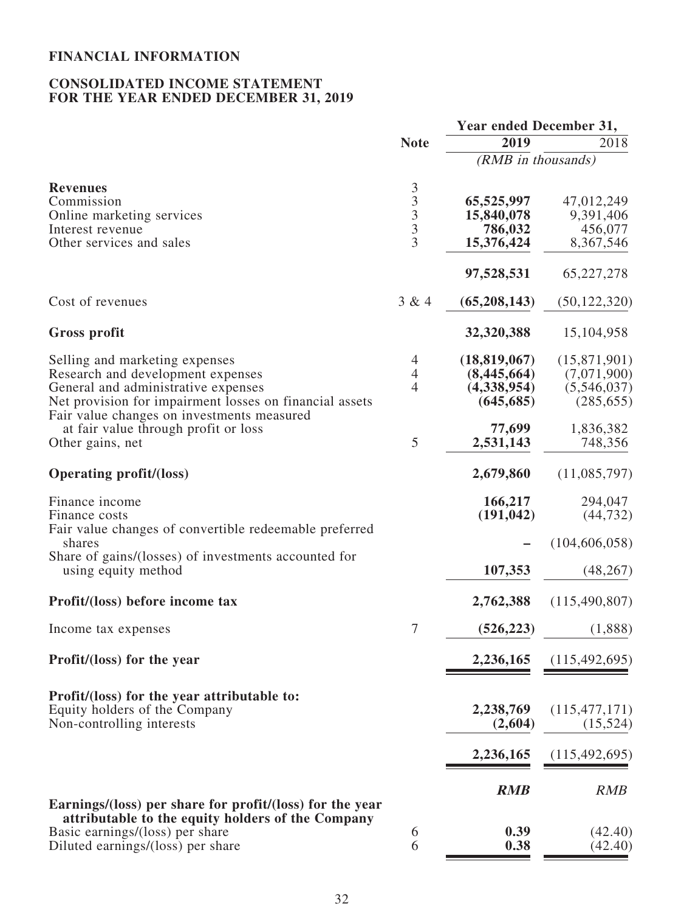# **FINANCIAL INFORMATION**

### **CONSOLIDATED INCOME STATEMENT FOR THE YEAR ENDED DECEMBER 31, 2019**

|                                                                                                                                                                                                                                                                                 |                                                                              | Year ended December 31,                                                           |                                                                                  |  |
|---------------------------------------------------------------------------------------------------------------------------------------------------------------------------------------------------------------------------------------------------------------------------------|------------------------------------------------------------------------------|-----------------------------------------------------------------------------------|----------------------------------------------------------------------------------|--|
|                                                                                                                                                                                                                                                                                 | <b>Note</b>                                                                  | 2019                                                                              | 2018                                                                             |  |
|                                                                                                                                                                                                                                                                                 |                                                                              | (RMB in thousands)                                                                |                                                                                  |  |
| <b>Revenues</b><br>Commission<br>Online marketing services<br>Interest revenue<br>Other services and sales                                                                                                                                                                      | $\mathfrak{Z}$<br>$\overline{\mathbf{3}}$<br>$\frac{3}{3}$<br>$\overline{3}$ | 65,525,997<br>15,840,078<br>786,032<br>15,376,424                                 | 47,012,249<br>9,391,406<br>456,077<br>8,367,546                                  |  |
|                                                                                                                                                                                                                                                                                 |                                                                              | 97,528,531                                                                        | 65,227,278                                                                       |  |
| Cost of revenues                                                                                                                                                                                                                                                                | 3 & 4                                                                        | (65, 208, 143)                                                                    | (50, 122, 320)                                                                   |  |
| <b>Gross profit</b>                                                                                                                                                                                                                                                             |                                                                              | 32,320,388                                                                        | 15,104,958                                                                       |  |
| Selling and marketing expenses<br>Research and development expenses<br>General and administrative expenses<br>Net provision for impairment losses on financial assets<br>Fair value changes on investments measured<br>at fair value through profit or loss<br>Other gains, net | $\overline{4}$<br>$\overline{4}$<br>4<br>5                                   | (18, 819, 067)<br>(8,445,664)<br>(4,338,954)<br>(645, 685)<br>77,699<br>2,531,143 | (15,871,901)<br>(7,071,900)<br>(5,546,037)<br>(285, 655)<br>1,836,382<br>748,356 |  |
| <b>Operating profit/(loss)</b>                                                                                                                                                                                                                                                  |                                                                              | 2,679,860                                                                         | (11,085,797)                                                                     |  |
| Finance income<br>Finance costs<br>Fair value changes of convertible redeemable preferred<br>shares<br>Share of gains/(losses) of investments accounted for<br>using equity method                                                                                              |                                                                              | 166,217<br>(191, 042)<br>107,353                                                  | 294,047<br>(44, 732)<br>(104, 606, 058)<br>(48, 267)                             |  |
| Profit/(loss) before income tax                                                                                                                                                                                                                                                 |                                                                              | 2,762,388                                                                         | (115, 490, 807)                                                                  |  |
| Income tax expenses                                                                                                                                                                                                                                                             | 7                                                                            | (526, 223)                                                                        | (1,888)                                                                          |  |
| Profit/(loss) for the year                                                                                                                                                                                                                                                      |                                                                              | 2,236,165                                                                         | (115, 492, 695)                                                                  |  |
| Profit/(loss) for the year attributable to:<br>Equity holders of the Company<br>Non-controlling interests                                                                                                                                                                       |                                                                              | 2,238,769<br>(2,604)                                                              | (115, 477, 171)<br>(15, 524)                                                     |  |
|                                                                                                                                                                                                                                                                                 |                                                                              | 2,236,165                                                                         | (115, 492, 695)                                                                  |  |
| Earnings/(loss) per share for profit/(loss) for the year                                                                                                                                                                                                                        |                                                                              | <b>RMB</b>                                                                        | <b>RMB</b>                                                                       |  |
| attributable to the equity holders of the Company<br>Basic earnings/(loss) per share<br>Diluted earnings/(loss) per share                                                                                                                                                       | 6<br>6                                                                       | 0.39<br>0.38                                                                      | (42.40)<br>(42.40)                                                               |  |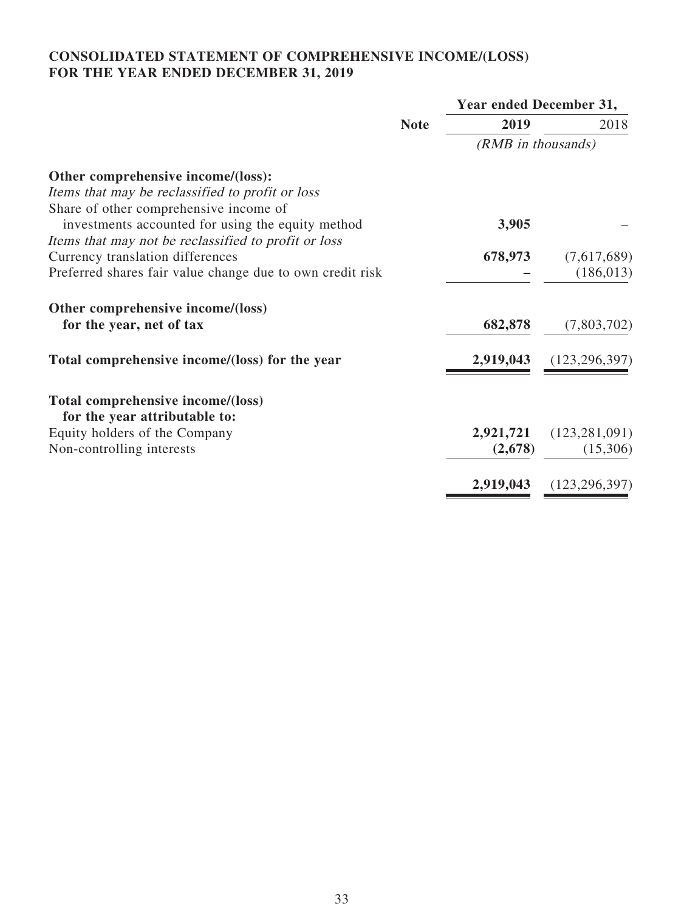# **CONSOLIDATED STATEMENT OF COMPREHENSIVE INCOME/(LOSS) FOR THE YEAR ENDED DECEMBER 31, 2019**

|                                                                    | <b>Note</b> | Year ended December 31, |                 |  |
|--------------------------------------------------------------------|-------------|-------------------------|-----------------|--|
|                                                                    |             | 2019                    | 2018            |  |
|                                                                    |             | (RMB in thousands)      |                 |  |
| Other comprehensive income/(loss):                                 |             |                         |                 |  |
| Items that may be reclassified to profit or loss                   |             |                         |                 |  |
| Share of other comprehensive income of                             |             |                         |                 |  |
| investments accounted for using the equity method                  |             | 3,905                   |                 |  |
| Items that may not be reclassified to profit or loss               |             |                         |                 |  |
| Currency translation differences                                   |             | 678,973                 | (7,617,689)     |  |
| Preferred shares fair value change due to own credit risk          |             |                         | (186, 013)      |  |
| Other comprehensive income/(loss)                                  |             |                         |                 |  |
| for the year, net of tax                                           |             | 682,878                 | (7,803,702)     |  |
| Total comprehensive income/(loss) for the year                     |             | 2,919,043               | (123, 296, 397) |  |
| Total comprehensive income/(loss)<br>for the year attributable to: |             |                         |                 |  |
| Equity holders of the Company                                      |             | 2,921,721               | (123, 281, 091) |  |
| Non-controlling interests                                          |             | (2,678)                 | (15,306)        |  |
|                                                                    |             |                         |                 |  |
|                                                                    |             | 2,919,043               | (123, 296, 397) |  |
|                                                                    |             |                         |                 |  |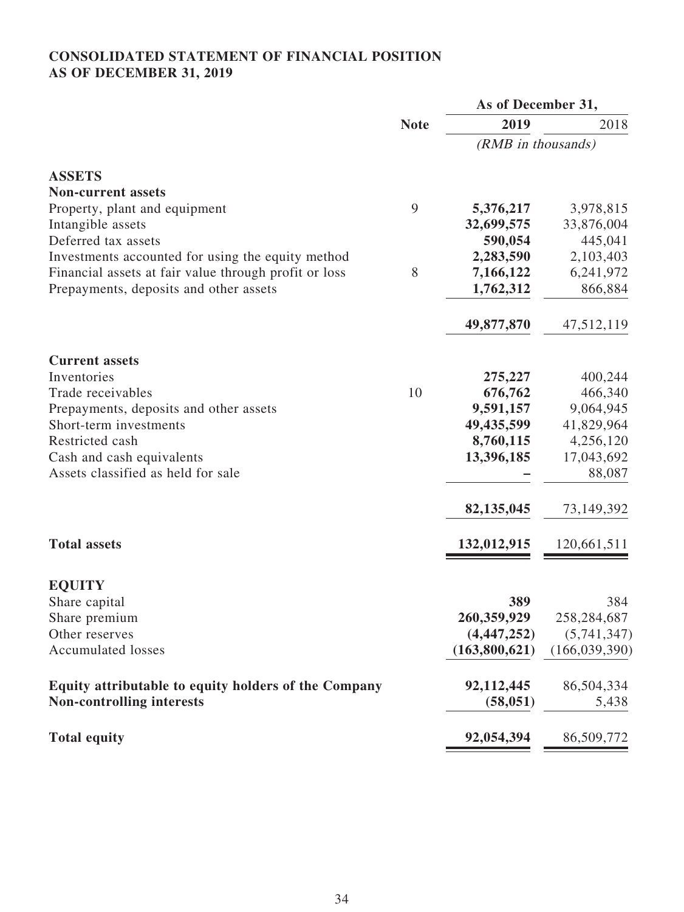# **CONSOLIDATED STATEMENT OF FINANCIAL POSITION AS OF DECEMBER 31, 2019**

|                                                       |             | As of December 31, |                 |
|-------------------------------------------------------|-------------|--------------------|-----------------|
|                                                       | <b>Note</b> | 2019               | 2018            |
|                                                       |             | (RMB in thousands) |                 |
| <b>ASSETS</b>                                         |             |                    |                 |
| <b>Non-current assets</b>                             |             |                    |                 |
| Property, plant and equipment                         | 9           | 5,376,217          | 3,978,815       |
| Intangible assets                                     |             | 32,699,575         | 33,876,004      |
| Deferred tax assets                                   |             | 590,054            | 445,041         |
| Investments accounted for using the equity method     |             | 2,283,590          | 2,103,403       |
| Financial assets at fair value through profit or loss | 8           | 7,166,122          | 6,241,972       |
| Prepayments, deposits and other assets                |             | 1,762,312          | 866,884         |
|                                                       |             | 49,877,870         | 47,512,119      |
| <b>Current assets</b>                                 |             |                    |                 |
| Inventories                                           |             | 275,227            | 400,244         |
| Trade receivables                                     | 10          | 676,762            | 466,340         |
| Prepayments, deposits and other assets                |             | 9,591,157          | 9,064,945       |
| Short-term investments                                |             | 49,435,599         | 41,829,964      |
| Restricted cash                                       |             | 8,760,115          | 4,256,120       |
| Cash and cash equivalents                             |             | 13,396,185         | 17,043,692      |
| Assets classified as held for sale                    |             |                    | 88,087          |
|                                                       |             | 82,135,045         | 73,149,392      |
| <b>Total assets</b>                                   |             | 132,012,915        | 120,661,511     |
| <b>EQUITY</b>                                         |             |                    |                 |
| Share capital                                         |             | 389                | 384             |
| Share premium                                         |             | 260,359,929        | 258,284,687     |
| Other reserves                                        |             | (4, 447, 252)      | (5,741,347)     |
| <b>Accumulated losses</b>                             |             | (163,800,621)      | (166, 039, 390) |
| Equity attributable to equity holders of the Company  |             | 92,112,445         | 86,504,334      |
| <b>Non-controlling interests</b>                      |             | (58, 051)          | 5,438           |
| <b>Total equity</b>                                   |             | 92,054,394         | 86,509,772      |
|                                                       |             |                    |                 |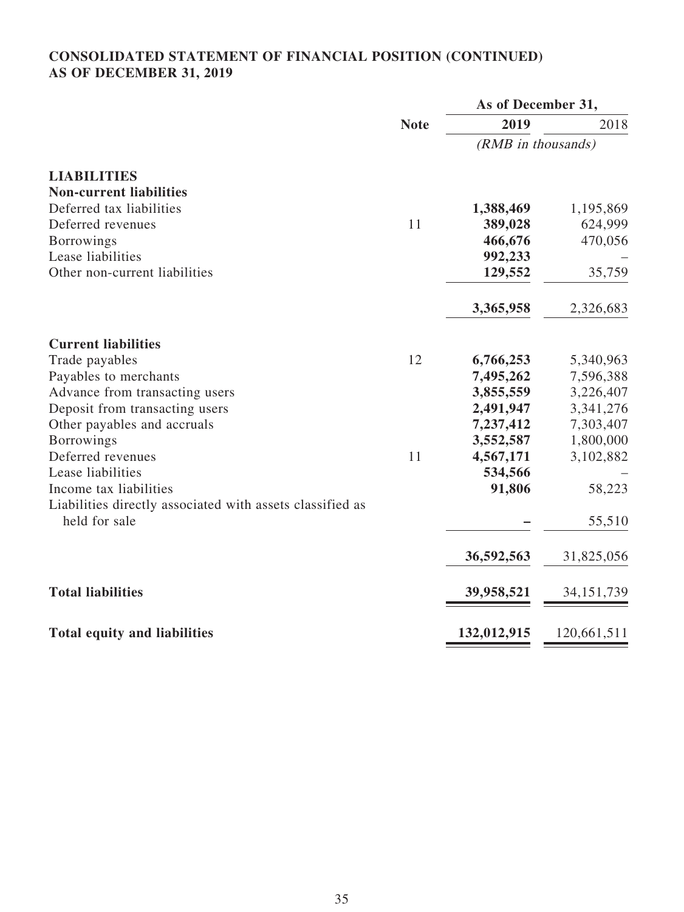# **CONSOLIDATED STATEMENT OF FINANCIAL POSITION (CONTINUED) AS OF DECEMBER 31, 2019**

|                                                                            |             | As of December 31, |              |
|----------------------------------------------------------------------------|-------------|--------------------|--------------|
|                                                                            | <b>Note</b> | 2019               | 2018         |
|                                                                            |             | (RMB in thousands) |              |
| <b>LIABILITIES</b>                                                         |             |                    |              |
| <b>Non-current liabilities</b>                                             |             |                    |              |
| Deferred tax liabilities                                                   |             | 1,388,469          | 1,195,869    |
| Deferred revenues                                                          | 11          | 389,028            | 624,999      |
| <b>Borrowings</b>                                                          |             | 466,676            | 470,056      |
| Lease liabilities                                                          |             | 992,233            |              |
| Other non-current liabilities                                              |             | 129,552            | 35,759       |
|                                                                            |             | 3,365,958          | 2,326,683    |
| <b>Current liabilities</b>                                                 |             |                    |              |
| Trade payables                                                             | 12          | 6,766,253          | 5,340,963    |
| Payables to merchants                                                      |             | 7,495,262          | 7,596,388    |
| Advance from transacting users                                             |             | 3,855,559          | 3,226,407    |
| Deposit from transacting users                                             |             | 2,491,947          | 3,341,276    |
| Other payables and accruals                                                |             | 7,237,412          | 7,303,407    |
| <b>Borrowings</b>                                                          |             | 3,552,587          | 1,800,000    |
| Deferred revenues                                                          | 11          | 4,567,171          | 3,102,882    |
| Lease liabilities                                                          |             | 534,566            |              |
| Income tax liabilities                                                     |             | 91,806             | 58,223       |
| Liabilities directly associated with assets classified as<br>held for sale |             |                    | 55,510       |
|                                                                            |             | 36,592,563         | 31,825,056   |
| <b>Total liabilities</b>                                                   |             | 39,958,521         | 34, 151, 739 |
| <b>Total equity and liabilities</b>                                        |             | 132,012,915        | 120,661,511  |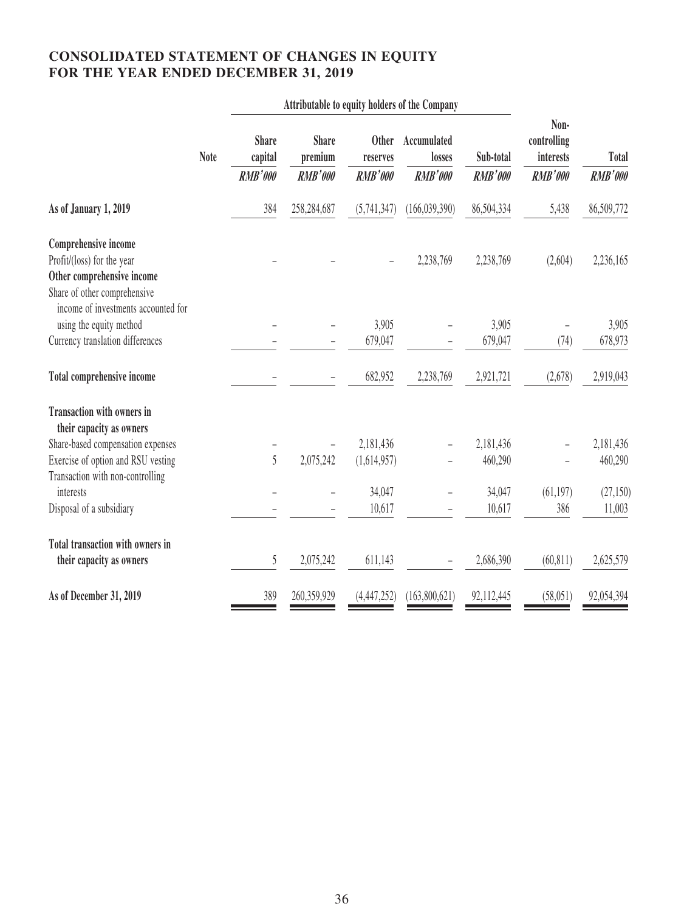# **CONSOLIDATED STATEMENT OF CHANGES IN EQUITY FOR THE YEAR ENDED DECEMBER 31, 2019**

| <b>Share</b><br>capital | <b>Share</b><br>premium | <b>Other</b><br>reserves | Accumulated<br>losses                                 | Sub-total                                     | Non-<br>controlling<br>interests     | <b>Total</b>     |
|-------------------------|-------------------------|--------------------------|-------------------------------------------------------|-----------------------------------------------|--------------------------------------|------------------|
| <b>RMB'000</b>          | <b>RMB'000</b>          | <b>RMB'000</b>           | <b>RMB'000</b>                                        | <b>RMB'000</b>                                | <b>RMB'000</b>                       | <b>RMB'000</b>   |
| 384                     | 258,284,687             | (5,741,347)              | (166, 039, 390)                                       | 86,504,334                                    | 5,438                                | 86,509,772       |
|                         |                         |                          |                                                       |                                               |                                      |                  |
|                         |                         |                          | 2,238,769                                             | 2,238,769                                     | (2,604)                              | 2,236,165        |
|                         |                         |                          |                                                       |                                               |                                      |                  |
|                         |                         |                          |                                                       |                                               |                                      |                  |
|                         |                         |                          |                                                       |                                               |                                      | 3,905            |
|                         |                         | 679,047                  |                                                       | 679,047                                       | (74)                                 | 678,973          |
|                         |                         |                          |                                                       |                                               |                                      |                  |
|                         |                         | 682,952                  | 2,238,769                                             | 2,921,721                                     | (2,678)                              | 2,919,043        |
|                         |                         |                          |                                                       |                                               |                                      |                  |
|                         |                         |                          |                                                       |                                               |                                      |                  |
|                         |                         |                          |                                                       | 2,181,436                                     |                                      | 2,181,436        |
|                         |                         |                          |                                                       |                                               |                                      | 460,290          |
|                         |                         |                          |                                                       |                                               |                                      |                  |
|                         |                         |                          |                                                       |                                               |                                      | (27, 150)        |
|                         |                         |                          |                                                       |                                               |                                      | 11,003           |
|                         |                         |                          |                                                       |                                               |                                      |                  |
| 5                       | 2,075,242               | 611,143                  |                                                       | 2,686,390                                     | (60, 811)                            | 2,625,579        |
| 389                     | 260,359,929             | (4, 447, 252)            | (163,800,621)                                         | 92,112,445                                    | (58, 051)                            | 92,054,394       |
|                         | 5                       | 2,075,242                | 3,905<br>2,181,436<br>(1,614,957)<br>34,047<br>10,617 | Attributable to equity holders of the Company | 3,905<br>460,290<br>34,047<br>10,617 | (61, 197)<br>386 |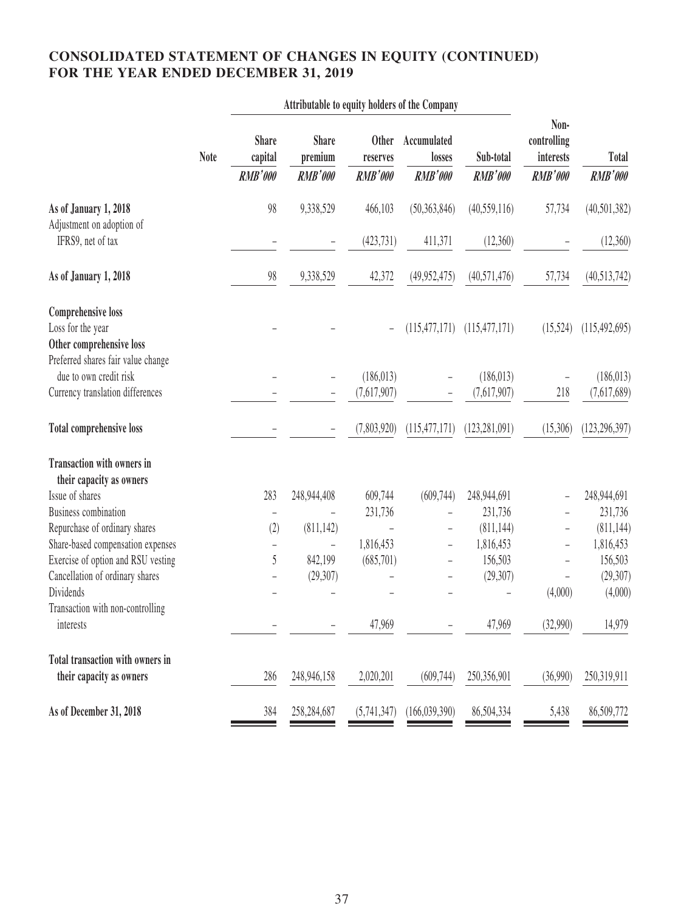# **CONSOLIDATED STATEMENT OF CHANGES IN EQUITY (CONTINUED) FOR THE YEAR ENDED DECEMBER 31, 2019**

| Attributable to equity holders of the Company                                       |                                           |                                           |                                            |                                         |                             |                                                    |                         |
|-------------------------------------------------------------------------------------|-------------------------------------------|-------------------------------------------|--------------------------------------------|-----------------------------------------|-----------------------------|----------------------------------------------------|-------------------------|
| <b>Note</b>                                                                         | <b>Share</b><br>capital<br><b>RMB'000</b> | <b>Share</b><br>premium<br><b>RMB'000</b> | <b>Other</b><br>reserves<br><b>RMB'000</b> | Accumulated<br>losses<br><b>RMB'000</b> | Sub-total<br><b>RMB'000</b> | Non-<br>controlling<br>interests<br><b>RMB'000</b> | Total<br><b>RMB'000</b> |
|                                                                                     |                                           |                                           |                                            |                                         |                             |                                                    |                         |
| As of January 1, 2018<br>Adjustment on adoption of                                  | 98                                        | 9,338,529                                 | 466,103                                    | (50, 363, 846)                          | (40, 559, 116)              | 57,734                                             | (40, 501, 382)          |
| IFRS9, net of tax                                                                   |                                           |                                           | (423, 731)                                 | 411,371                                 | (12,360)                    |                                                    | (12,360)                |
| As of January 1, 2018                                                               | 98                                        | 9,338,529                                 | 42,372                                     | (49, 952, 475)                          | (40, 571, 476)              | 57,734                                             | (40,513,742)            |
| <b>Comprehensive loss</b>                                                           |                                           |                                           |                                            |                                         |                             |                                                    |                         |
| Loss for the year<br>Other comprehensive loss<br>Preferred shares fair value change |                                           |                                           |                                            | (115, 477, 171)                         | (115, 477, 171)             | (15,524)                                           | (115, 492, 695)         |
| due to own credit risk                                                              |                                           |                                           | (186, 013)                                 |                                         | (186, 013)                  |                                                    | (186, 013)              |
| Currency translation differences                                                    |                                           |                                           | (7,617,907)                                |                                         | (7,617,907)                 | 218                                                | (7,617,689)             |
| <b>Total comprehensive loss</b>                                                     |                                           |                                           | (7,803,920)                                | (115, 477, 171)                         | (123, 281, 091)             | (15,306)                                           | (123, 296, 397)         |
| <b>Transaction with owners in</b>                                                   |                                           |                                           |                                            |                                         |                             |                                                    |                         |
| their capacity as owners                                                            |                                           |                                           |                                            |                                         |                             |                                                    |                         |
| Issue of shares                                                                     | 283                                       | 248,944,408                               | 609,744                                    | (609, 744)                              | 248,944,691                 |                                                    | 248,944,691             |
| <b>Business combination</b>                                                         | $\qquad \qquad -$                         |                                           | 231,736                                    |                                         | 231,736                     |                                                    | 231,736                 |
| Repurchase of ordinary shares                                                       | (2)                                       | (811, 142)                                |                                            | -                                       | (811, 144)                  |                                                    | (811, 144)              |
| Share-based compensation expenses<br>Exercise of option and RSU vesting             | 5                                         | -<br>842,199                              | 1,816,453<br>(685,701)                     | $\qquad \qquad -$                       | 1,816,453<br>156,503        | $\overline{a}$                                     | 1,816,453<br>156,503    |
| Cancellation of ordinary shares                                                     |                                           | (29, 307)                                 |                                            | $\overline{\phantom{0}}$                | (29, 307)                   |                                                    | (29, 307)               |
| Dividends                                                                           |                                           |                                           |                                            |                                         |                             | (4,000)                                            | (4,000)                 |
| Transaction with non-controlling                                                    |                                           |                                           |                                            |                                         |                             |                                                    |                         |
| interests                                                                           |                                           |                                           | 47,969                                     |                                         | 47,969                      | (32,990)                                           | 14,979                  |
| <b>Total transaction with owners in</b>                                             |                                           |                                           |                                            |                                         |                             |                                                    |                         |
| their capacity as owners                                                            | 286                                       | 248,946,158                               | 2,020,201                                  | (609, 744)                              | 250,356,901                 | (36,990)                                           | 250,319,911             |
| As of December 31, 2018                                                             | 384                                       | 258,284,687                               | (5,741,347)                                | (166, 039, 390)                         | 86,504,334                  | 5,438                                              | 86,509,772              |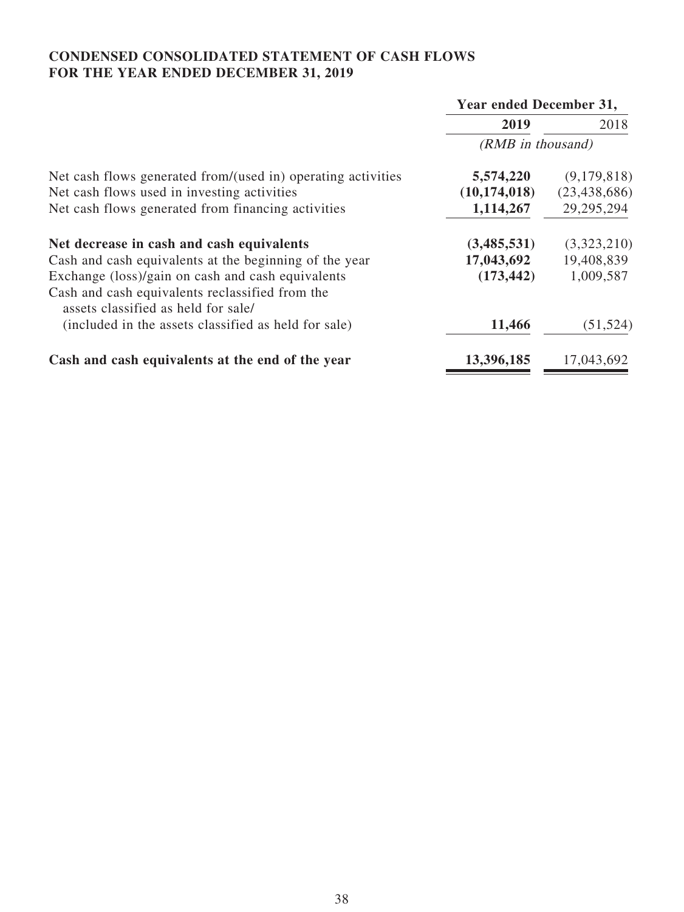# **CONDENSED CONSOLIDATED STATEMENT OF CASH FLOWS FOR THE YEAR ENDED DECEMBER 31, 2019**

|                                                                                        | Year ended December 31, |                |  |
|----------------------------------------------------------------------------------------|-------------------------|----------------|--|
|                                                                                        | 2019                    | 2018           |  |
|                                                                                        | (RMB in thousand)       |                |  |
| Net cash flows generated from/(used in) operating activities                           | 5,574,220               | (9,179,818)    |  |
| Net cash flows used in investing activities                                            | (10, 174, 018)          | (23, 438, 686) |  |
| Net cash flows generated from financing activities                                     | 1,114,267               | 29, 295, 294   |  |
| Net decrease in cash and cash equivalents                                              | (3,485,531)             | (3,323,210)    |  |
| Cash and cash equivalents at the beginning of the year                                 | 17,043,692              | 19,408,839     |  |
| Exchange (loss)/gain on cash and cash equivalents                                      | (173, 442)              | 1,009,587      |  |
| Cash and cash equivalents reclassified from the<br>assets classified as held for sale/ |                         |                |  |
| (included in the assets classified as held for sale)                                   | 11,466                  | (51, 524)      |  |
| Cash and cash equivalents at the end of the year                                       | 13,396,185              | 17,043,692     |  |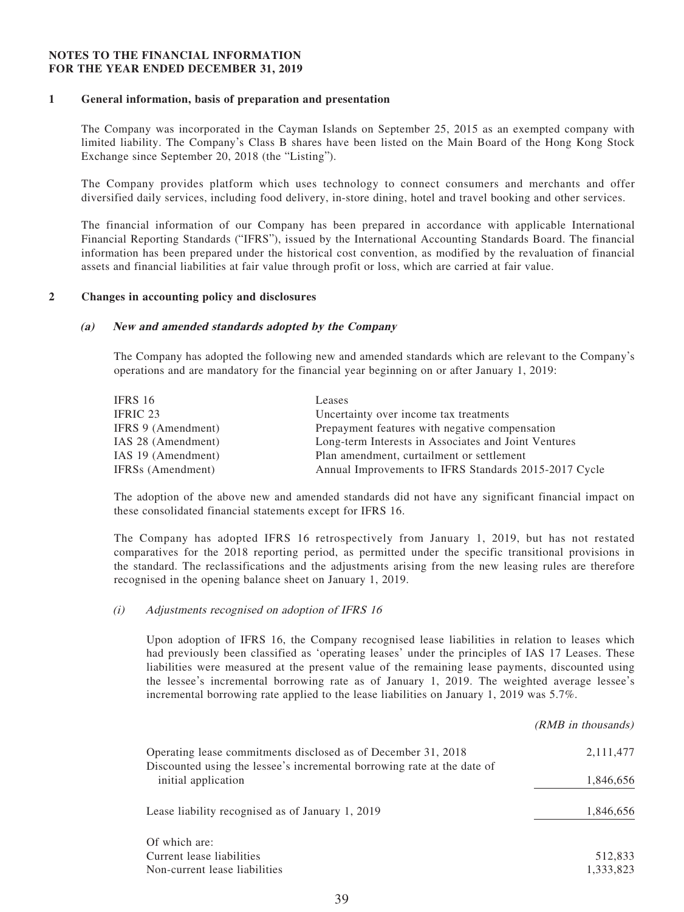#### **NOTES TO THE FINANCIAL INFORMATION FOR THE YEAR ENDED DECEMBER 31, 2019**

#### **1 General information, basis of preparation and presentation**

The Company was incorporated in the Cayman Islands on September 25, 2015 as an exempted company with limited liability. The Company's Class B shares have been listed on the Main Board of the Hong Kong Stock Exchange since September 20, 2018 (the "Listing").

The Company provides platform which uses technology to connect consumers and merchants and offer diversified daily services, including food delivery, in-store dining, hotel and travel booking and other services.

The financial information of our Company has been prepared in accordance with applicable International Financial Reporting Standards ("IFRS"), issued by the International Accounting Standards Board. The financial information has been prepared under the historical cost convention, as modified by the revaluation of financial assets and financial liabilities at fair value through profit or loss, which are carried at fair value.

#### **2 Changes in accounting policy and disclosures**

#### **(a) New and amended standards adopted by the Company**

The Company has adopted the following new and amended standards which are relevant to the Company's operations and are mandatory for the financial year beginning on or after January 1, 2019:

| IFRS 16                       | Leases                                                |
|-------------------------------|-------------------------------------------------------|
| IFRIC 23                      | Uncertainty over income tax treatments                |
| IFRS 9 (Amendment)            | Prepayment features with negative compensation        |
| IAS 28 (Amendment)            | Long-term Interests in Associates and Joint Ventures  |
| IAS 19 (Amendment)            | Plan amendment, curtailment or settlement             |
| IFRS <sub>s</sub> (Amendment) | Annual Improvements to IFRS Standards 2015-2017 Cycle |

The adoption of the above new and amended standards did not have any significant financial impact on these consolidated financial statements except for IFRS 16.

The Company has adopted IFRS 16 retrospectively from January 1, 2019, but has not restated comparatives for the 2018 reporting period, as permitted under the specific transitional provisions in the standard. The reclassifications and the adjustments arising from the new leasing rules are therefore recognised in the opening balance sheet on January 1, 2019.

#### (i) Adjustments recognised on adoption of IFRS 16

Upon adoption of IFRS 16, the Company recognised lease liabilities in relation to leases which had previously been classified as 'operating leases' under the principles of IAS 17 Leases. These liabilities were measured at the present value of the remaining lease payments, discounted using the lessee's incremental borrowing rate as of January 1, 2019. The weighted average lessee's incremental borrowing rate applied to the lease liabilities on January 1, 2019 was 5.7%.

 $(DMD \text{ in } \text{thoucond})$ 

|                                                                                                                                          | $(NNID)$ III UIUUSAIIUS J |
|------------------------------------------------------------------------------------------------------------------------------------------|---------------------------|
| Operating lease commitments disclosed as of December 31, 2018<br>Discounted using the lessee's incremental borrowing rate at the date of | 2,111,477                 |
| initial application                                                                                                                      | 1,846,656                 |
| Lease liability recognised as of January 1, 2019                                                                                         | 1,846,656                 |
| Of which are:                                                                                                                            |                           |
| Current lease liabilities                                                                                                                | 512,833                   |
| Non-current lease liabilities                                                                                                            | 1.333.823                 |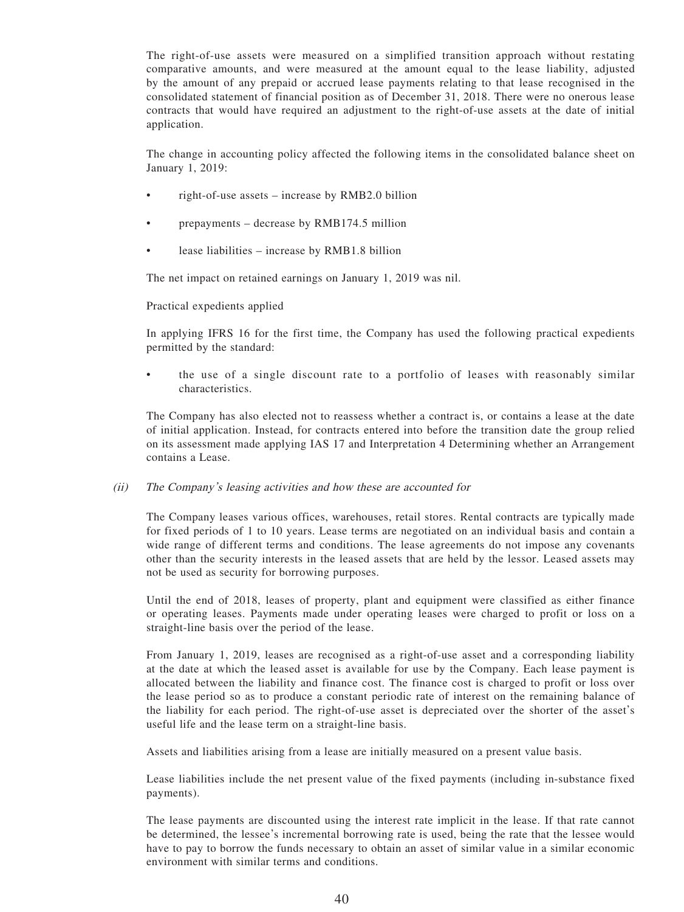The right-of-use assets were measured on a simplified transition approach without restating comparative amounts, and were measured at the amount equal to the lease liability, adjusted by the amount of any prepaid or accrued lease payments relating to that lease recognised in the consolidated statement of financial position as of December 31, 2018. There were no onerous lease contracts that would have required an adjustment to the right-of-use assets at the date of initial application.

The change in accounting policy affected the following items in the consolidated balance sheet on January 1, 2019:

- right-of-use assets increase by RMB2.0 billion
- prepayments decrease by RMB174.5 million
- lease liabilities increase by RMB1.8 billion

The net impact on retained earnings on January 1, 2019 was nil.

Practical expedients applied

In applying IFRS 16 for the first time, the Company has used the following practical expedients permitted by the standard:

• the use of a single discount rate to a portfolio of leases with reasonably similar characteristics.

The Company has also elected not to reassess whether a contract is, or contains a lease at the date of initial application. Instead, for contracts entered into before the transition date the group relied on its assessment made applying IAS 17 and Interpretation 4 Determining whether an Arrangement contains a Lease.

#### (ii) The Company's leasing activities and how these are accounted for

The Company leases various offices, warehouses, retail stores. Rental contracts are typically made for fixed periods of 1 to 10 years. Lease terms are negotiated on an individual basis and contain a wide range of different terms and conditions. The lease agreements do not impose any covenants other than the security interests in the leased assets that are held by the lessor. Leased assets may not be used as security for borrowing purposes.

Until the end of 2018, leases of property, plant and equipment were classified as either finance or operating leases. Payments made under operating leases were charged to profit or loss on a straight-line basis over the period of the lease.

From January 1, 2019, leases are recognised as a right-of-use asset and a corresponding liability at the date at which the leased asset is available for use by the Company. Each lease payment is allocated between the liability and finance cost. The finance cost is charged to profit or loss over the lease period so as to produce a constant periodic rate of interest on the remaining balance of the liability for each period. The right-of-use asset is depreciated over the shorter of the asset's useful life and the lease term on a straight-line basis.

Assets and liabilities arising from a lease are initially measured on a present value basis.

Lease liabilities include the net present value of the fixed payments (including in-substance fixed payments).

The lease payments are discounted using the interest rate implicit in the lease. If that rate cannot be determined, the lessee's incremental borrowing rate is used, being the rate that the lessee would have to pay to borrow the funds necessary to obtain an asset of similar value in a similar economic environment with similar terms and conditions.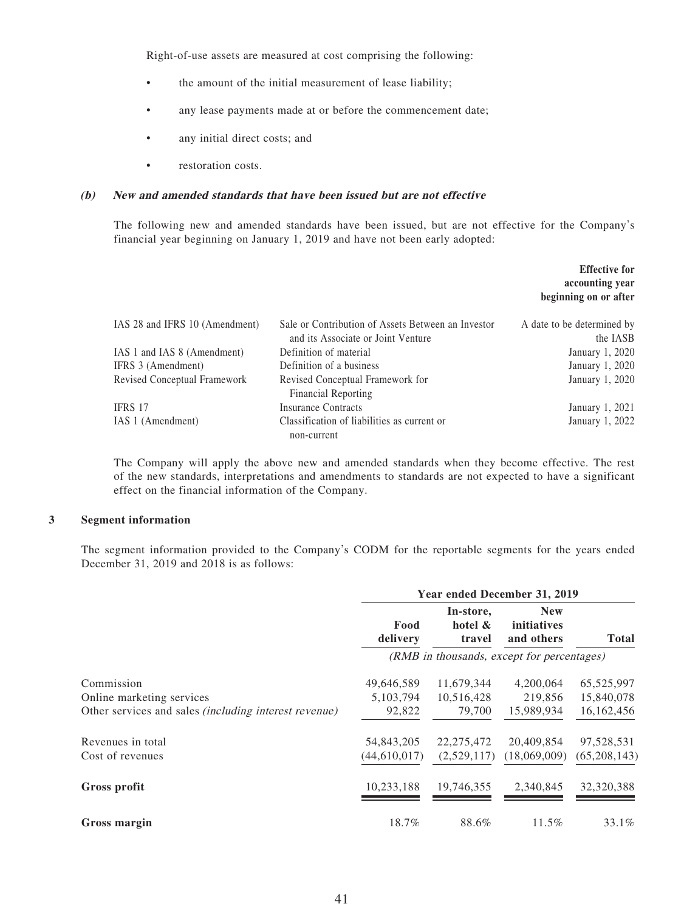Right-of-use assets are measured at cost comprising the following:

- the amount of the initial measurement of lease liability;
- any lease payments made at or before the commencement date;
- any initial direct costs; and
- restoration costs.

#### **(b) New and amended standards that have been issued but are not effective**

The following new and amended standards have been issued, but are not effective for the Company's financial year beginning on January 1, 2019 and have not been early adopted:

|                                |                                                    | <b>Effective for</b><br>accounting year<br>beginning on or after |
|--------------------------------|----------------------------------------------------|------------------------------------------------------------------|
| IAS 28 and IFRS 10 (Amendment) | Sale or Contribution of Assets Between an Investor | A date to be determined by                                       |
|                                | and its Associate or Joint Venture                 | the IASB                                                         |
| IAS 1 and IAS 8 (Amendment)    | Definition of material                             | January 1, 2020                                                  |
| IFRS 3 (Amendment)             | Definition of a business                           | January 1, 2020                                                  |
| Revised Conceptual Framework   | Revised Conceptual Framework for                   | January 1, 2020                                                  |
|                                | Financial Reporting                                |                                                                  |
| <b>IFRS 17</b>                 | <b>Insurance Contracts</b>                         | January 1, 2021                                                  |
| IAS 1 (Amendment)              | Classification of liabilities as current or        | January 1, 2022                                                  |
|                                | non-current                                        |                                                                  |

The Company will apply the above new and amended standards when they become effective. The rest of the new standards, interpretations and amendments to standards are not expected to have a significant effect on the financial information of the Company.

#### **3 Segment information**

The segment information provided to the Company's CODM for the reportable segments for the years ended December 31, 2019 and 2018 is as follows:

|                                                              | Year ended December 31, 2019 |                                |                                            |              |  |
|--------------------------------------------------------------|------------------------------|--------------------------------|--------------------------------------------|--------------|--|
|                                                              | Food<br>delivery             | In-store,<br>hotel &<br>travel | <b>New</b><br>initiatives<br>and others    | <b>Total</b> |  |
|                                                              |                              |                                | (RMB in thousands, except for percentages) |              |  |
| Commission                                                   | 49,646,589                   | 11,679,344                     | 4,200,064                                  | 65,525,997   |  |
| Online marketing services                                    | 5, 103, 794                  | 10,516,428                     | 219,856                                    | 15,840,078   |  |
| Other services and sales <i>(including interest revenue)</i> | 92,822                       | 79,700                         | 15,989,934                                 | 16,162,456   |  |
| Revenues in total                                            | 54,843,205                   | 22, 275, 472                   | 20,409,854                                 | 97,528,531   |  |
| Cost of revenues                                             | (44, 610, 017)               | (2,529,117)                    | (18,069,009)                               | (65,208,143) |  |
| Gross profit                                                 | 10,233,188                   | 19,746,355                     | 2,340,845                                  | 32,320,388   |  |
| Gross margin                                                 | 18.7%                        | 88.6%                          | 11.5%                                      | 33.1%        |  |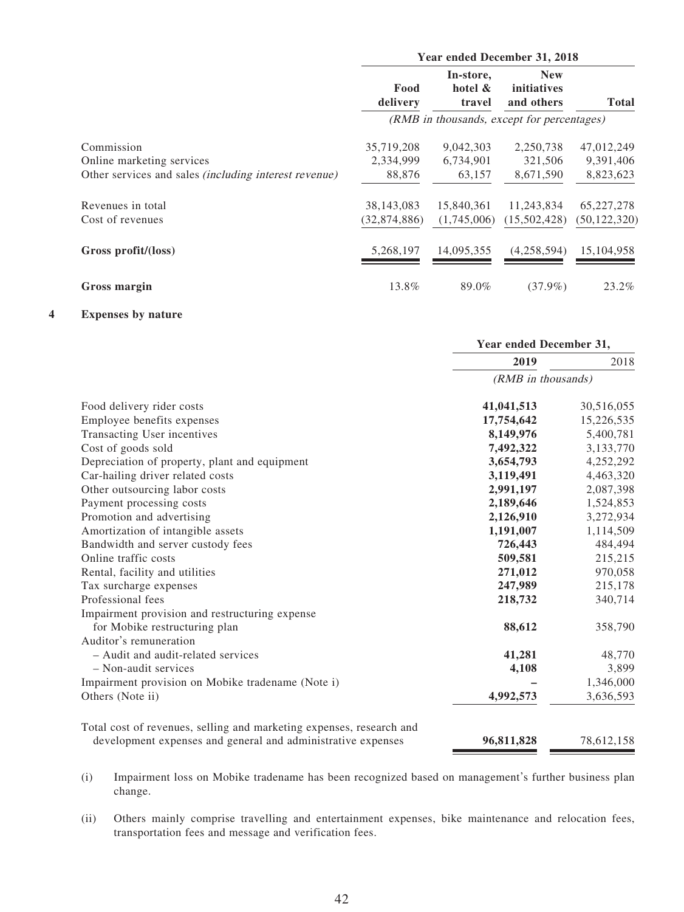|                                                              | Year ended December 31, 2018 |                                |                                            |                |
|--------------------------------------------------------------|------------------------------|--------------------------------|--------------------------------------------|----------------|
|                                                              | Food<br>delivery             | In-store,<br>hotel &<br>travel | <b>New</b><br>initiatives<br>and others    | <b>Total</b>   |
|                                                              |                              |                                | (RMB in thousands, except for percentages) |                |
| Commission                                                   | 35,719,208                   | 9,042,303                      | 2,250,738                                  | 47,012,249     |
| Online marketing services                                    | 2,334,999                    | 6,734,901                      | 321,506                                    | 9,391,406      |
| Other services and sales <i>(including interest revenue)</i> | 88,876                       | 63,157                         | 8,671,590                                  | 8,823,623      |
| Revenues in total                                            | 38, 143, 083                 | 15,840,361                     | 11,243,834                                 | 65, 227, 278   |
| Cost of revenues                                             | (32,874,886)                 | (1,745,006)                    | (15,502,428)                               | (50, 122, 320) |
| Gross profit/(loss)                                          | 5,268,197                    | 14.095.355                     | (4,258,594)                                | 15.104.958     |
| <b>Gross margin</b>                                          | 13.8%                        | 89.0%                          | $(37.9\%)$                                 | 23.2%          |

#### **4 Expenses by nature**

|                                                                      | Year ended December 31, |            |
|----------------------------------------------------------------------|-------------------------|------------|
|                                                                      | 2019                    | 2018       |
|                                                                      | (RMB in thousands)      |            |
| Food delivery rider costs                                            | 41,041,513              | 30,516,055 |
| Employee benefits expenses                                           | 17,754,642              | 15,226,535 |
| Transacting User incentives                                          | 8,149,976               | 5,400,781  |
| Cost of goods sold                                                   | 7,492,322               | 3,133,770  |
| Depreciation of property, plant and equipment                        | 3,654,793               | 4,252,292  |
| Car-hailing driver related costs                                     | 3,119,491               | 4,463,320  |
| Other outsourcing labor costs                                        | 2,991,197               | 2,087,398  |
| Payment processing costs                                             | 2,189,646               | 1,524,853  |
| Promotion and advertising                                            | 2,126,910               | 3,272,934  |
| Amortization of intangible assets                                    | 1,191,007               | 1,114,509  |
| Bandwidth and server custody fees                                    | 726,443                 | 484,494    |
| Online traffic costs                                                 | 509,581                 | 215,215    |
| Rental, facility and utilities                                       | 271,012                 | 970,058    |
| Tax surcharge expenses                                               | 247,989                 | 215,178    |
| Professional fees                                                    | 218,732                 | 340,714    |
| Impairment provision and restructuring expense                       |                         |            |
| for Mobike restructuring plan                                        | 88,612                  | 358,790    |
| Auditor's remuneration                                               |                         |            |
| - Audit and audit-related services                                   | 41,281                  | 48,770     |
| - Non-audit services                                                 | 4,108                   | 3,899      |
| Impairment provision on Mobike tradename (Note i)                    |                         | 1,346,000  |
| Others (Note ii)                                                     | 4,992,573               | 3,636,593  |
| Total cost of revenues, selling and marketing expenses, research and |                         |            |
| development expenses and general and administrative expenses         | 96,811,828              | 78,612,158 |

(i) Impairment loss on Mobike tradename has been recognized based on management's further business plan change.

(ii) Others mainly comprise travelling and entertainment expenses, bike maintenance and relocation fees, transportation fees and message and verification fees.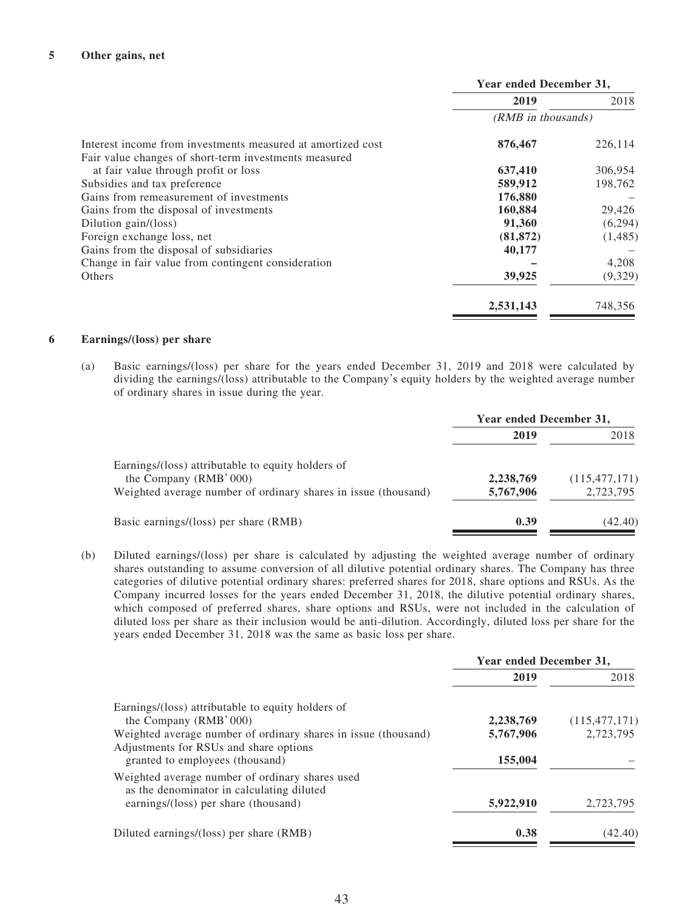|                                                             | Year ended December 31, |         |
|-------------------------------------------------------------|-------------------------|---------|
|                                                             | 2019                    | 2018    |
|                                                             | (RMB in thousands)      |         |
| Interest income from investments measured at amortized cost | 876,467                 | 226,114 |
| Fair value changes of short-term investments measured       |                         |         |
| at fair value through profit or loss                        | 637,410                 | 306,954 |
| Subsidies and tax preference                                | 589,912                 | 198,762 |
| Gains from remeasurement of investments                     | 176,880                 |         |
| Gains from the disposal of investments                      | 160,884                 | 29,426  |
| Dilution gain/(loss)                                        | 91,360                  | (6,294) |
| Foreign exchange loss, net                                  | (81, 872)               | (1,485) |
| Gains from the disposal of subsidiaries                     | 40,177                  |         |
| Change in fair value from contingent consideration          |                         | 4,208   |
| Others                                                      | 39,925                  | (9,329) |
|                                                             | 2,531,143               | 748,356 |

#### **6 Earnings/(loss) per share**

(a) Basic earnings/(loss) per share for the years ended December 31, 2019 and 2018 were calculated by dividing the earnings/(loss) attributable to the Company's equity holders by the weighted average number of ordinary shares in issue during the year.

|                                                                                                                                               | Year ended December 31, |                              |
|-----------------------------------------------------------------------------------------------------------------------------------------------|-------------------------|------------------------------|
|                                                                                                                                               | 2019                    | 2018                         |
| Earnings/(loss) attributable to equity holders of<br>the Company (RMB' 000)<br>Weighted average number of ordinary shares in issue (thousand) | 2,238,769<br>5,767,906  | (115, 477, 171)<br>2,723,795 |
| Basic earnings/(loss) per share (RMB)                                                                                                         | 0.39                    | (42.40)                      |

(b) Diluted earnings/(loss) per share is calculated by adjusting the weighted average number of ordinary shares outstanding to assume conversion of all dilutive potential ordinary shares. The Company has three categories of dilutive potential ordinary shares: preferred shares for 2018, share options and RSUs. As the Company incurred losses for the years ended December 31, 2018, the dilutive potential ordinary shares, which composed of preferred shares, share options and RSUs, were not included in the calculation of diluted loss per share as their inclusion would be anti-dilution. Accordingly, diluted loss per share for the years ended December 31, 2018 was the same as basic loss per share.

|                                                                                              | Year ended December 31, |                 |
|----------------------------------------------------------------------------------------------|-------------------------|-----------------|
|                                                                                              | 2019                    | 2018            |
| Earnings/(loss) attributable to equity holders of                                            |                         |                 |
| the Company (RMB' 000)                                                                       | 2,238,769               | (115, 477, 171) |
| Weighted average number of ordinary shares in issue (thousand)                               | 5,767,906               | 2,723,795       |
| Adjustments for RSUs and share options                                                       |                         |                 |
| granted to employees (thousand)                                                              | 155,004                 |                 |
| Weighted average number of ordinary shares used<br>as the denominator in calculating diluted |                         |                 |
| earnings/(loss) per share (thousand)                                                         | 5,922,910               | 2,723,795       |
| Diluted earnings/(loss) per share (RMB)                                                      | 0.38                    | (42.40)         |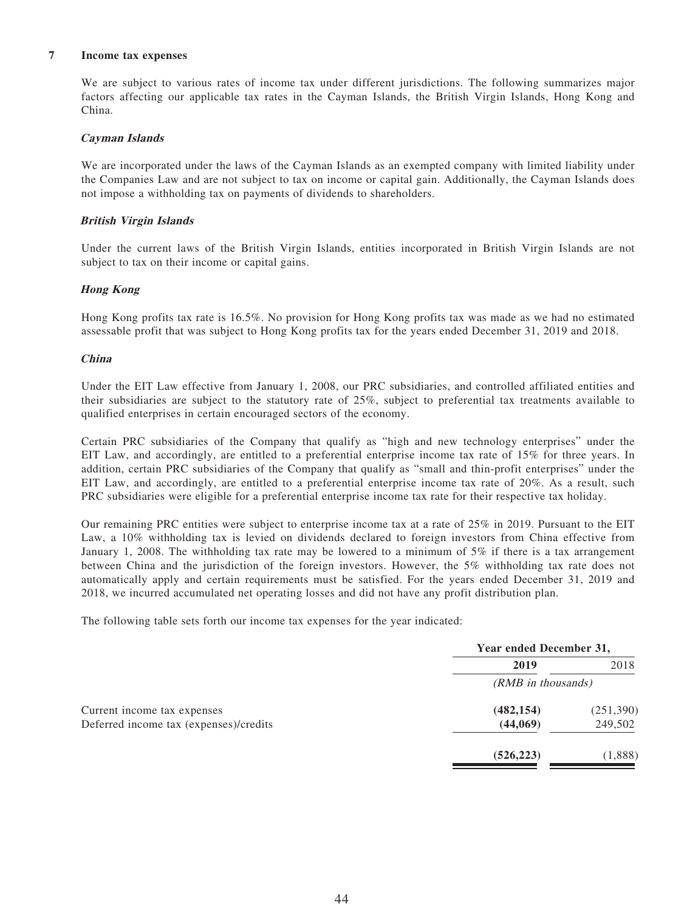#### **7 Income tax expenses**

We are subject to various rates of income tax under different jurisdictions. The following summarizes major factors affecting our applicable tax rates in the Cayman Islands, the British Virgin Islands, Hong Kong and China.

#### **Cayman Islands**

We are incorporated under the laws of the Cayman Islands as an exempted company with limited liability under the Companies Law and are not subject to tax on income or capital gain. Additionally, the Cayman Islands does not impose a withholding tax on payments of dividends to shareholders.

#### **British Virgin Islands**

Under the current laws of the British Virgin Islands, entities incorporated in British Virgin Islands are not subject to tax on their income or capital gains.

#### **Hong Kong**

Hong Kong profits tax rate is 16.5%. No provision for Hong Kong profits tax was made as we had no estimated assessable profit that was subject to Hong Kong profits tax for the years ended December 31, 2019 and 2018.

#### **China**

Under the EIT Law effective from January 1, 2008, our PRC subsidiaries, and controlled affiliated entities and their subsidiaries are subject to the statutory rate of 25%, subject to preferential tax treatments available to qualified enterprises in certain encouraged sectors of the economy.

Certain PRC subsidiaries of the Company that qualify as "high and new technology enterprises" under the EIT Law, and accordingly, are entitled to a preferential enterprise income tax rate of 15% for three years. In addition, certain PRC subsidiaries of the Company that qualify as "small and thin-profit enterprises" under the EIT Law, and accordingly, are entitled to a preferential enterprise income tax rate of 20%. As a result, such PRC subsidiaries were eligible for a preferential enterprise income tax rate for their respective tax holiday.

Our remaining PRC entities were subject to enterprise income tax at a rate of 25% in 2019. Pursuant to the EIT Law, a 10% withholding tax is levied on dividends declared to foreign investors from China effective from January 1, 2008. The withholding tax rate may be lowered to a minimum of 5% if there is a tax arrangement between China and the jurisdiction of the foreign investors. However, the 5% withholding tax rate does not automatically apply and certain requirements must be satisfied. For the years ended December 31, 2019 and 2018, we incurred accumulated net operating losses and did not have any profit distribution plan.

The following table sets forth our income tax expenses for the year indicated:

|                                        | Year ended December 31, |           |
|----------------------------------------|-------------------------|-----------|
|                                        | 2019                    | 2018      |
|                                        | (RMB in thousands)      |           |
| Current income tax expenses            | (482, 154)              | (251,390) |
| Deferred income tax (expenses)/credits | (44,069)                | 249,502   |
|                                        | (526, 223)              | (1,888)   |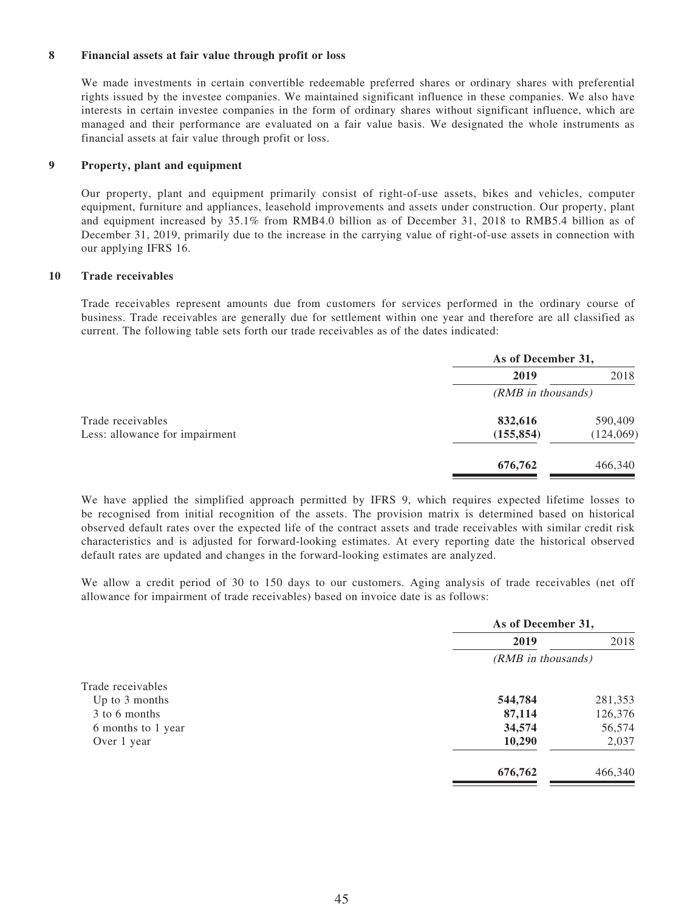#### **8 Financial assets at fair value through profit or loss**

We made investments in certain convertible redeemable preferred shares or ordinary shares with preferential rights issued by the investee companies. We maintained significant influence in these companies. We also have interests in certain investee companies in the form of ordinary shares without significant influence, which are managed and their performance are evaluated on a fair value basis. We designated the whole instruments as financial assets at fair value through profit or loss.

#### **9 Property, plant and equipment**

Our property, plant and equipment primarily consist of right-of-use assets, bikes and vehicles, computer equipment, furniture and appliances, leasehold improvements and assets under construction. Our property, plant and equipment increased by 35.1% from RMB4.0 billion as of December 31, 2018 to RMB5.4 billion as of December 31, 2019, primarily due to the increase in the carrying value of right-of-use assets in connection with our applying IFRS 16.

#### **10 Trade receivables**

Trade receivables represent amounts due from customers for services performed in the ordinary course of business. Trade receivables are generally due for settlement within one year and therefore are all classified as current. The following table sets forth our trade receivables as of the dates indicated:

|                                | As of December 31, |           |
|--------------------------------|--------------------|-----------|
|                                | 2019               | 2018      |
|                                | (RMB in thousands) |           |
| Trade receivables              | 832,616            | 590,409   |
| Less: allowance for impairment | (155, 854)         | (124,069) |
|                                | 676,762            | 466,340   |

We have applied the simplified approach permitted by IFRS 9, which requires expected lifetime losses to be recognised from initial recognition of the assets. The provision matrix is determined based on historical observed default rates over the expected life of the contract assets and trade receivables with similar credit risk characteristics and is adjusted for forward-looking estimates. At every reporting date the historical observed default rates are updated and changes in the forward-looking estimates are analyzed.

We allow a credit period of 30 to 150 days to our customers. Aging analysis of trade receivables (net off allowance for impairment of trade receivables) based on invoice date is as follows:

|                    | As of December 31, |         |
|--------------------|--------------------|---------|
|                    | 2019               | 2018    |
|                    | (RMB in thousands) |         |
| Trade receivables  |                    |         |
| Up to $3$ months   | 544,784            | 281,353 |
| 3 to 6 months      | 87,114             | 126,376 |
| 6 months to 1 year | 34,574             | 56,574  |
| Over 1 year        | 10,290             | 2,037   |
|                    | 676,762            | 466,340 |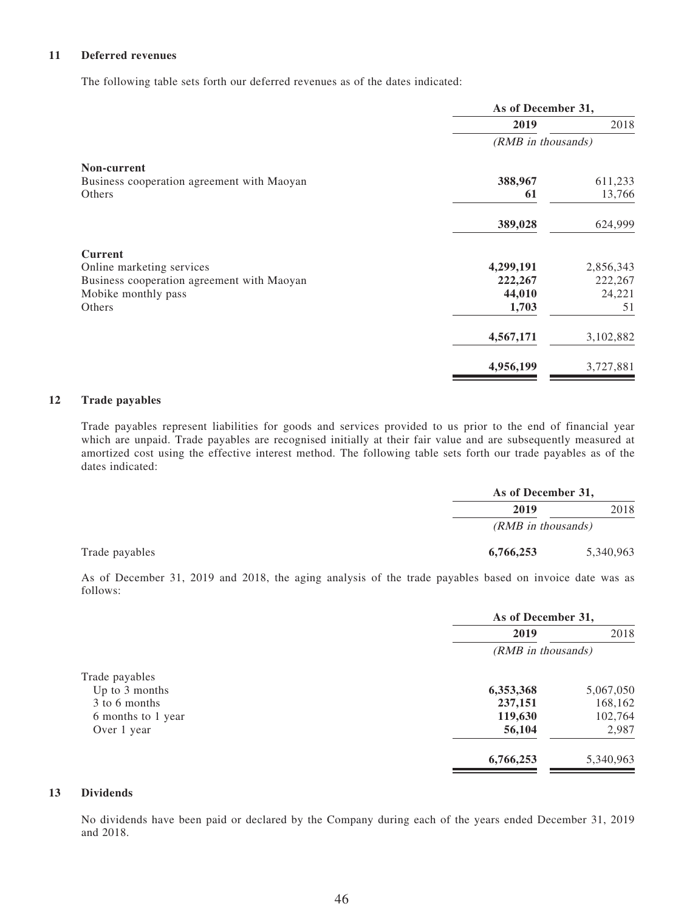#### **11 Deferred revenues**

The following table sets forth our deferred revenues as of the dates indicated:

|                                            | As of December 31, |           |
|--------------------------------------------|--------------------|-----------|
|                                            | 2019               | 2018      |
|                                            | (RMB in thousands) |           |
| Non-current                                |                    |           |
| Business cooperation agreement with Maoyan | 388,967            | 611,233   |
| Others                                     | 61                 | 13,766    |
|                                            | 389,028            | 624,999   |
| <b>Current</b>                             |                    |           |
| Online marketing services                  | 4,299,191          | 2,856,343 |
| Business cooperation agreement with Maoyan | 222,267            | 222,267   |
| Mobike monthly pass                        | 44,010             | 24,221    |
| Others                                     | 1,703              | 51        |
|                                            | 4,567,171          | 3,102,882 |
|                                            | 4,956,199          | 3,727,881 |

#### **12 Trade payables**

Trade payables represent liabilities for goods and services provided to us prior to the end of financial year which are unpaid. Trade payables are recognised initially at their fair value and are subsequently measured at amortized cost using the effective interest method. The following table sets forth our trade payables as of the dates indicated:

|                    | As of December 31, |  |
|--------------------|--------------------|--|
| 2019               | 2018               |  |
| (RMB in thousands) |                    |  |
| 6,766,253          | 5,340,963          |  |

As of December 31, 2019 and 2018, the aging analysis of the trade payables based on invoice date was as follows:

|                    | As of December 31, |           |
|--------------------|--------------------|-----------|
|                    | 2019               | 2018      |
|                    | (RMB in thousands) |           |
| Trade payables     |                    |           |
| Up to 3 months     | 6,353,368          | 5,067,050 |
| 3 to 6 months      | 237,151            | 168,162   |
| 6 months to 1 year | 119,630            | 102,764   |
| Over 1 year        | 56,104             | 2,987     |
|                    | 6,766,253          | 5,340,963 |

#### **13 Dividends**

No dividends have been paid or declared by the Company during each of the years ended December 31, 2019 and 2018.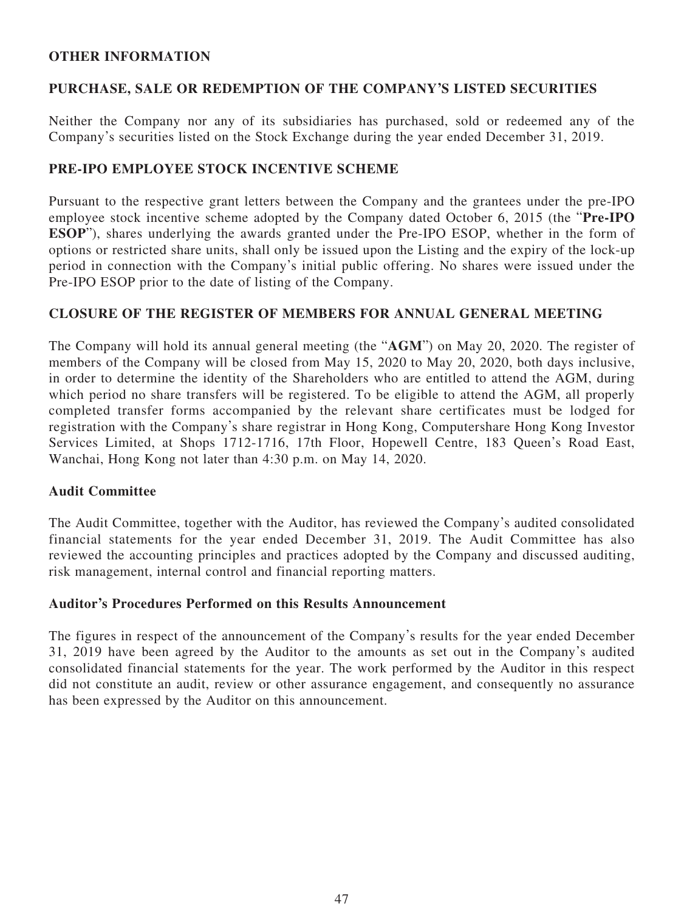#### **OTHER INFORMATION**

### **PURCHASE, SALE OR REDEMPTION OF THE COMPANY'S LISTED SECURITIES**

Neither the Company nor any of its subsidiaries has purchased, sold or redeemed any of the Company's securities listed on the Stock Exchange during the year ended December 31, 2019.

### **PRE-IPO EMPLOYEE STOCK INCENTIVE SCHEME**

Pursuant to the respective grant letters between the Company and the grantees under the pre-IPO employee stock incentive scheme adopted by the Company dated October 6, 2015 (the "**Pre-IPO ESOP**"), shares underlying the awards granted under the Pre-IPO ESOP, whether in the form of options or restricted share units, shall only be issued upon the Listing and the expiry of the lock-up period in connection with the Company's initial public offering. No shares were issued under the Pre-IPO ESOP prior to the date of listing of the Company.

### **CLOSURE OF THE REGISTER OF MEMBERS FOR ANNUAL GENERAL MEETING**

The Company will hold its annual general meeting (the "**AGM**") on May 20, 2020. The register of members of the Company will be closed from May 15, 2020 to May 20, 2020, both days inclusive, in order to determine the identity of the Shareholders who are entitled to attend the AGM, during which period no share transfers will be registered. To be eligible to attend the AGM, all properly completed transfer forms accompanied by the relevant share certificates must be lodged for registration with the Company's share registrar in Hong Kong, Computershare Hong Kong Investor Services Limited, at Shops 1712-1716, 17th Floor, Hopewell Centre, 183 Queen's Road East, Wanchai, Hong Kong not later than 4:30 p.m. on May 14, 2020.

#### **Audit Committee**

The Audit Committee, together with the Auditor, has reviewed the Company's audited consolidated financial statements for the year ended December 31, 2019. The Audit Committee has also reviewed the accounting principles and practices adopted by the Company and discussed auditing, risk management, internal control and financial reporting matters.

#### **Auditor's Procedures Performed on this Results Announcement**

The figures in respect of the announcement of the Company's results for the year ended December 31, 2019 have been agreed by the Auditor to the amounts as set out in the Company's audited consolidated financial statements for the year. The work performed by the Auditor in this respect did not constitute an audit, review or other assurance engagement, and consequently no assurance has been expressed by the Auditor on this announcement.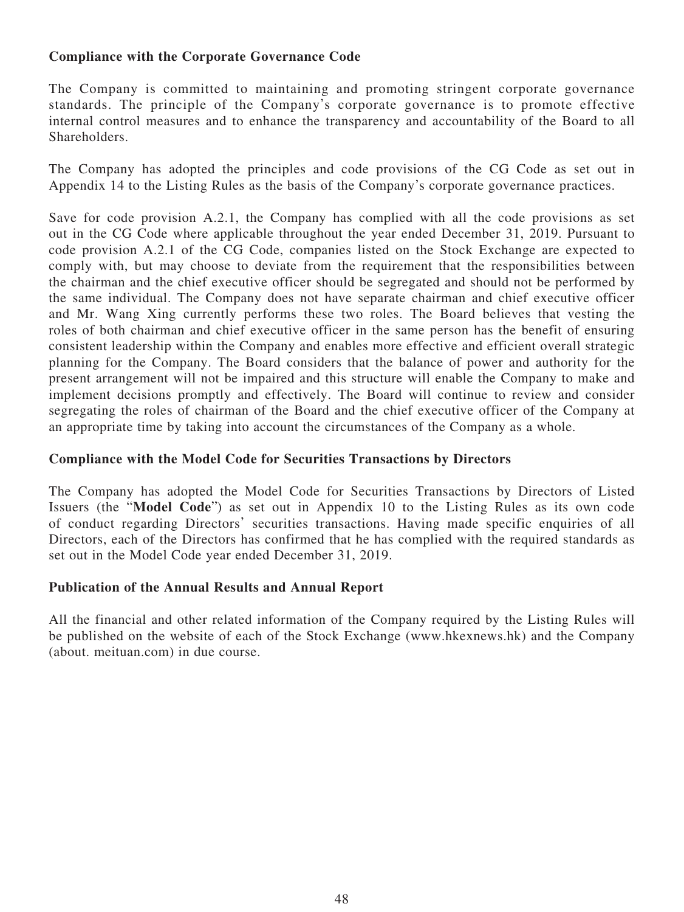# **Compliance with the Corporate Governance Code**

The Company is committed to maintaining and promoting stringent corporate governance standards. The principle of the Company's corporate governance is to promote effective internal control measures and to enhance the transparency and accountability of the Board to all **Shareholders**.

The Company has adopted the principles and code provisions of the CG Code as set out in Appendix 14 to the Listing Rules as the basis of the Company's corporate governance practices.

Save for code provision A.2.1, the Company has complied with all the code provisions as set out in the CG Code where applicable throughout the year ended December 31, 2019. Pursuant to code provision A.2.1 of the CG Code, companies listed on the Stock Exchange are expected to comply with, but may choose to deviate from the requirement that the responsibilities between the chairman and the chief executive officer should be segregated and should not be performed by the same individual. The Company does not have separate chairman and chief executive officer and Mr. Wang Xing currently performs these two roles. The Board believes that vesting the roles of both chairman and chief executive officer in the same person has the benefit of ensuring consistent leadership within the Company and enables more effective and efficient overall strategic planning for the Company. The Board considers that the balance of power and authority for the present arrangement will not be impaired and this structure will enable the Company to make and implement decisions promptly and effectively. The Board will continue to review and consider segregating the roles of chairman of the Board and the chief executive officer of the Company at an appropriate time by taking into account the circumstances of the Company as a whole.

### **Compliance with the Model Code for Securities Transactions by Directors**

The Company has adopted the Model Code for Securities Transactions by Directors of Listed Issuers (the "**Model Code**") as set out in Appendix 10 to the Listing Rules as its own code of conduct regarding Directors' securities transactions. Having made specific enquiries of all Directors, each of the Directors has confirmed that he has complied with the required standards as set out in the Model Code year ended December 31, 2019.

# **Publication of the Annual Results and Annual Report**

All the financial and other related information of the Company required by the Listing Rules will be published on the website of each of the Stock Exchange (www.hkexnews.hk) and the Company (about. meituan.com) in due course.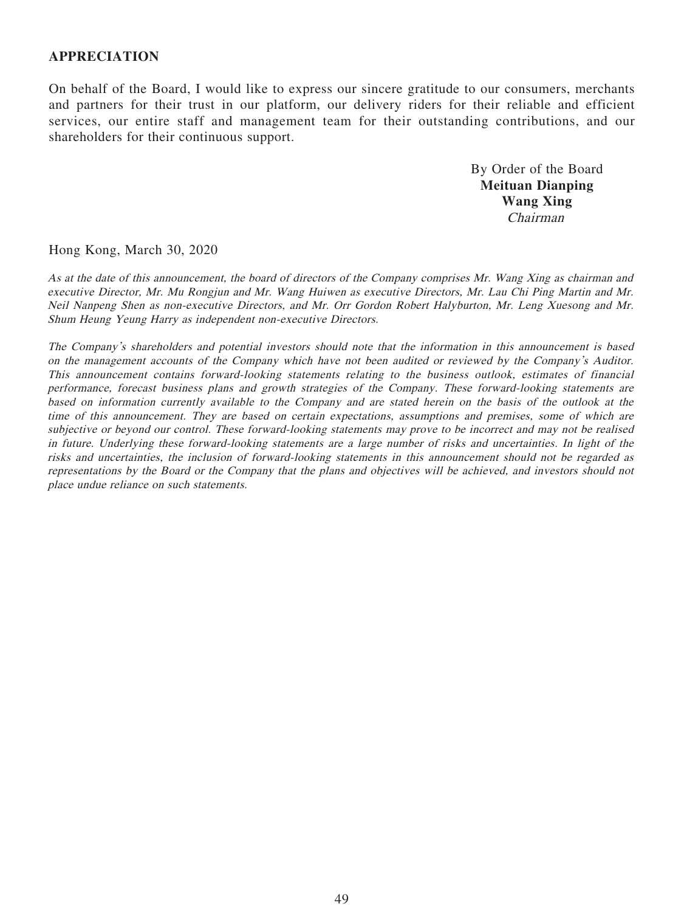#### **APPRECIATION**

On behalf of the Board, I would like to express our sincere gratitude to our consumers, merchants and partners for their trust in our platform, our delivery riders for their reliable and efficient services, our entire staff and management team for their outstanding contributions, and our shareholders for their continuous support.

> By Order of the Board **Meituan Dianping Wang Xing** Chairman

Hong Kong, March 30, 2020

As at the date of this announcement, the board of directors of the Company comprises Mr. Wang Xing as chairman and executive Director, Mr. Mu Rongjun and Mr. Wang Huiwen as executive Directors, Mr. Lau Chi Ping Martin and Mr. Neil Nanpeng Shen as non-executive Directors, and Mr. Orr Gordon Robert Halyburton, Mr. Leng Xuesong and Mr. Shum Heung Yeung Harry as independent non-executive Directors.

The Company's shareholders and potential investors should note that the information in this announcement is based on the management accounts of the Company which have not been audited or reviewed by the Company's Auditor. This announcement contains forward-looking statements relating to the business outlook, estimates of financial performance, forecast business plans and growth strategies of the Company. These forward-looking statements are based on information currently available to the Company and are stated herein on the basis of the outlook at the time of this announcement. They are based on certain expectations, assumptions and premises, some of which are subjective or beyond our control. These forward-looking statements may prove to be incorrect and may not be realised in future. Underlying these forward-looking statements are a large number of risks and uncertainties. In light of the risks and uncertainties, the inclusion of forward-looking statements in this announcement should not be regarded as representations by the Board or the Company that the plans and objectives will be achieved, and investors should not place undue reliance on such statements.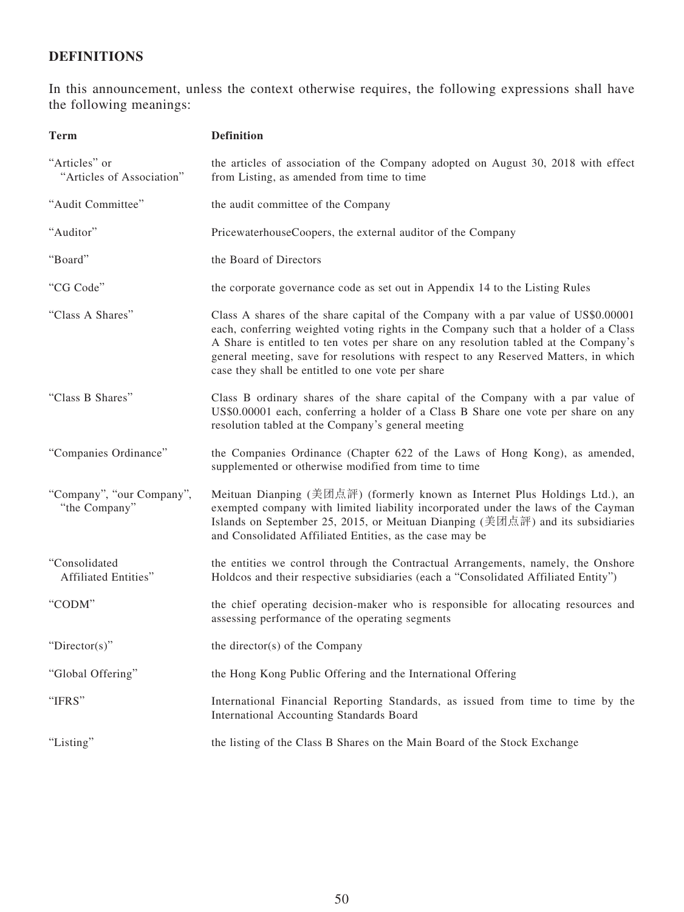# **DEFINITIONS**

In this announcement, unless the context otherwise requires, the following expressions shall have the following meanings:

| <b>Term</b>                                | <b>Definition</b>                                                                                                                                                                                                                                                                                                                                                                                               |
|--------------------------------------------|-----------------------------------------------------------------------------------------------------------------------------------------------------------------------------------------------------------------------------------------------------------------------------------------------------------------------------------------------------------------------------------------------------------------|
| "Articles" or<br>"Articles of Association" | the articles of association of the Company adopted on August 30, 2018 with effect<br>from Listing, as amended from time to time                                                                                                                                                                                                                                                                                 |
| "Audit Committee"                          | the audit committee of the Company                                                                                                                                                                                                                                                                                                                                                                              |
| "Auditor"                                  | PricewaterhouseCoopers, the external auditor of the Company                                                                                                                                                                                                                                                                                                                                                     |
| "Board"                                    | the Board of Directors                                                                                                                                                                                                                                                                                                                                                                                          |
| "CG Code"                                  | the corporate governance code as set out in Appendix 14 to the Listing Rules                                                                                                                                                                                                                                                                                                                                    |
| "Class A Shares"                           | Class A shares of the share capital of the Company with a par value of US\$0.00001<br>each, conferring weighted voting rights in the Company such that a holder of a Class<br>A Share is entitled to ten votes per share on any resolution tabled at the Company's<br>general meeting, save for resolutions with respect to any Reserved Matters, in which<br>case they shall be entitled to one vote per share |
| "Class B Shares"                           | Class B ordinary shares of the share capital of the Company with a par value of<br>US\$0.00001 each, conferring a holder of a Class B Share one vote per share on any<br>resolution tabled at the Company's general meeting                                                                                                                                                                                     |
| "Companies Ordinance"                      | the Companies Ordinance (Chapter 622 of the Laws of Hong Kong), as amended,<br>supplemented or otherwise modified from time to time                                                                                                                                                                                                                                                                             |
| "Company", "our Company",<br>"the Company" | Meituan Dianping (美团点評) (formerly known as Internet Plus Holdings Ltd.), an<br>exempted company with limited liability incorporated under the laws of the Cayman<br>Islands on September 25, 2015, or Meituan Dianping (美团点評) and its subsidiaries<br>and Consolidated Affiliated Entities, as the case may be                                                                                                  |
| "Consolidated<br>Affiliated Entities"      | the entities we control through the Contractual Arrangements, namely, the Onshore<br>Holdcos and their respective subsidiaries (each a "Consolidated Affiliated Entity")                                                                                                                                                                                                                                        |
| "CODM"                                     | the chief operating decision-maker who is responsible for allocating resources and<br>assessing performance of the operating segments                                                                                                                                                                                                                                                                           |
| "Director(s)"                              | the director(s) of the Company                                                                                                                                                                                                                                                                                                                                                                                  |
| "Global Offering"                          | the Hong Kong Public Offering and the International Offering                                                                                                                                                                                                                                                                                                                                                    |
| "IFRS"                                     | International Financial Reporting Standards, as issued from time to time by the<br>International Accounting Standards Board                                                                                                                                                                                                                                                                                     |
| "Listing"                                  | the listing of the Class B Shares on the Main Board of the Stock Exchange                                                                                                                                                                                                                                                                                                                                       |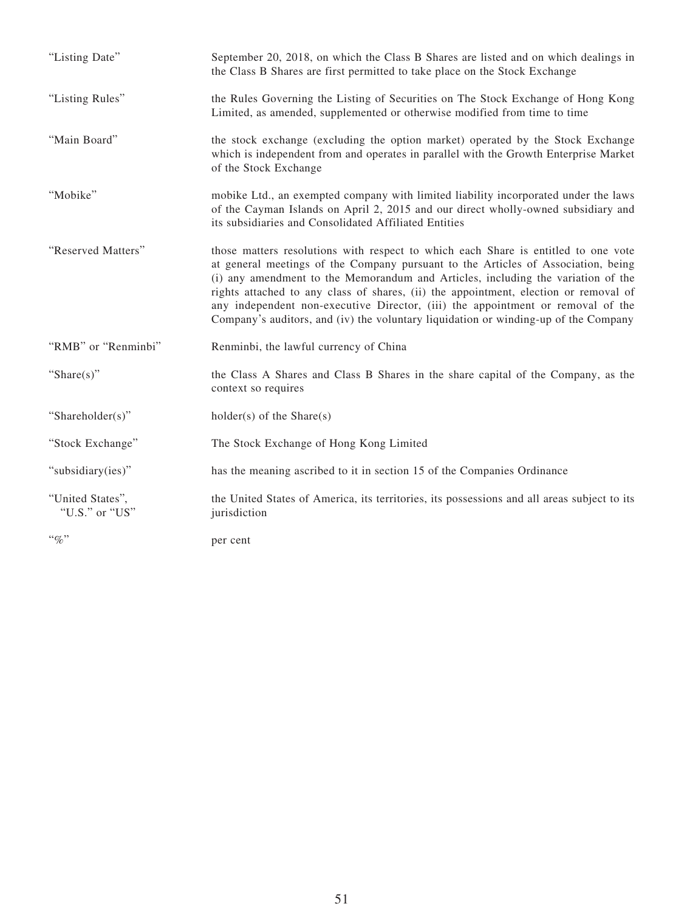| "Listing Date"                     | September 20, 2018, on which the Class B Shares are listed and on which dealings in<br>the Class B Shares are first permitted to take place on the Stock Exchange                                                                                                                                                                                                                                                                                                                                                             |
|------------------------------------|-------------------------------------------------------------------------------------------------------------------------------------------------------------------------------------------------------------------------------------------------------------------------------------------------------------------------------------------------------------------------------------------------------------------------------------------------------------------------------------------------------------------------------|
| "Listing Rules"                    | the Rules Governing the Listing of Securities on The Stock Exchange of Hong Kong<br>Limited, as amended, supplemented or otherwise modified from time to time                                                                                                                                                                                                                                                                                                                                                                 |
| "Main Board"                       | the stock exchange (excluding the option market) operated by the Stock Exchange<br>which is independent from and operates in parallel with the Growth Enterprise Market<br>of the Stock Exchange                                                                                                                                                                                                                                                                                                                              |
| "Mobike"                           | mobike Ltd., an exempted company with limited liability incorporated under the laws<br>of the Cayman Islands on April 2, 2015 and our direct wholly-owned subsidiary and<br>its subsidiaries and Consolidated Affiliated Entities                                                                                                                                                                                                                                                                                             |
| "Reserved Matters"                 | those matters resolutions with respect to which each Share is entitled to one vote<br>at general meetings of the Company pursuant to the Articles of Association, being<br>(i) any amendment to the Memorandum and Articles, including the variation of the<br>rights attached to any class of shares, (ii) the appointment, election or removal of<br>any independent non-executive Director, (iii) the appointment or removal of the<br>Company's auditors, and (iv) the voluntary liquidation or winding-up of the Company |
| "RMB" or "Renminbi"                | Renminbi, the lawful currency of China                                                                                                                                                                                                                                                                                                                                                                                                                                                                                        |
| "Share $(s)$ "                     | the Class A Shares and Class B Shares in the share capital of the Company, as the<br>context so requires                                                                                                                                                                                                                                                                                                                                                                                                                      |
| "Shareholder(s)"                   | $holder(s)$ of the Share $(s)$                                                                                                                                                                                                                                                                                                                                                                                                                                                                                                |
| "Stock Exchange"                   | The Stock Exchange of Hong Kong Limited                                                                                                                                                                                                                                                                                                                                                                                                                                                                                       |
| "subsidiary(ies)"                  | has the meaning ascribed to it in section 15 of the Companies Ordinance                                                                                                                                                                                                                                                                                                                                                                                                                                                       |
| "United States",<br>"U.S." or "US" | the United States of America, its territories, its possessions and all areas subject to its<br>jurisdiction                                                                                                                                                                                                                                                                                                                                                                                                                   |
| $``\%"$                            | per cent                                                                                                                                                                                                                                                                                                                                                                                                                                                                                                                      |